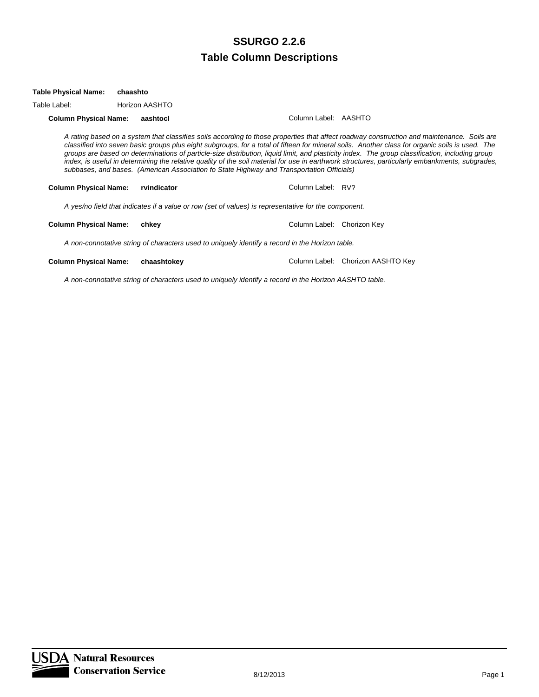| Table Label:                 | Horizon AASHTO |                                                                                                      |                            |                                                                                                                                                                                                                                                                                                                                                                                                                                                                                                                                                                                                     |
|------------------------------|----------------|------------------------------------------------------------------------------------------------------|----------------------------|-----------------------------------------------------------------------------------------------------------------------------------------------------------------------------------------------------------------------------------------------------------------------------------------------------------------------------------------------------------------------------------------------------------------------------------------------------------------------------------------------------------------------------------------------------------------------------------------------------|
| <b>Column Physical Name:</b> | aashtocl       |                                                                                                      | Column Label: AASHTO       |                                                                                                                                                                                                                                                                                                                                                                                                                                                                                                                                                                                                     |
|                              |                | subbases, and bases. (American Association fo State Highway and Transportation Officials)            |                            | A rating based on a system that classifies soils according to those properties that affect roadway construction and maintenance. Soils are<br>classified into seven basic groups plus eight subgroups, for a total of fifteen for mineral soils. Another class for organic soils is used. The<br>groups are based on determinations of particle-size distribution, liquid limit, and plasticity index. The group classification, including group<br>index, is useful in determining the relative quality of the soil material for use in earthwork structures, particularly embankments, subgrades, |
| <b>Column Physical Name:</b> | rvindicator    |                                                                                                      | Column Label: RV?          |                                                                                                                                                                                                                                                                                                                                                                                                                                                                                                                                                                                                     |
|                              |                | A yes/no field that indicates if a value or row (set of values) is representative for the component. |                            |                                                                                                                                                                                                                                                                                                                                                                                                                                                                                                                                                                                                     |
| <b>Column Physical Name:</b> | chkev          |                                                                                                      | Column Label: Chorizon Kev |                                                                                                                                                                                                                                                                                                                                                                                                                                                                                                                                                                                                     |
|                              |                | A non-connotative string of characters used to uniquely identify a record in the Horizon table.      |                            |                                                                                                                                                                                                                                                                                                                                                                                                                                                                                                                                                                                                     |

**Column Physical Name: chaashtokey Column Label: Chorizon AASHTO Key** 

**Table Physical Name: chaashto**

*A non-connotative string of characters used to uniquely identify a record in the Horizon AASHTO table.*

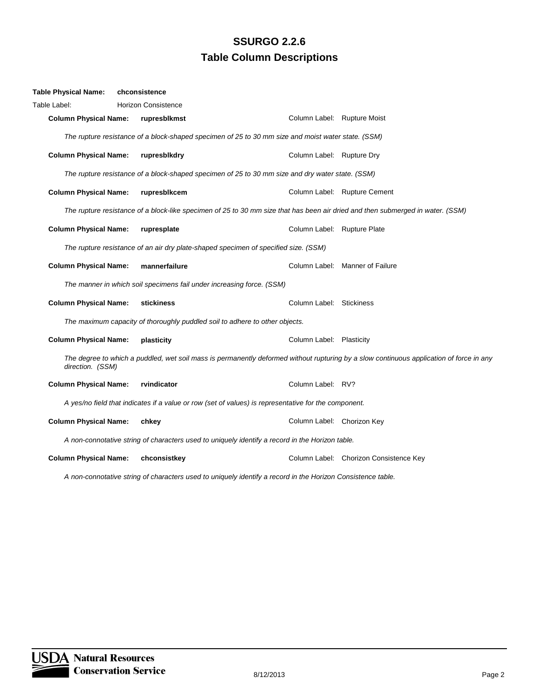| <b>Table Physical Name:</b>  | chconsistence                                                                                                                  |                             |                                                                                                                                         |
|------------------------------|--------------------------------------------------------------------------------------------------------------------------------|-----------------------------|-----------------------------------------------------------------------------------------------------------------------------------------|
| Table Label:                 | <b>Horizon Consistence</b>                                                                                                     |                             |                                                                                                                                         |
| <b>Column Physical Name:</b> | rupresblkmst                                                                                                                   | Column Label: Rupture Moist |                                                                                                                                         |
|                              | The rupture resistance of a block-shaped specimen of 25 to 30 mm size and moist water state. (SSM)                             |                             |                                                                                                                                         |
| <b>Column Physical Name:</b> | rupresblkdry                                                                                                                   | Column Label: Rupture Dry   |                                                                                                                                         |
|                              | The rupture resistance of a block-shaped specimen of 25 to 30 mm size and dry water state. (SSM)                               |                             |                                                                                                                                         |
| <b>Column Physical Name:</b> | rupresblkcem                                                                                                                   |                             | Column Label: Rupture Cement                                                                                                            |
|                              | The rupture resistance of a block-like specimen of 25 to 30 mm size that has been air dried and then submerged in water. (SSM) |                             |                                                                                                                                         |
| <b>Column Physical Name:</b> | rupresplate                                                                                                                    | Column Label: Rupture Plate |                                                                                                                                         |
|                              | The rupture resistance of an air dry plate-shaped specimen of specified size. (SSM)                                            |                             |                                                                                                                                         |
| <b>Column Physical Name:</b> | mannerfailure                                                                                                                  |                             | Column Label: Manner of Failure                                                                                                         |
|                              | The manner in which soil specimens fail under increasing force. (SSM)                                                          |                             |                                                                                                                                         |
| <b>Column Physical Name:</b> | stickiness                                                                                                                     | Column Label: Stickiness    |                                                                                                                                         |
|                              | The maximum capacity of thoroughly puddled soil to adhere to other objects.                                                    |                             |                                                                                                                                         |
| <b>Column Physical Name:</b> | plasticity                                                                                                                     | Column Label: Plasticity    |                                                                                                                                         |
| direction. (SSM)             |                                                                                                                                |                             | The degree to which a puddled, wet soil mass is permanently deformed without rupturing by a slow continuous application of force in any |
| <b>Column Physical Name:</b> | rvindicator                                                                                                                    | Column Label: RV?           |                                                                                                                                         |
|                              | A yes/no field that indicates if a value or row (set of values) is representative for the component.                           |                             |                                                                                                                                         |
| <b>Column Physical Name:</b> | chkey                                                                                                                          | Column Label: Chorizon Key  |                                                                                                                                         |
|                              | A non-connotative string of characters used to uniquely identify a record in the Horizon table.                                |                             |                                                                                                                                         |
| <b>Column Physical Name:</b> | chconsistkey                                                                                                                   |                             | Column Label: Chorizon Consistence Key                                                                                                  |

*A non-connotative string of characters used to uniquely identify a record in the Horizon Consistence table.*

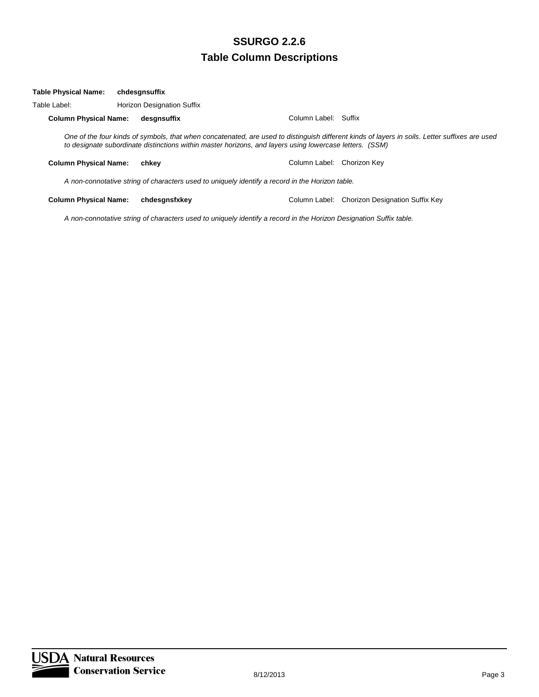#### **Table Physical Name: chdesgnsuffix**

Table Label: Horizon Designation Suffix

**Column Physical Name: desgnsuffix** Column Label: Suffix

*One of the four kinds of symbols, that when concatenated, are used to distinguish different kinds of layers in soils. Letter suffixes are used to designate subordinate distinctions within master horizons, and layers using lowercase letters. (SSM)*

**Column Physical Name: chkey** Column Label: Chorizon Key

*A non-connotative string of characters used to uniquely identify a record in the Horizon table.*

**Column Physical Name: chdesgnsfxkey** Column Label: Chorizon Designation Suffix Key

*A non-connotative string of characters used to uniquely identify a record in the Horizon Designation Suffix table.*

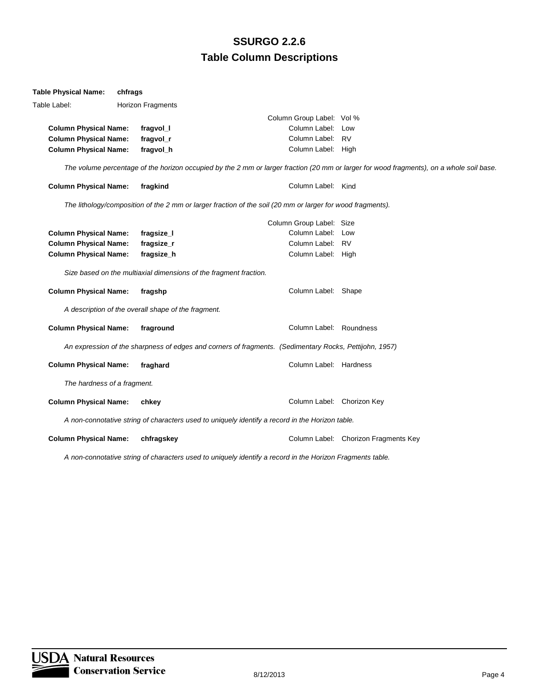| <b>Table Physical Name:</b>  | chfrags |                                                                   |                                                                                                            |                                                                                                                                          |
|------------------------------|---------|-------------------------------------------------------------------|------------------------------------------------------------------------------------------------------------|------------------------------------------------------------------------------------------------------------------------------------------|
| Table Label:                 |         | <b>Horizon Fragments</b>                                          |                                                                                                            |                                                                                                                                          |
|                              |         |                                                                   | Column Group Label: Vol %                                                                                  |                                                                                                                                          |
| <b>Column Physical Name:</b> |         | fragvol_l                                                         | Column Label: Low                                                                                          |                                                                                                                                          |
| <b>Column Physical Name:</b> |         | fragvol_r                                                         | Column Label: RV                                                                                           |                                                                                                                                          |
| <b>Column Physical Name:</b> |         | fragvol_h                                                         | Column Label: High                                                                                         |                                                                                                                                          |
|                              |         |                                                                   |                                                                                                            | The volume percentage of the horizon occupied by the 2 mm or larger fraction (20 mm or larger for wood fragments), on a whole soil base. |
| <b>Column Physical Name:</b> |         | fragkind                                                          | Column Label: Kind                                                                                         |                                                                                                                                          |
|                              |         |                                                                   | The lithology/composition of the 2 mm or larger fraction of the soil (20 mm or larger for wood fragments). |                                                                                                                                          |
|                              |         |                                                                   | Column Group Label: Size                                                                                   |                                                                                                                                          |
| <b>Column Physical Name:</b> |         | fragsize_l                                                        | Column Label: Low                                                                                          |                                                                                                                                          |
| <b>Column Physical Name:</b> |         | fragsize_r                                                        | Column Label: RV                                                                                           |                                                                                                                                          |
| <b>Column Physical Name:</b> |         | fragsize_h                                                        | Column Label: High                                                                                         |                                                                                                                                          |
|                              |         | Size based on the multiaxial dimensions of the fragment fraction. |                                                                                                            |                                                                                                                                          |
| <b>Column Physical Name:</b> |         | fragshp                                                           | Column Label: Shape                                                                                        |                                                                                                                                          |
|                              |         | A description of the overall shape of the fragment.               |                                                                                                            |                                                                                                                                          |
| <b>Column Physical Name:</b> |         | fraground                                                         | Column Label: Roundness                                                                                    |                                                                                                                                          |
|                              |         |                                                                   | An expression of the sharpness of edges and corners of fragments. (Sedimentary Rocks, Pettijohn, 1957)     |                                                                                                                                          |
| <b>Column Physical Name:</b> |         | fraghard                                                          | Column Label: Hardness                                                                                     |                                                                                                                                          |
| The hardness of a fragment.  |         |                                                                   |                                                                                                            |                                                                                                                                          |
| <b>Column Physical Name:</b> |         | chkey                                                             | Column Label: Chorizon Key                                                                                 |                                                                                                                                          |
|                              |         |                                                                   | A non-connotative string of characters used to uniquely identify a record in the Horizon table.            |                                                                                                                                          |
| <b>Column Physical Name:</b> |         | chfragskey                                                        |                                                                                                            | Column Label: Chorizon Fragments Key                                                                                                     |
|                              |         |                                                                   |                                                                                                            |                                                                                                                                          |

*A non-connotative string of characters used to uniquely identify a record in the Horizon Fragments table.*

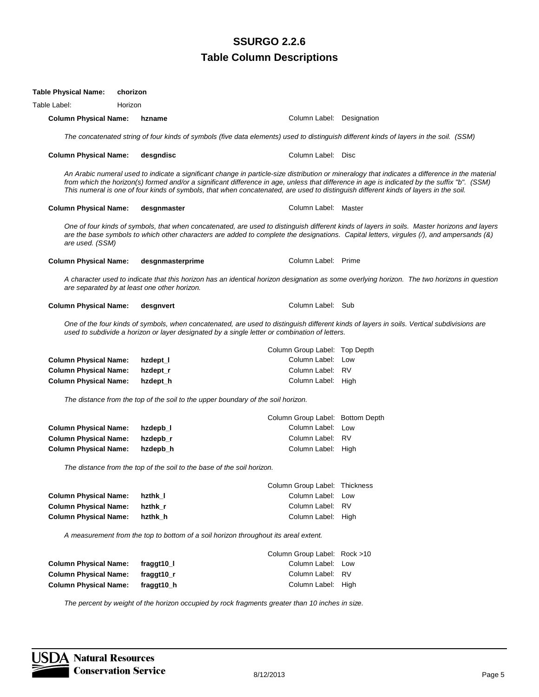| <b>Table Physical Name:</b>  | chorizon                                                                                      |                                  |                                                                                                                                                                                                                                                                                                                                                                                                                                         |
|------------------------------|-----------------------------------------------------------------------------------------------|----------------------------------|-----------------------------------------------------------------------------------------------------------------------------------------------------------------------------------------------------------------------------------------------------------------------------------------------------------------------------------------------------------------------------------------------------------------------------------------|
| Table Label:                 | Horizon                                                                                       |                                  |                                                                                                                                                                                                                                                                                                                                                                                                                                         |
| <b>Column Physical Name:</b> | hzname                                                                                        | Column Label: Designation        |                                                                                                                                                                                                                                                                                                                                                                                                                                         |
|                              |                                                                                               |                                  | The concatenated string of four kinds of symbols (five data elements) used to distinguish different kinds of layers in the soil. (SSM)                                                                                                                                                                                                                                                                                                  |
| <b>Column Physical Name:</b> | desgndisc                                                                                     | Column Label: Disc               |                                                                                                                                                                                                                                                                                                                                                                                                                                         |
|                              |                                                                                               |                                  | An Arabic numeral used to indicate a significant change in particle-size distribution or mineralogy that indicates a difference in the material<br>from which the horizon(s) formed and/or a significant difference in age, unless that difference in age is indicated by the suffix "b". (SSM)<br>This numeral is one of four kinds of symbols, that when concatenated, are used to distinguish different kinds of layers in the soil. |
| <b>Column Physical Name:</b> | desgnmaster                                                                                   | Column Label: Master             |                                                                                                                                                                                                                                                                                                                                                                                                                                         |
| are used. (SSM)              |                                                                                               |                                  | One of four kinds of symbols, that when concatenated, are used to distinguish different kinds of layers in soils. Master horizons and layers<br>are the base symbols to which other characters are added to complete the designations. Capital letters, virgules (/), and ampersands (&)                                                                                                                                                |
| <b>Column Physical Name:</b> | desgnmasterprime                                                                              | Column Label: Prime              |                                                                                                                                                                                                                                                                                                                                                                                                                                         |
|                              | are separated by at least one other horizon.                                                  |                                  | A character used to indicate that this horizon has an identical horizon designation as some overlying horizon. The two horizons in question                                                                                                                                                                                                                                                                                             |
| <b>Column Physical Name:</b> | desgnvert                                                                                     | Column Label: Sub                |                                                                                                                                                                                                                                                                                                                                                                                                                                         |
|                              | used to subdivide a horizon or layer designated by a single letter or combination of letters. |                                  | One of the four kinds of symbols, when concatenated, are used to distinguish different kinds of layers in soils. Vertical subdivisions are                                                                                                                                                                                                                                                                                              |
|                              |                                                                                               | Column Group Label: Top Depth    |                                                                                                                                                                                                                                                                                                                                                                                                                                         |
| <b>Column Physical Name:</b> | hzdept_l                                                                                      | Column Label: Low                |                                                                                                                                                                                                                                                                                                                                                                                                                                         |
| <b>Column Physical Name:</b> | hzdept_r                                                                                      | Column Label: RV                 |                                                                                                                                                                                                                                                                                                                                                                                                                                         |
| <b>Column Physical Name:</b> | hzdept_h                                                                                      | Column Label: High               |                                                                                                                                                                                                                                                                                                                                                                                                                                         |
|                              | The distance from the top of the soil to the upper boundary of the soil horizon.              |                                  |                                                                                                                                                                                                                                                                                                                                                                                                                                         |
|                              |                                                                                               | Column Group Label: Bottom Depth |                                                                                                                                                                                                                                                                                                                                                                                                                                         |
| <b>Column Physical Name:</b> | hzdepb_l                                                                                      | Column Label: Low                |                                                                                                                                                                                                                                                                                                                                                                                                                                         |
| <b>Column Physical Name:</b> | hzdepb_r                                                                                      | Column Label: RV                 |                                                                                                                                                                                                                                                                                                                                                                                                                                         |
| <b>Column Physical Name:</b> | hzdepb_h                                                                                      | Column Label: High               |                                                                                                                                                                                                                                                                                                                                                                                                                                         |
|                              | The distance from the top of the soil to the base of the soil horizon.                        |                                  |                                                                                                                                                                                                                                                                                                                                                                                                                                         |
|                              |                                                                                               | Column Group Label: Thickness    |                                                                                                                                                                                                                                                                                                                                                                                                                                         |
| <b>Column Physical Name:</b> | hzthk_l                                                                                       | Column Label: Low                |                                                                                                                                                                                                                                                                                                                                                                                                                                         |
| <b>Column Physical Name:</b> | hzthk_r                                                                                       | Column Label: RV                 |                                                                                                                                                                                                                                                                                                                                                                                                                                         |
| <b>Column Physical Name:</b> | hzthk_h                                                                                       | Column Label: High               |                                                                                                                                                                                                                                                                                                                                                                                                                                         |
|                              | A measurement from the top to bottom of a soil horizon throughout its areal extent.           |                                  |                                                                                                                                                                                                                                                                                                                                                                                                                                         |
|                              |                                                                                               |                                  |                                                                                                                                                                                                                                                                                                                                                                                                                                         |
|                              |                                                                                               | Column Group Label: Rock >10     |                                                                                                                                                                                                                                                                                                                                                                                                                                         |
| <b>Column Physical Name:</b> | fraggt10_l                                                                                    | Column Label: Low                |                                                                                                                                                                                                                                                                                                                                                                                                                                         |
| <b>Column Physical Name:</b> | fraggt10_r                                                                                    | Column Label: RV                 |                                                                                                                                                                                                                                                                                                                                                                                                                                         |
| <b>Column Physical Name:</b> | fraggt10_h                                                                                    | Column Label: High               |                                                                                                                                                                                                                                                                                                                                                                                                                                         |

*The percent by weight of the horizon occupied by rock fragments greater than 10 inches in size.*

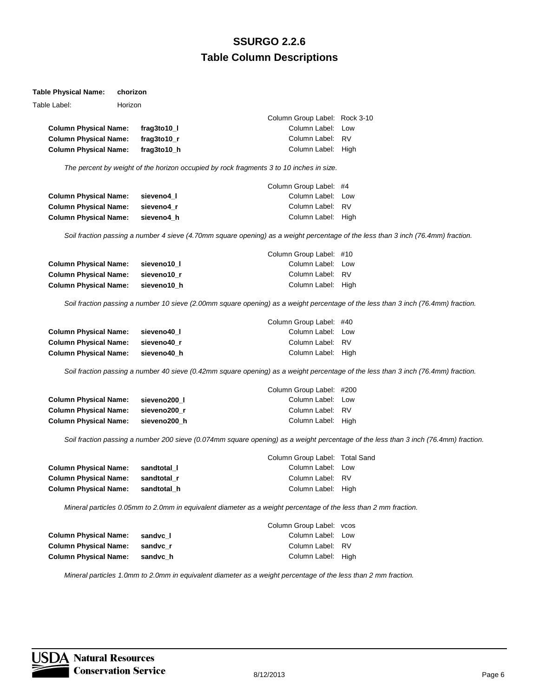#### **Table Physical Name: chorizon**

| Table Label:                 | Horizon |               |                               |  |
|------------------------------|---------|---------------|-------------------------------|--|
|                              |         |               | Column Group Label: Rock 3-10 |  |
| <b>Column Physical Name:</b> |         | frag3to10 l   | Column Label: Low             |  |
| <b>Column Physical Name:</b> |         | frag3to10 $r$ | Column Label: RV              |  |
| <b>Column Physical Name:</b> |         | frag3to10 h   | Column Label: High            |  |

*The percent by weight of the horizon occupied by rock fragments 3 to 10 inches in size.*

|                              |            | Column Group Label: #4 |  |
|------------------------------|------------|------------------------|--|
| <b>Column Physical Name:</b> | sieveno4 l | Column Label: Low      |  |
| <b>Column Physical Name:</b> | sieveno4 r | Column Label: RV       |  |
| <b>Column Physical Name:</b> | sieveno4 h | Column Label: High     |  |

*Soil fraction passing a number 4 sieve (4.70mm square opening) as a weight percentage of the less than 3 inch (76.4mm) fraction.*

|                              |             | Column Group Label: #10 |  |
|------------------------------|-------------|-------------------------|--|
| <b>Column Physical Name:</b> | sieveno10 l | Column Label: Low       |  |
| <b>Column Physical Name:</b> | sieveno10 r | Column Label: RV        |  |
| <b>Column Physical Name:</b> | sieveno10 h | Column Label: High      |  |

*Soil fraction passing a number 10 sieve (2.00mm square opening) as a weight percentage of the less than 3 inch (76.4mm) fraction.*

|                              |             | Column Group Label: #40 |  |
|------------------------------|-------------|-------------------------|--|
| <b>Column Physical Name:</b> | sieveno40 l | Column Label: Low       |  |
| <b>Column Physical Name:</b> | sieveno40 r | Column Label: RV        |  |
| <b>Column Physical Name:</b> | sieveno40 h | Column Label: High      |  |

*Soil fraction passing a number 40 sieve (0.42mm square opening) as a weight percentage of the less than 3 inch (76.4mm) fraction.*

|                              |              | Column Group Label: #200 |  |
|------------------------------|--------------|--------------------------|--|
| <b>Column Physical Name:</b> | sieveno200 l | Column Label: Low        |  |
| <b>Column Physical Name:</b> | sieveno200 r | Column Label: RV         |  |
| <b>Column Physical Name:</b> | sieveno200 h | Column Label: High       |  |

*Soil fraction passing a number 200 sieve (0.074mm square opening) as a weight percentage of the less than 3 inch (76.4mm) fraction.*

| Column Group Label: Total Sand |
|--------------------------------|
| Column Label: Low              |
|                                |
| Column Label: High             |
|                                |

*Mineral particles 0.05mm to 2.0mm in equivalent diameter as a weight percentage of the less than 2 mm fraction.*

|                              |          | Column Group Label: vcos |  |
|------------------------------|----------|--------------------------|--|
| <b>Column Physical Name:</b> | sandvc 1 | Column Label: Low        |  |
| <b>Column Physical Name:</b> | sandvc r | Column Label: RV         |  |
| <b>Column Physical Name:</b> | sandvc h | Column Label: High       |  |

*Mineral particles 1.0mm to 2.0mm in equivalent diameter as a weight percentage of the less than 2 mm fraction.*

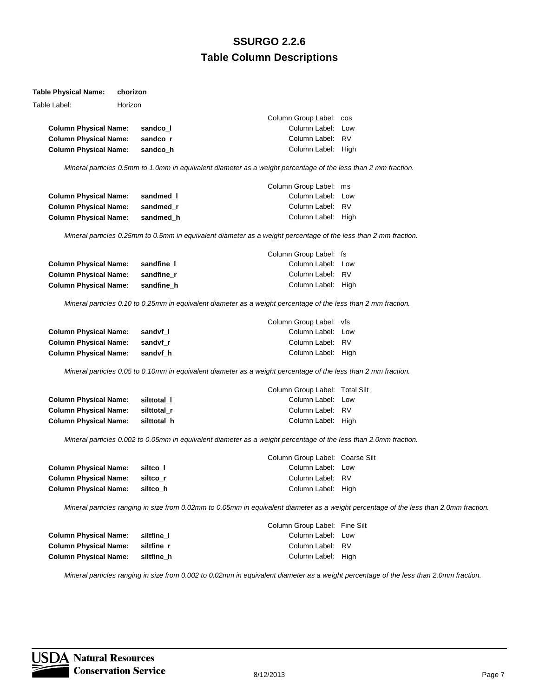#### **Table Physical Name: chorizon**

| Table Label:                 | Horizon |            |                                                                                                                 |  |
|------------------------------|---------|------------|-----------------------------------------------------------------------------------------------------------------|--|
|                              |         |            | Column Group Label: cos                                                                                         |  |
| <b>Column Physical Name:</b> |         | sandco I   | Column Label: Low                                                                                               |  |
| <b>Column Physical Name:</b> |         | sandco r   | Column Label: RV                                                                                                |  |
| <b>Column Physical Name:</b> |         | sandco h   | Column Label: High                                                                                              |  |
|                              |         |            | Mineral particles 0.5mm to 1.0mm in equivalent diameter as a weight percentage of the less than 2 mm fraction.  |  |
|                              |         |            | Column Group Label: ms                                                                                          |  |
| <b>Column Physical Name:</b> |         | sandmed I  | Column Label: Low                                                                                               |  |
| <b>Column Physical Name:</b> |         | sandmed r  | Column Label: RV                                                                                                |  |
| <b>Column Physical Name:</b> |         | sandmed h  | Column Label: High                                                                                              |  |
|                              |         |            | Mineral particles 0.25mm to 0.5mm in equivalent diameter as a weight percentage of the less than 2 mm fraction. |  |
|                              |         |            | Column Group Label: fs                                                                                          |  |
| <b>Column Physical Name:</b> |         | sandfine I | Column Label: Low                                                                                               |  |

| GUIUIIIII FIIYSIGAI IYAIIIE. | — запише т | <b>UURIIIII LAUGI.</b> LUW |  |
|------------------------------|------------|----------------------------|--|
| <b>Column Physical Name:</b> | sandfine r | Column Label: RV           |  |
| <b>Column Physical Name:</b> | sandfine h | Column Label: High         |  |
|                              |            |                            |  |

*Mineral particles 0.10 to 0.25mm in equivalent diameter as a weight percentage of the less than 2 mm fraction.*

|                              |          | Column Group Label: vfs |  |
|------------------------------|----------|-------------------------|--|
| <b>Column Physical Name:</b> | sandvf I | Column Label: Low       |  |
| <b>Column Physical Name:</b> | sandyf r | Column Label: RV        |  |
| <b>Column Physical Name:</b> | sandyf h | Column Label: High      |  |

*Mineral particles 0.05 to 0.10mm in equivalent diameter as a weight percentage of the less than 2 mm fraction.*

|                              |             | Column Group Label: Total Silt |  |
|------------------------------|-------------|--------------------------------|--|
| <b>Column Physical Name:</b> | silttotal I | Column Label: Low              |  |
| <b>Column Physical Name:</b> | silttotal r | Column Label: RV               |  |
| <b>Column Physical Name:</b> | silttotal h | Column Label: High             |  |

*Mineral particles 0.002 to 0.05mm in equivalent diameter as a weight percentage of the less than 2.0mm fraction.*

|                              |          | Column Group Label: Coarse Silt |  |
|------------------------------|----------|---------------------------------|--|
| <b>Column Physical Name:</b> | siltco I | Column Label: Low               |  |
| <b>Column Physical Name:</b> | siltco r | Column Label: RV                |  |
| <b>Column Physical Name:</b> | siltco h | Column Label: High              |  |
|                              |          |                                 |  |

*Mineral particles ranging in size from 0.02mm to 0.05mm in equivalent diameter as a weight percentage of the less than 2.0mm fraction.*

|                              |            | Column Group Label: Fine Silt |  |
|------------------------------|------------|-------------------------------|--|
| <b>Column Physical Name:</b> | siltfine I | Column Label: Low             |  |
| <b>Column Physical Name:</b> | siltfine r | Column Label: RV              |  |
| <b>Column Physical Name:</b> | siltfine h | Column Label: High            |  |

*Mineral particles ranging in size from 0.002 to 0.02mm in equivalent diameter as a weight percentage of the less than 2.0mm fraction.*

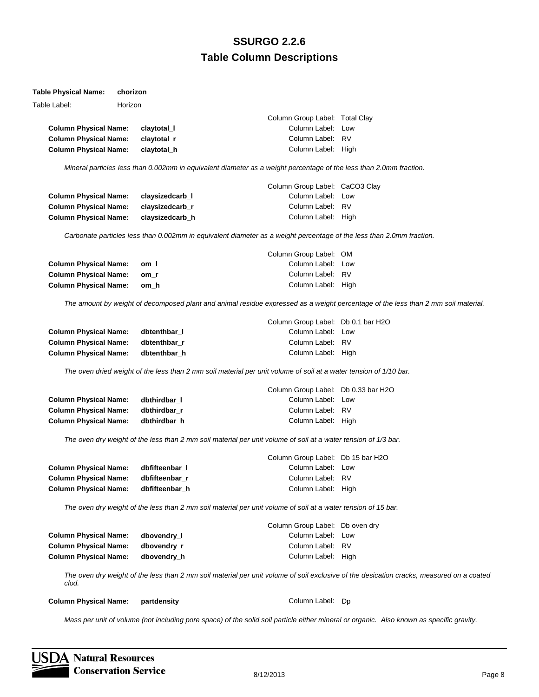#### **Table Physical Name: chorizon**

| Table Label:                 | Horizon |             |                                |  |
|------------------------------|---------|-------------|--------------------------------|--|
|                              |         |             | Column Group Label: Total Clay |  |
| <b>Column Physical Name:</b> |         | claytotal I | Column Label: Low              |  |
| <b>Column Physical Name:</b> |         | clavtotal r | Column Label: RV               |  |
| <b>Column Physical Name:</b> |         | claytotal h | Column Label: High             |  |

*Mineral particles less than 0.002mm in equivalent diameter as a weight percentage of the less than 2.0mm fraction.*

|                              |                 | Column Group Label: CaCO3 Clay |  |
|------------------------------|-----------------|--------------------------------|--|
| <b>Column Physical Name:</b> | claysizedcarb I | Column Label: Low              |  |
| <b>Column Physical Name:</b> | claysizedcarb r | Column Label: RV               |  |
| <b>Column Physical Name:</b> | claysizedcarb h | Column Label: High             |  |

*Carbonate particles less than 0.002mm in equivalent diameter as a weight percentage of the less than 2.0mm fraction.*

|                              |      | Column Group Label: OM |  |
|------------------------------|------|------------------------|--|
| <b>Column Physical Name:</b> | om I | Column Label: Low      |  |
| <b>Column Physical Name:</b> | om r | Column Label: RV       |  |
| <b>Column Physical Name:</b> | om h | Column Label: High     |  |

*The amount by weight of decomposed plant and animal residue expressed as a weight percentage of the less than 2 mm soil material.*

|                              |              | Column Group Label: Db 0.1 bar H2O |  |
|------------------------------|--------------|------------------------------------|--|
| <b>Column Physical Name:</b> | dbtenthbar I | Column Label: Low                  |  |
| <b>Column Physical Name:</b> | dbtenthbar r | Column Label: RV                   |  |
| <b>Column Physical Name:</b> | dbtenthbar h | Column Label: High                 |  |

*The oven dried weight of the less than 2 mm soil material per unit volume of soil at a water tension of 1/10 bar.*

|                                    |              | Column Group Label: Db 0.33 bar H2O |  |
|------------------------------------|--------------|-------------------------------------|--|
| <b>Column Physical Name:</b>       | dbthirdbar I | Column Label: Low                   |  |
| Column Physical Name: dbthirdbar r |              | Column Label: RV                    |  |
| Column Physical Name: dbthirdbar h |              | Column Label: High                  |  |

*The oven dry weight of the less than 2 mm soil material per unit volume of soil at a water tension of 1/3 bar.*

|                              |                | Column Group Label: Db 15 bar H2O |  |
|------------------------------|----------------|-----------------------------------|--|
| <b>Column Physical Name:</b> | dbfifteenbar I | Column Label: Low                 |  |
| <b>Column Physical Name:</b> | dbfifteenbar r | Column Label: RV                  |  |
| <b>Column Physical Name:</b> | dbfifteenbar h | Column Label: High                |  |
|                              |                |                                   |  |

*The oven dry weight of the less than 2 mm soil material per unit volume of soil at a water tension of 15 bar.*

|                              |             | Column Group Label: Db oven dry |  |
|------------------------------|-------------|---------------------------------|--|
| <b>Column Physical Name:</b> | dbovendry I | Column Label: Low               |  |
| <b>Column Physical Name:</b> | dbovendry r | Column Label: RV                |  |
| <b>Column Physical Name:</b> | dbovendry h | Column Label: High              |  |

*The oven dry weight of the less than 2 mm soil material per unit volume of soil exclusive of the desication cracks, measured on a coated clod.*

#### **Column Physical Name: partdensity Column Label: Dp Column Label: Dp Column Label: Dp Column Label: Dp**

*Mass per unit of volume (not including pore space) of the solid soil particle either mineral or organic. Also known as specific gravity.*

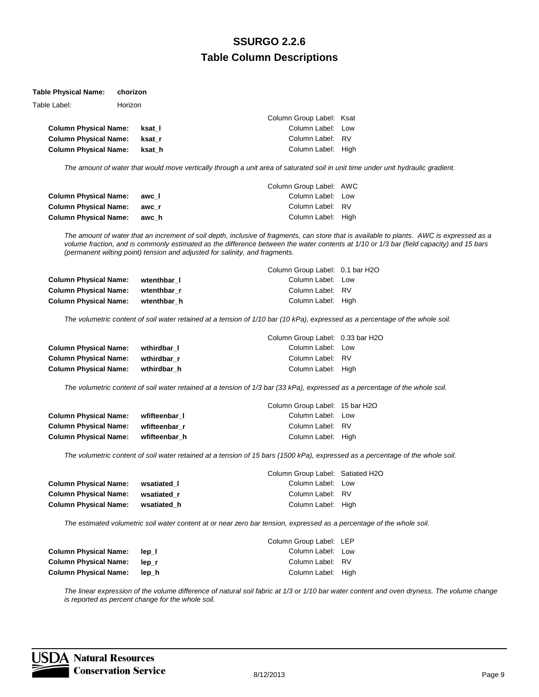#### **Table Physical Name: chorizon**

| Table Label:                 | Horizon |        |                          |  |
|------------------------------|---------|--------|--------------------------|--|
|                              |         |        | Column Group Label: Ksat |  |
| <b>Column Physical Name:</b> |         | ksat l | Column Label: Low        |  |
| <b>Column Physical Name:</b> |         | ksat r | Column Label: RV         |  |
| <b>Column Physical Name:</b> |         | ksat h | Column Label: High       |  |

*The amount of water that would move vertically through a unit area of saturated soil in unit time under unit hydraulic gradient.*

|                              |       | Column Group Label: AWC |  |
|------------------------------|-------|-------------------------|--|
| <b>Column Physical Name:</b> | awc I | Column Label: Low       |  |
| <b>Column Physical Name:</b> | awc r | Column Label: RV        |  |
| <b>Column Physical Name:</b> | awch  | Column Label: High      |  |

*The amount of water that an increment of soil depth, inclusive of fragments, can store that is available to plants. AWC is expressed as a volume fraction, and is commonly estimated as the difference between the water contents at 1/10 or 1/3 bar (field capacity) and 15 bars (permanent wilting point) tension and adjusted for salinity, and fragments.*

|                              |             | Column Group Label: 0.1 bar H2O |  |
|------------------------------|-------------|---------------------------------|--|
| <b>Column Physical Name:</b> | wtenthbar I | Column Label: Low               |  |
| <b>Column Physical Name:</b> | wtenthbar r | Column Label: RV                |  |
| <b>Column Physical Name:</b> | wtenthbar h | Column Label: High              |  |

*The volumetric content of soil water retained at a tension of 1/10 bar (10 kPa), expressed as a percentage of the whole soil.*

|                              |             | Column Group Label: 0.33 bar H2O |  |
|------------------------------|-------------|----------------------------------|--|
| <b>Column Physical Name:</b> | wthirdbar I | Column Label: Low                |  |
| <b>Column Physical Name:</b> | wthirdbar r | Column Label: RV                 |  |
| <b>Column Physical Name:</b> | wthirdbar h | Column Label: High               |  |

*The volumetric content of soil water retained at a tension of 1/3 bar (33 kPa), expressed as a percentage of the whole soil.*

|                              |               | Column Group Label: 15 bar H2O |  |
|------------------------------|---------------|--------------------------------|--|
| <b>Column Physical Name:</b> | wfifteenbar I | Column Label: Low              |  |
| <b>Column Physical Name:</b> | wfifteenbar r | Column Label: RV               |  |
| <b>Column Physical Name:</b> | wfifteenbar h | Column Label: High             |  |

*The volumetric content of soil water retained at a tension of 15 bars (1500 kPa), expressed as a percentage of the whole soil.*

|                              |             | Column Group Label: Satiated H2O |  |
|------------------------------|-------------|----------------------------------|--|
| <b>Column Physical Name:</b> | wsatiated I | Column Label: Low                |  |
| <b>Column Physical Name:</b> | wsatiated r | Column Label: RV                 |  |
| <b>Column Physical Name:</b> | wsatiated h | Column Label: High               |  |

*The estimated volumetric soil water content at or near zero bar tension, expressed as a percentage of the whole soil.*

|                              |       | Column Group Label: LEP |  |
|------------------------------|-------|-------------------------|--|
| <b>Column Physical Name:</b> | lep I | Column Label: Low       |  |
| <b>Column Physical Name:</b> | lep r | Column Label: RV        |  |
| <b>Column Physical Name:</b> | lep h | Column Label: High      |  |

*The linear expression of the volume difference of natural soil fabric at 1/3 or 1/10 bar water content and oven dryness. The volume change is reported as percent change for the whole soil.*

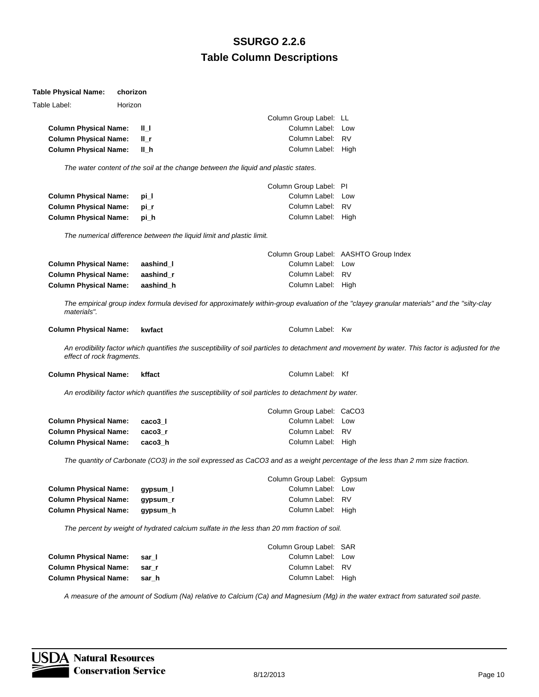| Table Physical Name:         | chorizon |                   |                                                                                                                                |                                                                                                                                                  |
|------------------------------|----------|-------------------|--------------------------------------------------------------------------------------------------------------------------------|--------------------------------------------------------------------------------------------------------------------------------------------------|
| Table Label:                 | Horizon  |                   |                                                                                                                                |                                                                                                                                                  |
|                              |          |                   | Column Group Label: LL                                                                                                         |                                                                                                                                                  |
| <b>Column Physical Name:</b> |          | ╨                 | Column Label:                                                                                                                  | Low                                                                                                                                              |
| <b>Column Physical Name:</b> |          | ∥_r               | Column Label: RV                                                                                                               |                                                                                                                                                  |
| <b>Column Physical Name:</b> |          | II_h              | Column Label: High                                                                                                             |                                                                                                                                                  |
|                              |          |                   | The water content of the soil at the change between the liquid and plastic states.                                             |                                                                                                                                                  |
|                              |          |                   | Column Group Label: PI                                                                                                         |                                                                                                                                                  |
| <b>Column Physical Name:</b> |          | pi_l              | Column Label: Low                                                                                                              |                                                                                                                                                  |
| <b>Column Physical Name:</b> |          | pi_r              | Column Label: RV                                                                                                               |                                                                                                                                                  |
| <b>Column Physical Name:</b> |          | pi_h              | Column Label: High                                                                                                             |                                                                                                                                                  |
|                              |          |                   | The numerical difference between the liquid limit and plastic limit.                                                           |                                                                                                                                                  |
|                              |          |                   |                                                                                                                                | Column Group Label: AASHTO Group Index                                                                                                           |
| <b>Column Physical Name:</b> |          | aashind_l         | Column Label: Low                                                                                                              |                                                                                                                                                  |
| <b>Column Physical Name:</b> |          | aashind_r         | Column Label: RV                                                                                                               |                                                                                                                                                  |
| <b>Column Physical Name:</b> |          | aashind_h         | Column Label: High                                                                                                             |                                                                                                                                                  |
| materials".                  |          |                   |                                                                                                                                | The empirical group index formula devised for approximately within-group evaluation of the "clayey granular materials" and the "silty-clay       |
| <b>Column Physical Name:</b> |          | kwfact            | Column Label: Kw                                                                                                               |                                                                                                                                                  |
| effect of rock fragments.    |          |                   |                                                                                                                                | An erodibility factor which quantifies the susceptibility of soil particles to detachment and movement by water. This factor is adjusted for the |
| <b>Column Physical Name:</b> |          | kffact            | Column Label: Kf                                                                                                               |                                                                                                                                                  |
|                              |          |                   | An erodibility factor which quantifies the susceptibility of soil particles to detachment by water.                            |                                                                                                                                                  |
|                              |          |                   | Column Group Label: CaCO3                                                                                                      |                                                                                                                                                  |
| <b>Column Physical Name:</b> |          | caco <sub>3</sub> | Column Label: Low                                                                                                              |                                                                                                                                                  |
| <b>Column Physical Name:</b> |          | caco3 r           | Column Label: RV                                                                                                               |                                                                                                                                                  |
| <b>Column Physical Name:</b> |          | caco3_h           | Column Label: High                                                                                                             |                                                                                                                                                  |
|                              |          |                   | The quantity of Carbonate (CO3) in the soil expressed as CaCO3 and as a weight percentage of the less than 2 mm size fraction. |                                                                                                                                                  |
|                              |          |                   | Column Group Label: Gypsum                                                                                                     |                                                                                                                                                  |
| <b>Column Physical Name:</b> |          | gypsum_l          | Column Label: Low                                                                                                              |                                                                                                                                                  |
| <b>Column Physical Name:</b> |          | gypsum_r          | Column Label:                                                                                                                  | <b>RV</b>                                                                                                                                        |
| <b>Column Physical Name:</b> |          | gypsum_h          | Column Label: High                                                                                                             |                                                                                                                                                  |
|                              |          |                   | The percent by weight of hydrated calcium sulfate in the less than 20 mm fraction of soil.                                     |                                                                                                                                                  |
|                              |          |                   | Column Group Label: SAR                                                                                                        |                                                                                                                                                  |
| <b>Column Physical Name:</b> |          | sar_l             | Column Label:                                                                                                                  | Low                                                                                                                                              |
| <b>Column Physical Name:</b> |          | sar_r             | Column Label:                                                                                                                  | <b>RV</b>                                                                                                                                        |
| <b>Column Physical Name:</b> |          | sar_h             | Column Label: High                                                                                                             |                                                                                                                                                  |
|                              |          |                   |                                                                                                                                |                                                                                                                                                  |

*A measure of the amount of Sodium (Na) relative to Calcium (Ca) and Magnesium (Mg) in the water extract from saturated soil paste.*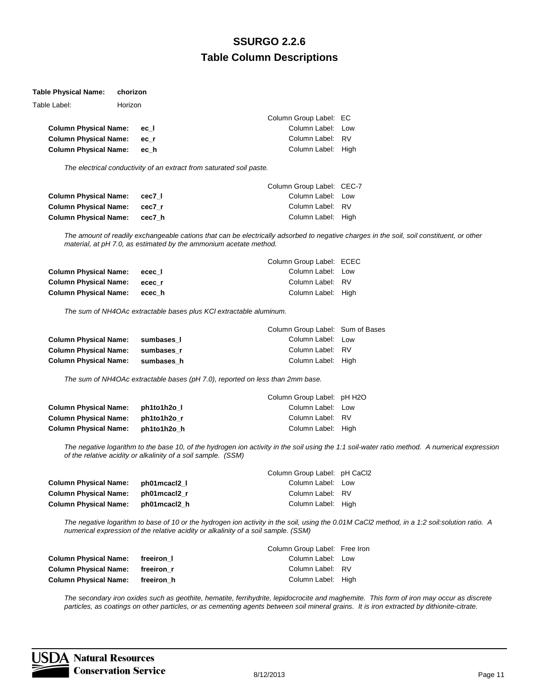#### **Table Physical Name: chorizon**

| Table Label:                 | Horizon |      |                        |  |
|------------------------------|---------|------|------------------------|--|
|                              |         |      | Column Group Label: EC |  |
| <b>Column Physical Name:</b> |         | ec I | Column Label: Low      |  |
| <b>Column Physical Name:</b> |         | ec r | Column Label: RV       |  |
| <b>Column Physical Name:</b> |         | ech  | Column Label: High     |  |
|                              |         |      |                        |  |

*The electrical conductivity of an extract from saturated soil paste.*

|                              |        | Column Group Label: CEC-7 |  |
|------------------------------|--------|---------------------------|--|
| <b>Column Physical Name:</b> | cec7 I | Column Label: Low         |  |
| <b>Column Physical Name:</b> | cec7 r | Column Label: RV          |  |
| <b>Column Physical Name:</b> | cec7 h | Column Label: High        |  |

*The amount of readily exchangeable cations that can be electrically adsorbed to negative charges in the soil, soil constituent, or other material, at pH 7.0, as estimated by the ammonium acetate method.*

|                              |        | Column Group Label: ECEC |  |
|------------------------------|--------|--------------------------|--|
| <b>Column Physical Name:</b> | ecec I | Column Label: Low        |  |
| <b>Column Physical Name:</b> | ecec r | Column Label: RV         |  |
| <b>Column Physical Name:</b> | ecec h | Column Label: High       |  |

*The sum of NH4OAc extractable bases plus KCl extractable aluminum.*

|                              |            | Column Group Label: Sum of Bases |  |
|------------------------------|------------|----------------------------------|--|
| <b>Column Physical Name:</b> | sumbases I | Column Label: Low                |  |
| <b>Column Physical Name:</b> | sumbases r | Column Label: RV                 |  |
| <b>Column Physical Name:</b> | sumbases h | Column Label: High               |  |

*The sum of NH4OAc extractable bases (pH 7.0), reported on less than 2mm base.*

|                              |             | Column Group Label: pH H2O |  |
|------------------------------|-------------|----------------------------|--|
| <b>Column Physical Name:</b> | ph1to1h2o l | Column Label: Low          |  |
| <b>Column Physical Name:</b> | ph1to1h2o r | Column Label: RV           |  |
| <b>Column Physical Name:</b> | ph1to1h2o h | Column Label: High         |  |

*The negative logarithm to the base 10, of the hydrogen ion activity in the soil using the 1:1 soil-water ratio method. A numerical expression of the relative acidity or alkalinity of a soil sample. (SSM)*

|              | Column Group Label: pH CaCl2 |  |
|--------------|------------------------------|--|
| ph01mcacl2 l | Column Label: Low            |  |
| ph01mcacl2 r | Column Label: RV             |  |
| ph01mcacl2 h | Column Label: High           |  |
|              |                              |  |

*The negative logarithm to base of 10 or the hydrogen ion activity in the soil, using the 0.01M CaCl2 method, in a 1:2 soil:solution ratio. A numerical expression of the relative acidity or alkalinity of a soil sample. (SSM)*

|                              |            | Column Group Label: Free Iron |  |
|------------------------------|------------|-------------------------------|--|
| <b>Column Physical Name:</b> | freeiron I | Column Label: Low             |  |
| <b>Column Physical Name:</b> | freeiron r | Column Label: RV              |  |
| <b>Column Physical Name:</b> | freeiron h | Column Label: High            |  |

*The secondary iron oxides such as geothite, hematite, ferrihydrite, lepidocrocite and maghemite. This form of iron may occur as discrete particles, as coatings on other particles, or as cementing agents between soil mineral grains. It is iron extracted by dithionite-citrate.*

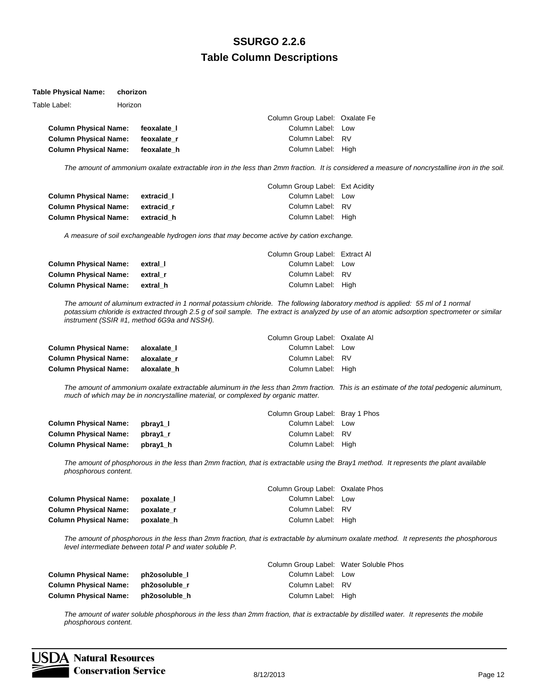#### **Table Physical Name: chorizon**

| Table Label:                 | Horizon |             |                                |  |
|------------------------------|---------|-------------|--------------------------------|--|
|                              |         |             | Column Group Label: Oxalate Fe |  |
| <b>Column Physical Name:</b> |         | feoxalate I | Column Label: Low              |  |
| <b>Column Physical Name:</b> |         | feoxalate r | Column Label: RV               |  |
| <b>Column Physical Name:</b> |         | feoxalate h | Column Label: High             |  |

*The amount of ammonium oxalate extractable iron in the less than 2mm fraction. It is considered a measure of noncrystalline iron in the soil.*

|                              |            | Column Group Label: Ext Acidity |  |
|------------------------------|------------|---------------------------------|--|
| <b>Column Physical Name:</b> | extracid I | Column Label: Low               |  |
| <b>Column Physical Name:</b> | extracid r | Column Label: RV                |  |
| <b>Column Physical Name:</b> | extracid h | Column Label: High              |  |

*A measure of soil exchangeable hydrogen ions that may become active by cation exchange.*

|                                |          | Column Group Label: Extract Al |  |
|--------------------------------|----------|--------------------------------|--|
| <b>Column Physical Name:</b>   | extral I | Column Label: Low              |  |
| Column Physical Name: extral r |          | Column Label: RV               |  |
| Column Physical Name: extral h |          | Column Label: High             |  |

*The amount of aluminum extracted in 1 normal potassium chloride. The following laboratory method is applied: 55 ml of 1 normal potassium chloride is extracted through 2.5 g of soil sample. The extract is analyzed by use of an atomic adsorption spectrometer or similar instrument (SSIR #1, method 6G9a and NSSH).*

|                              |             | Column Group Label: Oxalate Al |  |
|------------------------------|-------------|--------------------------------|--|
| <b>Column Physical Name:</b> | aloxalate I | Column Label: Low              |  |
| <b>Column Physical Name:</b> | aloxalate r | Column Label: RV               |  |
| <b>Column Physical Name:</b> | aloxalate h | Column Label: High             |  |

*The amount of ammonium oxalate extractable aluminum in the less than 2mm fraction. This is an estimate of the total pedogenic aluminum, much of which may be in noncrystalline material, or complexed by organic matter.*

|                              |          | Column Group Label: Bray 1 Phos |  |
|------------------------------|----------|---------------------------------|--|
| <b>Column Physical Name:</b> | pbrav1 l | Column Label: Low               |  |
| <b>Column Physical Name:</b> | pbray1 r | Column Label: RV                |  |
| <b>Column Physical Name:</b> | pbray1 h | Column Label: High              |  |

*The amount of phosphorous in the less than 2mm fraction, that is extractable using the Bray1 method. It represents the plant available phosphorous content.*

|            | Column Group Label: Oxalate Phos |  |
|------------|----------------------------------|--|
| poxalate 1 | Column Label: Low                |  |
| poxalate r | Column Label: RV                 |  |
| poxalate h | Column Label: High               |  |
|            |                                  |  |

*The amount of phosphorous in the less than 2mm fraction, that is extractable by aluminum oxalate method. It represents the phosphorous level intermediate between total P and water soluble P.*

|                                     |               | Column Group Label: Water Soluble Phos |  |
|-------------------------------------|---------------|----------------------------------------|--|
| Column Physical Name: ph2osoluble 1 |               | Column Label: Low                      |  |
| Column Physical Name: ph2osoluble r |               | Column Label: RV                       |  |
| Column Physical Name:               | ph2osoluble h | Column Label: High                     |  |

The amount of water soluble phosphorous in the less than 2mm fraction, that is extractable by distilled water. It represents the mobile *phosphorous content.*

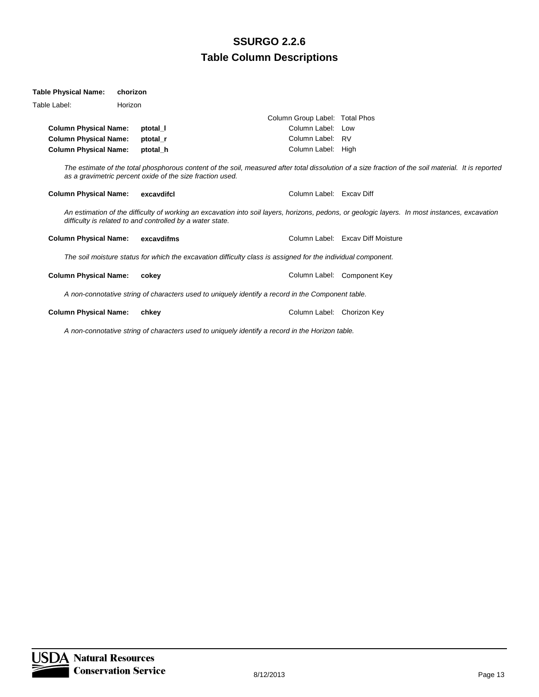| Table Physical Name:         | chorizon |                                                           |                                                                                                              |                                                                                                                                                     |
|------------------------------|----------|-----------------------------------------------------------|--------------------------------------------------------------------------------------------------------------|-----------------------------------------------------------------------------------------------------------------------------------------------------|
| Table Label:                 | Horizon  |                                                           |                                                                                                              |                                                                                                                                                     |
|                              |          |                                                           | Column Group Label: Total Phos                                                                               |                                                                                                                                                     |
| <b>Column Physical Name:</b> |          | ptotal I                                                  | Column Label: Low                                                                                            |                                                                                                                                                     |
| <b>Column Physical Name:</b> |          | ptotal r                                                  | Column Label: RV                                                                                             |                                                                                                                                                     |
| <b>Column Physical Name:</b> |          | ptotal h                                                  | Column Label: High                                                                                           |                                                                                                                                                     |
|                              |          | as a gravimetric percent oxide of the size fraction used. |                                                                                                              | The estimate of the total phosphorous content of the soil, measured after total dissolution of a size fraction of the soil material. It is reported |
| <b>Column Physical Name:</b> |          | excavdifcl                                                | Column Label: Excay Diff                                                                                     |                                                                                                                                                     |
|                              |          | difficulty is related to and controlled by a water state. |                                                                                                              | An estimation of the difficulty of working an excavation into soil layers, horizons, pedons, or geologic layers. In most instances, excavation      |
| <b>Column Physical Name:</b> |          | excavdifms                                                |                                                                                                              | Column Label: Excay Diff Moisture                                                                                                                   |
|                              |          |                                                           | The soil moisture status for which the excavation difficulty class is assigned for the individual component. |                                                                                                                                                     |
| <b>Column Physical Name:</b> |          | cokey                                                     |                                                                                                              | Column Label: Component Key                                                                                                                         |
|                              |          |                                                           | A non-connotative string of characters used to uniquely identify a record in the Component table.            |                                                                                                                                                     |
| <b>Column Physical Name:</b> |          | chkey                                                     | Column Label: Chorizon Key                                                                                   |                                                                                                                                                     |
|                              |          |                                                           |                                                                                                              |                                                                                                                                                     |

*A non-connotative string of characters used to uniquely identify a record in the Horizon table.*

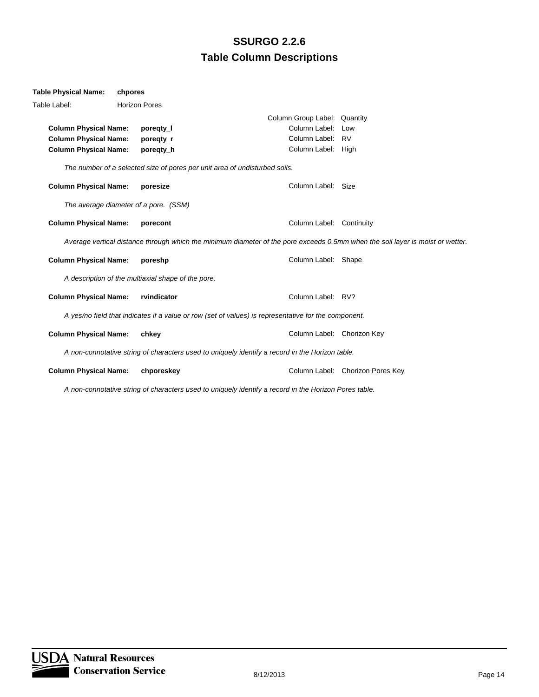| <b>Table Physical Name:</b>  | chpores                                            |                                                                                                                                |                                  |
|------------------------------|----------------------------------------------------|--------------------------------------------------------------------------------------------------------------------------------|----------------------------------|
| Table Label:                 | <b>Horizon Pores</b>                               |                                                                                                                                |                                  |
|                              |                                                    | Column Group Label: Quantity                                                                                                   |                                  |
| <b>Column Physical Name:</b> | poregty_l                                          | Column Label:                                                                                                                  | Low                              |
| <b>Column Physical Name:</b> | poregty_r                                          | Column Label: RV                                                                                                               |                                  |
| <b>Column Physical Name:</b> | poregty_h                                          | Column Label: High                                                                                                             |                                  |
|                              |                                                    | The number of a selected size of pores per unit area of undisturbed soils.                                                     |                                  |
| <b>Column Physical Name:</b> | poresize                                           | Column Label: Size                                                                                                             |                                  |
|                              | The average diameter of a pore. (SSM)              |                                                                                                                                |                                  |
| <b>Column Physical Name:</b> | porecont                                           | Column Label: Continuity                                                                                                       |                                  |
|                              |                                                    | Average vertical distance through which the minimum diameter of the pore exceeds 0.5mm when the soil layer is moist or wetter. |                                  |
| <b>Column Physical Name:</b> | poreshp                                            | Column Label: Shape                                                                                                            |                                  |
|                              | A description of the multiaxial shape of the pore. |                                                                                                                                |                                  |
| <b>Column Physical Name:</b> | rvindicator                                        | Column Label: RV?                                                                                                              |                                  |
|                              |                                                    | A yes/no field that indicates if a value or row (set of values) is representative for the component.                           |                                  |
| <b>Column Physical Name:</b> | chkey                                              | Column Label: Chorizon Key                                                                                                     |                                  |
|                              |                                                    | A non-connotative string of characters used to uniquely identify a record in the Horizon table.                                |                                  |
| <b>Column Physical Name:</b> | chporeskey                                         |                                                                                                                                | Column Label: Chorizon Pores Key |

*A non-connotative string of characters used to uniquely identify a record in the Horizon Pores table.*

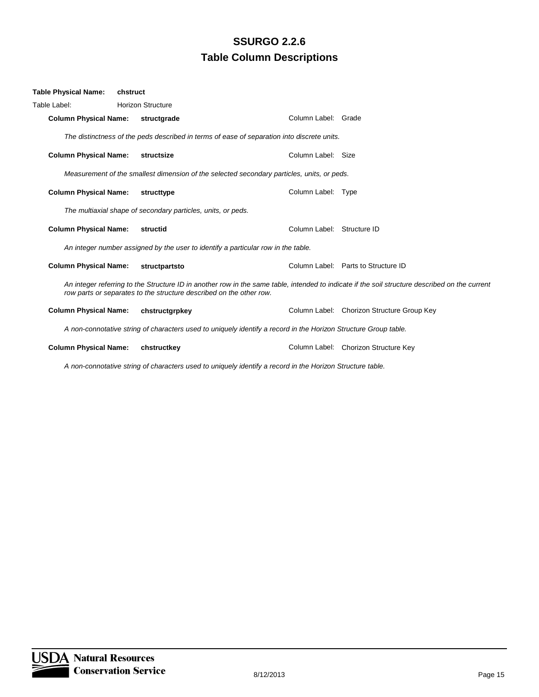| Table Physical Name:         | chstruct                                                                                                                                                                                                              |                                                                                                                 |                            |                                            |  |
|------------------------------|-----------------------------------------------------------------------------------------------------------------------------------------------------------------------------------------------------------------------|-----------------------------------------------------------------------------------------------------------------|----------------------------|--------------------------------------------|--|
| Table Label:                 | <b>Horizon Structure</b>                                                                                                                                                                                              |                                                                                                                 |                            |                                            |  |
| <b>Column Physical Name:</b> |                                                                                                                                                                                                                       | structgrade                                                                                                     | Column Label: Grade        |                                            |  |
|                              |                                                                                                                                                                                                                       | The distinctness of the peds described in terms of ease of separation into discrete units.                      |                            |                                            |  |
| <b>Column Physical Name:</b> |                                                                                                                                                                                                                       | structsize                                                                                                      | Column Label: Size         |                                            |  |
|                              |                                                                                                                                                                                                                       | Measurement of the smallest dimension of the selected secondary particles, units, or peds.                      |                            |                                            |  |
| <b>Column Physical Name:</b> |                                                                                                                                                                                                                       | structtype                                                                                                      | Column Label: Type         |                                            |  |
|                              |                                                                                                                                                                                                                       | The multiaxial shape of secondary particles, units, or peds.                                                    |                            |                                            |  |
| <b>Column Physical Name:</b> |                                                                                                                                                                                                                       | structid                                                                                                        | Column Label: Structure ID |                                            |  |
|                              |                                                                                                                                                                                                                       | An integer number assigned by the user to identify a particular row in the table.                               |                            |                                            |  |
| <b>Column Physical Name:</b> |                                                                                                                                                                                                                       | structpartsto                                                                                                   |                            | Column Label: Parts to Structure ID        |  |
|                              | An integer referring to the Structure ID in another row in the same table, intended to indicate if the soil structure described on the current<br>row parts or separates to the structure described on the other row. |                                                                                                                 |                            |                                            |  |
| <b>Column Physical Name:</b> |                                                                                                                                                                                                                       | chstructgrpkey                                                                                                  |                            | Column Label: Chorizon Structure Group Key |  |
|                              |                                                                                                                                                                                                                       | A non-connotative string of characters used to uniquely identify a record in the Horizon Structure Group table. |                            |                                            |  |
| <b>Column Physical Name:</b> |                                                                                                                                                                                                                       | chstructkey                                                                                                     |                            | Column Label: Chorizon Structure Key       |  |

*A non-connotative string of characters used to uniquely identify a record in the Horizon Structure table.*

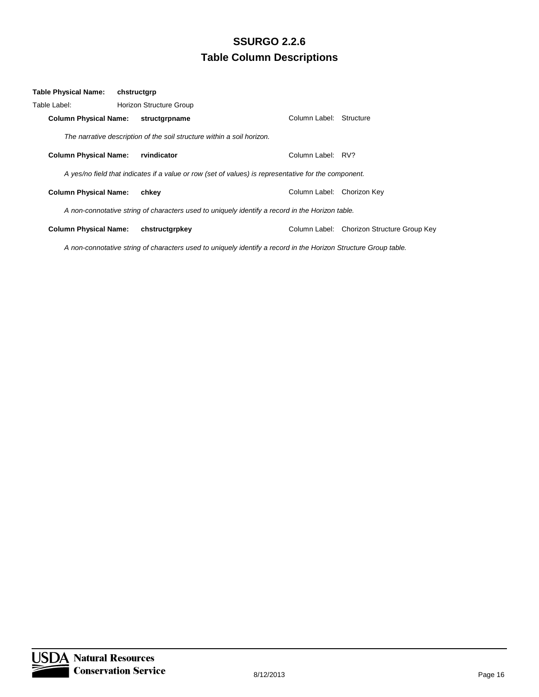| Table Physical Name:         | chstructgrp |                                                                                                      |                         |                                            |
|------------------------------|-------------|------------------------------------------------------------------------------------------------------|-------------------------|--------------------------------------------|
| Table Label:                 |             | <b>Horizon Structure Group</b>                                                                       |                         |                                            |
| <b>Column Physical Name:</b> |             | structgrpname                                                                                        | Column Label: Structure |                                            |
|                              |             | The narrative description of the soil structure within a soil horizon.                               |                         |                                            |
| <b>Column Physical Name:</b> |             | rvindicator                                                                                          | Column Label: RV?       |                                            |
|                              |             | A yes/no field that indicates if a value or row (set of values) is representative for the component. |                         |                                            |
| <b>Column Physical Name:</b> |             | chkev                                                                                                | Column Label:           | Chorizon Key                               |
|                              |             | A non-connotative string of characters used to uniquely identify a record in the Horizon table.      |                         |                                            |
| <b>Column Physical Name:</b> |             | chstructgrpkey                                                                                       |                         | Column Label: Chorizon Structure Group Key |

*A non-connotative string of characters used to uniquely identify a record in the Horizon Structure Group table.*

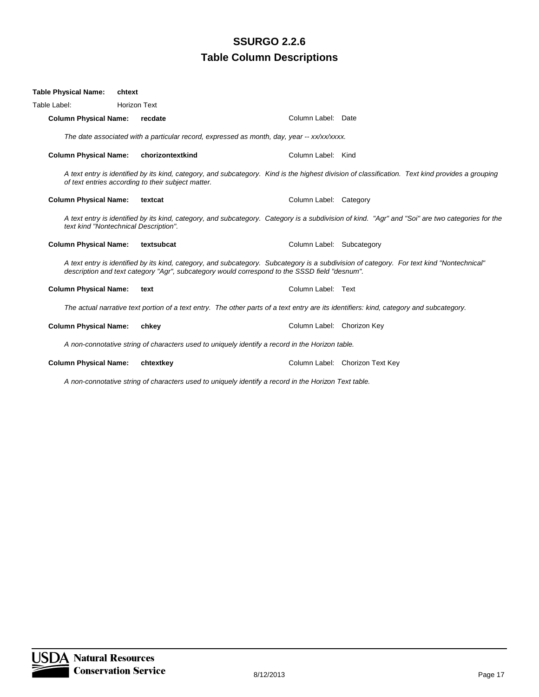| Table Physical Name:         | chtext                                                                                                                                  |                                                                                                      |                                                                                                                                                  |  |  |
|------------------------------|-----------------------------------------------------------------------------------------------------------------------------------------|------------------------------------------------------------------------------------------------------|--------------------------------------------------------------------------------------------------------------------------------------------------|--|--|
| Table Label:                 | <b>Horizon Text</b>                                                                                                                     |                                                                                                      |                                                                                                                                                  |  |  |
| <b>Column Physical Name:</b> | recdate                                                                                                                                 | Column Label: Date                                                                                   |                                                                                                                                                  |  |  |
|                              | The date associated with a particular record, expressed as month, day, year -- xx/xx/xxxx.                                              |                                                                                                      |                                                                                                                                                  |  |  |
| <b>Column Physical Name:</b> | chorizontextkind                                                                                                                        | Column Label: Kind                                                                                   |                                                                                                                                                  |  |  |
|                              | of text entries according to their subject matter.                                                                                      |                                                                                                      | A text entry is identified by its kind, category, and subcategory. Kind is the highest division of classification. Text kind provides a grouping |  |  |
| <b>Column Physical Name:</b> | textcat                                                                                                                                 | Column Label: Category                                                                               |                                                                                                                                                  |  |  |
|                              | text kind "Nontechnical Description".                                                                                                   |                                                                                                      | A text entry is identified by its kind, category, and subcategory. Category is a subdivision of kind. "Agr" and "Soi" are two categories for the |  |  |
| <b>Column Physical Name:</b> | textsubcat                                                                                                                              | Column Label: Subcategory                                                                            |                                                                                                                                                  |  |  |
|                              |                                                                                                                                         | description and text category "Agr", subcategory would correspond to the SSSD field "desnum".        | A text entry is identified by its kind, category, and subcategory. Subcategory is a subdivision of category. For text kind "Nontechnical"        |  |  |
| <b>Column Physical Name:</b> | text                                                                                                                                    | Column Label: Text                                                                                   |                                                                                                                                                  |  |  |
|                              | The actual narrative text portion of a text entry. The other parts of a text entry are its identifiers: kind, category and subcategory. |                                                                                                      |                                                                                                                                                  |  |  |
| <b>Column Physical Name:</b> | chkey                                                                                                                                   | Column Label: Chorizon Key                                                                           |                                                                                                                                                  |  |  |
|                              |                                                                                                                                         | A non-connotative string of characters used to uniquely identify a record in the Horizon table.      |                                                                                                                                                  |  |  |
| <b>Column Physical Name:</b> | chtextkey                                                                                                                               |                                                                                                      | Column Label: Chorizon Text Key                                                                                                                  |  |  |
|                              |                                                                                                                                         | A non-connotative string of characters used to uniquely identify a record in the Horizon Text table. |                                                                                                                                                  |  |  |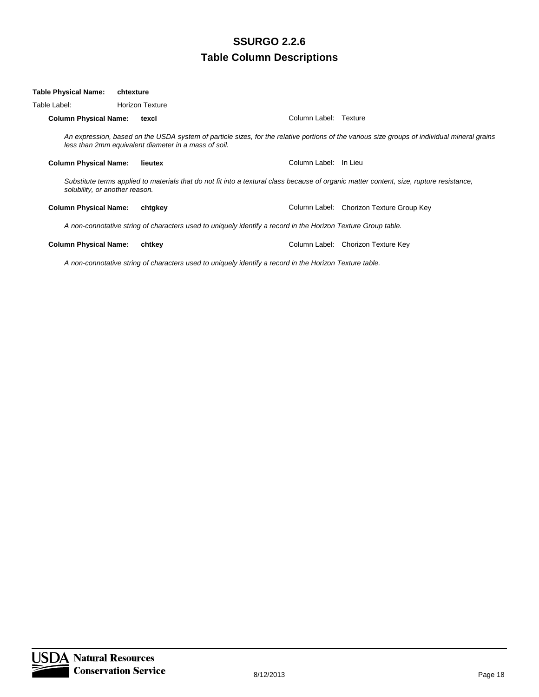| Table Physical Name:           | chtexture |                                                                                                               |                       |                                                                                                                                              |
|--------------------------------|-----------|---------------------------------------------------------------------------------------------------------------|-----------------------|----------------------------------------------------------------------------------------------------------------------------------------------|
| Table Label:                   |           | <b>Horizon Texture</b>                                                                                        |                       |                                                                                                                                              |
| <b>Column Physical Name:</b>   |           | texcl                                                                                                         | Column Label: Texture |                                                                                                                                              |
|                                |           | less than 2mm equivalent diameter in a mass of soil.                                                          |                       | An expression, based on the USDA system of particle sizes, for the relative portions of the various size groups of individual mineral grains |
| <b>Column Physical Name:</b>   |           | lieutex                                                                                                       | Column Label: In Lieu |                                                                                                                                              |
| solubility, or another reason. |           |                                                                                                               |                       | Substitute terms applied to materials that do not fit into a textural class because of organic matter content, size, rupture resistance,     |
| <b>Column Physical Name:</b>   |           | chtgkey                                                                                                       |                       | Column Label: Chorizon Texture Group Key                                                                                                     |
|                                |           | A non-connotative string of characters used to uniquely identify a record in the Horizon Texture Group table. |                       |                                                                                                                                              |
| <b>Column Physical Name:</b>   |           | chtkey                                                                                                        |                       | Column Label: Chorizon Texture Key                                                                                                           |
|                                |           | A non-connotative string of characters used to uniquely identify a record in the Horizon Texture table.       |                       |                                                                                                                                              |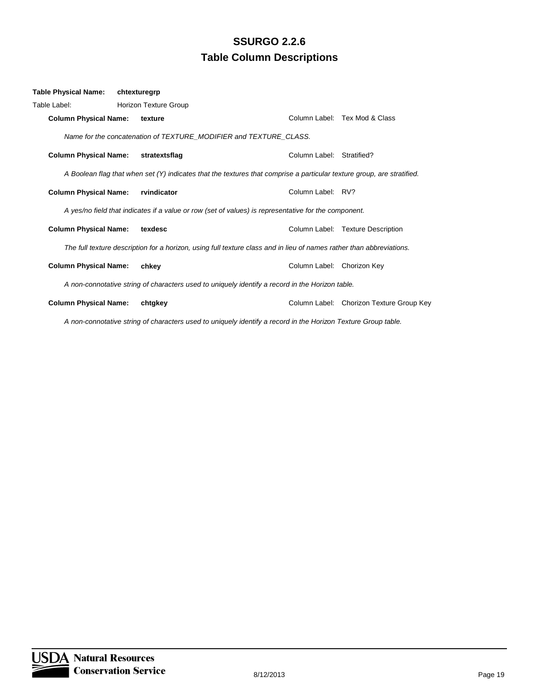| Table Physical Name:         | chtexturegrp                                                                                                           |                            |                                          |
|------------------------------|------------------------------------------------------------------------------------------------------------------------|----------------------------|------------------------------------------|
| Table Label:                 | Horizon Texture Group                                                                                                  |                            |                                          |
| <b>Column Physical Name:</b> | texture                                                                                                                |                            | Column Label: Tex Mod & Class            |
|                              | Name for the concatenation of TEXTURE_MODIFIER and TEXTURE_CLASS.                                                      |                            |                                          |
| <b>Column Physical Name:</b> | stratextsflag                                                                                                          | Column Label: Stratified?  |                                          |
|                              | A Boolean flag that when set (Y) indicates that the textures that comprise a particular texture group, are stratified. |                            |                                          |
| <b>Column Physical Name:</b> | rvindicator                                                                                                            | Column Label: RV?          |                                          |
|                              | A yes/no field that indicates if a value or row (set of values) is representative for the component.                   |                            |                                          |
| <b>Column Physical Name:</b> | texdesc                                                                                                                |                            | Column Label: Texture Description        |
|                              | The full texture description for a horizon, using full texture class and in lieu of names rather than abbreviations.   |                            |                                          |
| <b>Column Physical Name:</b> | chkey                                                                                                                  | Column Label: Chorizon Key |                                          |
|                              | A non-connotative string of characters used to uniquely identify a record in the Horizon table.                        |                            |                                          |
| <b>Column Physical Name:</b> | chtgkey                                                                                                                |                            | Column Label: Chorizon Texture Group Key |

*A non-connotative string of characters used to uniquely identify a record in the Horizon Texture Group table.*

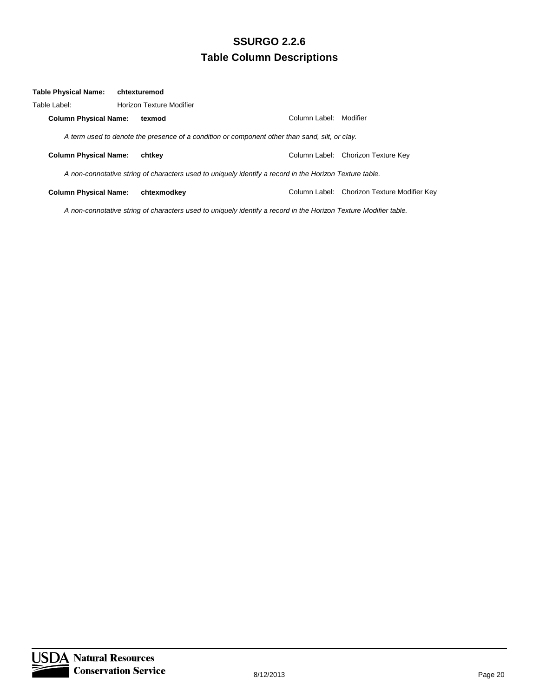| Table Physical Name:         | chtexturemod                                                                                            |                        |                                             |
|------------------------------|---------------------------------------------------------------------------------------------------------|------------------------|---------------------------------------------|
| Table Label:                 | Horizon Texture Modifier                                                                                |                        |                                             |
| <b>Column Physical Name:</b> | texmod                                                                                                  | Column Label: Modifier |                                             |
|                              | A term used to denote the presence of a condition or component other than sand, silt, or clay.          |                        |                                             |
| <b>Column Physical Name:</b> | chtkev                                                                                                  |                        | Column Label: Chorizon Texture Key          |
|                              | A non-connotative string of characters used to uniquely identify a record in the Horizon Texture table. |                        |                                             |
| <b>Column Physical Name:</b> | chtexmodkey                                                                                             |                        | Column Label: Chorizon Texture Modifier Key |

*A non-connotative string of characters used to uniquely identify a record in the Horizon Texture Modifier table.*

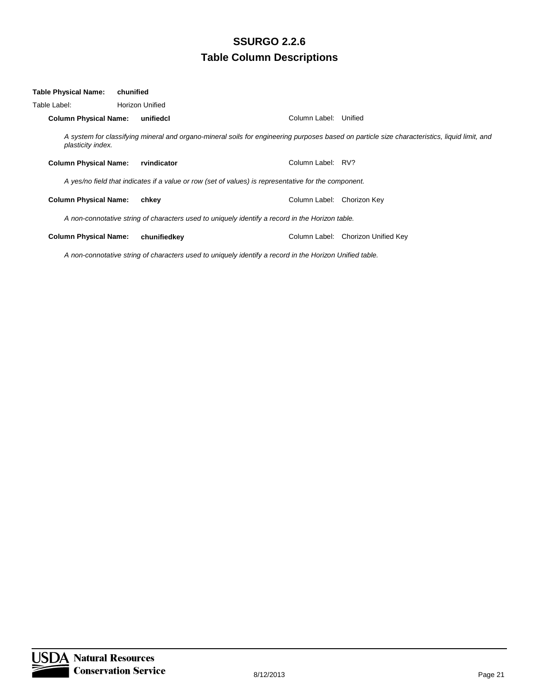| Table Physical Name:         | chunified |                                                                                                      |                       |                                                                                                                                              |
|------------------------------|-----------|------------------------------------------------------------------------------------------------------|-----------------------|----------------------------------------------------------------------------------------------------------------------------------------------|
| Table Label:                 |           | <b>Horizon Unified</b>                                                                               |                       |                                                                                                                                              |
| <b>Column Physical Name:</b> |           | unifiedcl                                                                                            | Column Label: Unified |                                                                                                                                              |
| plasticity index.            |           |                                                                                                      |                       | A system for classifying mineral and organo-mineral soils for engineering purposes based on particle size characteristics, liquid limit, and |
| <b>Column Physical Name:</b> |           | rvindicator                                                                                          | Column Label: RV?     |                                                                                                                                              |
|                              |           | A yes/no field that indicates if a value or row (set of values) is representative for the component. |                       |                                                                                                                                              |
| <b>Column Physical Name:</b> |           | chkey                                                                                                | Column Label:         | Chorizon Key                                                                                                                                 |
|                              |           | A non-connotative string of characters used to uniquely identify a record in the Horizon table.      |                       |                                                                                                                                              |
| <b>Column Physical Name:</b> |           | chunifiedkey                                                                                         |                       | Column Label: Chorizon Unified Key                                                                                                           |

*A non-connotative string of characters used to uniquely identify a record in the Horizon Unified table.*

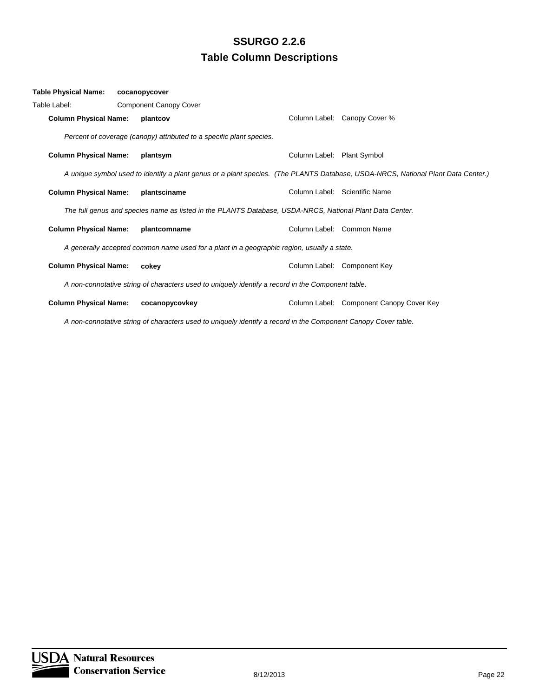| Table Physical Name:         | cocanopycover                                                                                            |                            |                                                                                                                                  |
|------------------------------|----------------------------------------------------------------------------------------------------------|----------------------------|----------------------------------------------------------------------------------------------------------------------------------|
| Table Label:                 | <b>Component Canopy Cover</b>                                                                            |                            |                                                                                                                                  |
| <b>Column Physical Name:</b> | plantcov                                                                                                 |                            | Column Label: Canopy Cover %                                                                                                     |
|                              | Percent of coverage (canopy) attributed to a specific plant species.                                     |                            |                                                                                                                                  |
| <b>Column Physical Name:</b> | plantsym                                                                                                 | Column Label: Plant Symbol |                                                                                                                                  |
|                              |                                                                                                          |                            | A unique symbol used to identify a plant genus or a plant species. (The PLANTS Database, USDA-NRCS, National Plant Data Center.) |
| <b>Column Physical Name:</b> | plantsciname                                                                                             |                            | Column Label: Scientific Name                                                                                                    |
|                              | The full genus and species name as listed in the PLANTS Database, USDA-NRCS, National Plant Data Center. |                            |                                                                                                                                  |
| <b>Column Physical Name:</b> | plantcomname                                                                                             |                            | Column Label: Common Name                                                                                                        |
|                              | A generally accepted common name used for a plant in a geographic region, usually a state.               |                            |                                                                                                                                  |
| <b>Column Physical Name:</b> | cokey                                                                                                    |                            | Column Label: Component Key                                                                                                      |
|                              | A non-connotative string of characters used to uniquely identify a record in the Component table.        |                            |                                                                                                                                  |
| <b>Column Physical Name:</b> | cocanopycovkey                                                                                           |                            | Column Label: Component Canopy Cover Key                                                                                         |
|                              |                                                                                                          |                            |                                                                                                                                  |

*A non-connotative string of characters used to uniquely identify a record in the Component Canopy Cover table.*

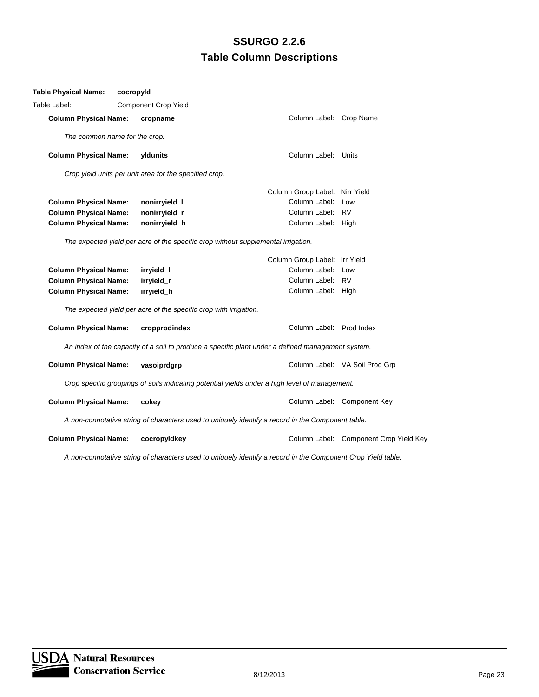| Table Physical Name:          | cocropyId                                                         |                                                                                                              |                                        |
|-------------------------------|-------------------------------------------------------------------|--------------------------------------------------------------------------------------------------------------|----------------------------------------|
| Table Label:                  | <b>Component Crop Yield</b>                                       |                                                                                                              |                                        |
| <b>Column Physical Name:</b>  | cropname                                                          | Column Label: Crop Name                                                                                      |                                        |
| The common name for the crop. |                                                                   |                                                                                                              |                                        |
| <b>Column Physical Name:</b>  | yldunits                                                          | Column Label: Units                                                                                          |                                        |
|                               | Crop yield units per unit area for the specified crop.            |                                                                                                              |                                        |
|                               |                                                                   | Column Group Label: Nirr Yield                                                                               |                                        |
| <b>Column Physical Name:</b>  | nonirryield_l                                                     | Column Label: Low                                                                                            |                                        |
| <b>Column Physical Name:</b>  | nonirryield_r                                                     | Column Label: RV                                                                                             |                                        |
| <b>Column Physical Name:</b>  | nonirryield_h                                                     | Column Label: High                                                                                           |                                        |
|                               |                                                                   | The expected yield per acre of the specific crop without supplemental irrigation.                            |                                        |
|                               |                                                                   | Column Group Label: Irr Yield                                                                                |                                        |
| <b>Column Physical Name:</b>  | irryield_l                                                        | Column Label: Low                                                                                            |                                        |
| <b>Column Physical Name:</b>  | irryield_r                                                        | Column Label: RV                                                                                             |                                        |
| <b>Column Physical Name:</b>  | irryield_h                                                        | Column Label: High                                                                                           |                                        |
|                               | The expected yield per acre of the specific crop with irrigation. |                                                                                                              |                                        |
| <b>Column Physical Name:</b>  | cropprodindex                                                     | Column Label: Prod Index                                                                                     |                                        |
|                               |                                                                   | An index of the capacity of a soil to produce a specific plant under a defined management system.            |                                        |
| <b>Column Physical Name:</b>  | vasoiprdgrp                                                       |                                                                                                              | Column Label: VA Soil Prod Grp         |
|                               |                                                                   | Crop specific groupings of soils indicating potential yields under a high level of management.               |                                        |
| <b>Column Physical Name:</b>  | cokey                                                             |                                                                                                              | Column Label: Component Key            |
|                               |                                                                   | A non-connotative string of characters used to uniquely identify a record in the Component table.            |                                        |
| <b>Column Physical Name:</b>  | cocropyIdkey                                                      |                                                                                                              | Column Label: Component Crop Yield Key |
|                               |                                                                   | A non-connotative string of characters used to uniquely identify a record in the Component Crop Yield table. |                                        |

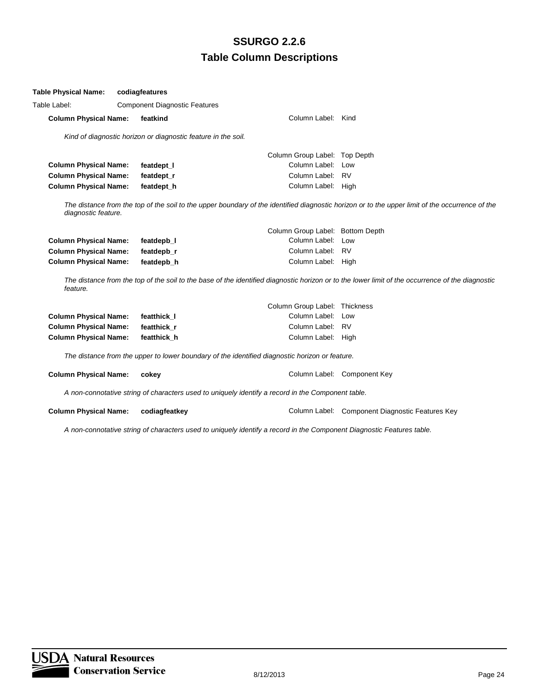| Table Label: |                              | <b>Component Diagnostic Features</b>                                                           |                                  |                                                                                                                                                  |
|--------------|------------------------------|------------------------------------------------------------------------------------------------|----------------------------------|--------------------------------------------------------------------------------------------------------------------------------------------------|
|              | <b>Column Physical Name:</b> | featkind                                                                                       | Column Label: Kind               |                                                                                                                                                  |
|              |                              | Kind of diagnostic horizon or diagnostic feature in the soil.                                  |                                  |                                                                                                                                                  |
|              |                              |                                                                                                | Column Group Label: Top Depth    |                                                                                                                                                  |
|              | <b>Column Physical Name:</b> | featdept_l                                                                                     | Column Label:                    | Low                                                                                                                                              |
|              | <b>Column Physical Name:</b> | featdept r                                                                                     | Column Label:                    | RV                                                                                                                                               |
|              | <b>Column Physical Name:</b> | featdept_h                                                                                     | Column Label: High               |                                                                                                                                                  |
|              | diagnostic feature.          |                                                                                                |                                  | The distance from the top of the soil to the upper boundary of the identified diagnostic horizon or to the upper limit of the occurrence of the  |
|              |                              |                                                                                                | Column Group Label: Bottom Depth |                                                                                                                                                  |
|              | <b>Column Physical Name:</b> | featdepb 1                                                                                     | Column Label: Low                |                                                                                                                                                  |
|              | <b>Column Physical Name:</b> | featdepb r                                                                                     | Column Label: RV                 |                                                                                                                                                  |
|              | <b>Column Physical Name:</b> | featdepb_h                                                                                     | Column Label: High               |                                                                                                                                                  |
| feature.     |                              |                                                                                                |                                  | The distance from the top of the soil to the base of the identified diagnostic horizon or to the lower limit of the occurrence of the diagnostic |
|              |                              |                                                                                                | Column Group Label: Thickness    |                                                                                                                                                  |
|              | <b>Column Physical Name:</b> | featthick I                                                                                    | Column Label:                    | Low                                                                                                                                              |
|              | <b>Column Physical Name:</b> | featthick r                                                                                    | Column Label:                    | <b>RV</b>                                                                                                                                        |
|              | <b>Column Physical Name:</b> | featthick h                                                                                    | Column Label: High               |                                                                                                                                                  |
|              |                              | The distance from the upper to lower boundary of the identified diagnostic horizon or feature. |                                  |                                                                                                                                                  |
|              | <b>Column Physical Name:</b> | cokey                                                                                          |                                  | Column Label: Component Key                                                                                                                      |

*A non-connotative string of characters used to uniquely identify a record in the Component table.*

**Table Physical Name: codiagfeatures**

**Column Physical Name: codiagfeatkey Column Label: Component Diagnostic Features Key** 

*A non-connotative string of characters used to uniquely identify a record in the Component Diagnostic Features table.*

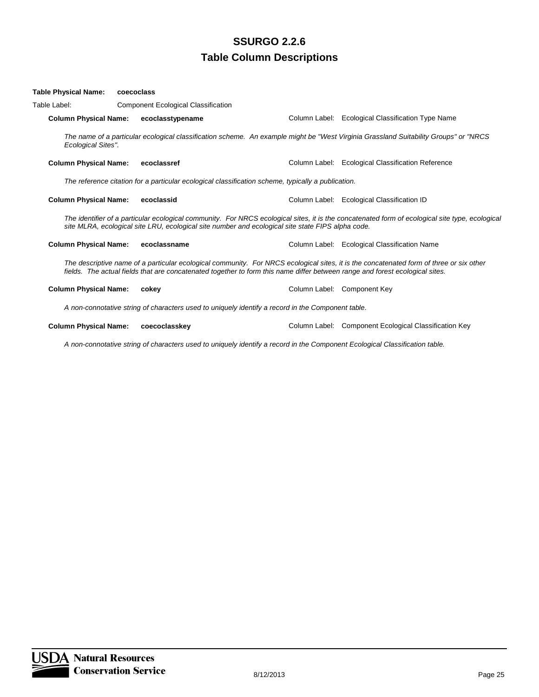#### **Table Physical Name: coecoclass**

| Table Label: |                              | <b>Component Ecological Classification</b>                                                                                   |                                                                                                                                                 |
|--------------|------------------------------|------------------------------------------------------------------------------------------------------------------------------|-------------------------------------------------------------------------------------------------------------------------------------------------|
|              | <b>Column Physical Name:</b> | ecoclasstypename                                                                                                             | Column Label: Ecological Classification Type Name                                                                                               |
|              | Ecological Sites".           |                                                                                                                              | The name of a particular ecological classification scheme. An example might be "West Virginia Grassland Suitability Groups" or "NRCS"           |
|              | <b>Column Physical Name:</b> | ecoclassref                                                                                                                  | Column Label: Ecological Classification Reference                                                                                               |
|              |                              | The reference citation for a particular ecological classification scheme, typically a publication.                           |                                                                                                                                                 |
|              | <b>Column Physical Name:</b> | ecoclassid                                                                                                                   | Column Label: Ecological Classification ID                                                                                                      |
|              |                              | site MLRA, ecological site LRU, ecological site number and ecological site state FIPS alpha code.                            | The identifier of a particular ecological community. For NRCS ecological sites, it is the concatenated form of ecological site type, ecological |
|              | <b>Column Physical Name:</b> | ecoclassname                                                                                                                 | Column Label: Ecological Classification Name                                                                                                    |
|              |                              | fields. The actual fields that are concatenated together to form this name differ between range and forest ecological sites. | The descriptive name of a particular ecological community. For NRCS ecological sites, it is the concatenated form of three or six other         |
|              | <b>Column Physical Name:</b> | cokey                                                                                                                        | Column Label: Component Key                                                                                                                     |
|              |                              | A non-connotative string of characters used to uniquely identify a record in the Component table.                            |                                                                                                                                                 |
|              | <b>Column Physical Name:</b> | coecoclasskey                                                                                                                | Column Label: Component Ecological Classification Key                                                                                           |
|              |                              | A non-connotative string of characters used to uniquely identify a record in the Component Ecological Classification table.  |                                                                                                                                                 |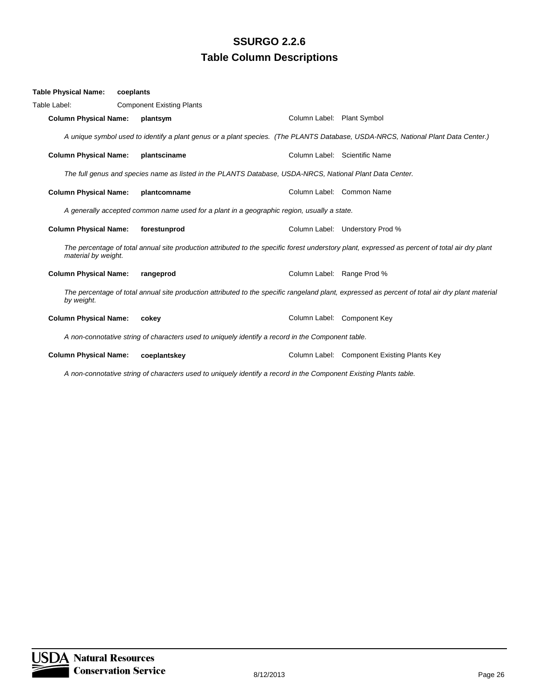| Table Physical Name:         | coeplants |                                                                                                                   |                            |                                                                                                                                                 |
|------------------------------|-----------|-------------------------------------------------------------------------------------------------------------------|----------------------------|-------------------------------------------------------------------------------------------------------------------------------------------------|
| Table Label:                 |           | <b>Component Existing Plants</b>                                                                                  |                            |                                                                                                                                                 |
| <b>Column Physical Name:</b> |           | plantsym                                                                                                          | Column Label: Plant Symbol |                                                                                                                                                 |
|                              |           |                                                                                                                   |                            | A unique symbol used to identify a plant genus or a plant species. (The PLANTS Database, USDA-NRCS, National Plant Data Center.)                |
| <b>Column Physical Name:</b> |           | plantsciname                                                                                                      |                            | Column Label: Scientific Name                                                                                                                   |
|                              |           | The full genus and species name as listed in the PLANTS Database, USDA-NRCS, National Plant Data Center.          |                            |                                                                                                                                                 |
| <b>Column Physical Name:</b> |           | plantcomname                                                                                                      |                            | Column Label: Common Name                                                                                                                       |
|                              |           | A generally accepted common name used for a plant in a geographic region, usually a state.                        |                            |                                                                                                                                                 |
| <b>Column Physical Name:</b> |           | forestunprod                                                                                                      |                            | Column Label: Understory Prod %                                                                                                                 |
| material by weight.          |           |                                                                                                                   |                            | The percentage of total annual site production attributed to the specific forest understory plant, expressed as percent of total air dry plant  |
| <b>Column Physical Name:</b> |           | rangeprod                                                                                                         | Column Label: Range Prod % |                                                                                                                                                 |
| by weight.                   |           |                                                                                                                   |                            | The percentage of total annual site production attributed to the specific rangeland plant, expressed as percent of total air dry plant material |
| <b>Column Physical Name:</b> |           | cokey                                                                                                             |                            | Column Label: Component Key                                                                                                                     |
|                              |           | A non-connotative string of characters used to uniquely identify a record in the Component table.                 |                            |                                                                                                                                                 |
| <b>Column Physical Name:</b> |           | coeplantskey                                                                                                      |                            | Column Label: Component Existing Plants Key                                                                                                     |
|                              |           | A non-connotative string of characters used to uniquely identify a record in the Component Existing Plants table. |                            |                                                                                                                                                 |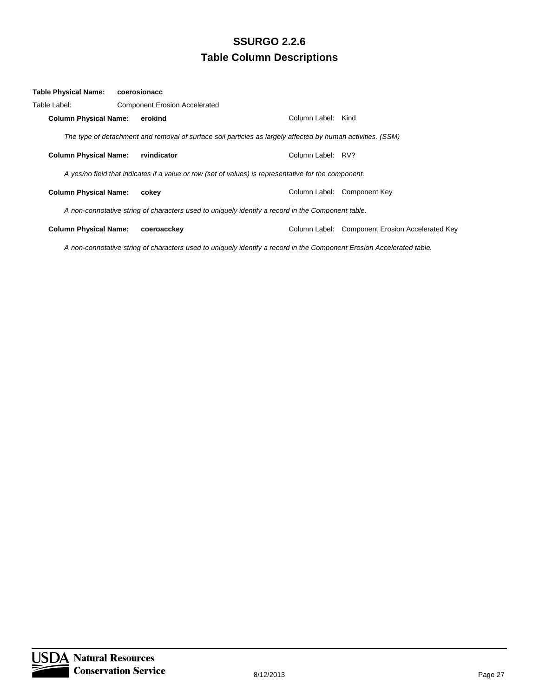| Table Physical Name:         | coerosionacc                         |                                                                                                             |                    |                                                 |
|------------------------------|--------------------------------------|-------------------------------------------------------------------------------------------------------------|--------------------|-------------------------------------------------|
| Table Label:                 | <b>Component Erosion Accelerated</b> |                                                                                                             |                    |                                                 |
| <b>Column Physical Name:</b> | erokind                              |                                                                                                             | Column Label: Kind |                                                 |
|                              |                                      | The type of detachment and removal of surface soil particles as largely affected by human activities. (SSM) |                    |                                                 |
| <b>Column Physical Name:</b> | rvindicator                          |                                                                                                             | Column Label: RV?  |                                                 |
|                              |                                      | A yes/no field that indicates if a value or row (set of values) is representative for the component.        |                    |                                                 |
| <b>Column Physical Name:</b> | cokey                                |                                                                                                             |                    | Column Label: Component Key                     |
|                              |                                      | A non-connotative string of characters used to uniquely identify a record in the Component table.           |                    |                                                 |
| <b>Column Physical Name:</b> | coeroacckey                          |                                                                                                             |                    | Column Label: Component Erosion Accelerated Key |
|                              |                                      |                                                                                                             |                    |                                                 |

*A non-connotative string of characters used to uniquely identify a record in the Component Erosion Accelerated table.*

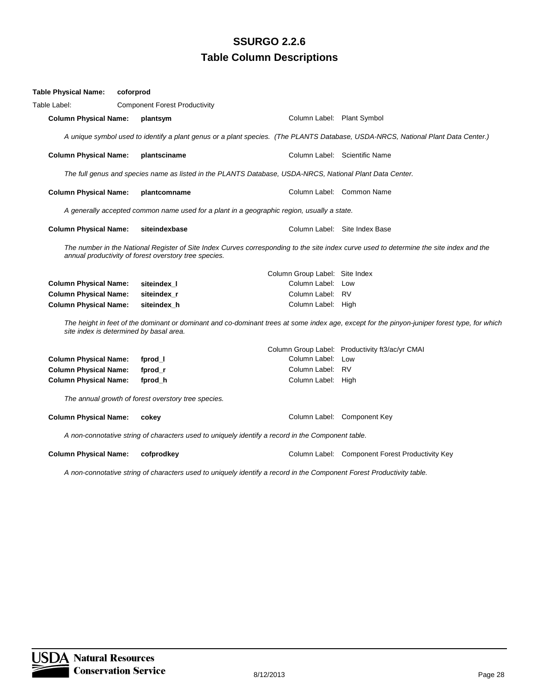| <b>Table Physical Name:</b>                                                                                                                                                                      | coforprod |                                                                                                          |                                |                                                                                                                                              |  |  |
|--------------------------------------------------------------------------------------------------------------------------------------------------------------------------------------------------|-----------|----------------------------------------------------------------------------------------------------------|--------------------------------|----------------------------------------------------------------------------------------------------------------------------------------------|--|--|
| Table Label:                                                                                                                                                                                     |           | <b>Component Forest Productivity</b>                                                                     |                                |                                                                                                                                              |  |  |
| <b>Column Physical Name:</b>                                                                                                                                                                     |           | plantsym                                                                                                 | Column Label: Plant Symbol     |                                                                                                                                              |  |  |
|                                                                                                                                                                                                  |           |                                                                                                          |                                | A unique symbol used to identify a plant genus or a plant species. (The PLANTS Database, USDA-NRCS, National Plant Data Center.)             |  |  |
| <b>Column Physical Name:</b>                                                                                                                                                                     |           | plantsciname                                                                                             |                                | Column Label: Scientific Name                                                                                                                |  |  |
|                                                                                                                                                                                                  |           | The full genus and species name as listed in the PLANTS Database, USDA-NRCS, National Plant Data Center. |                                |                                                                                                                                              |  |  |
| <b>Column Physical Name:</b>                                                                                                                                                                     |           | plantcomname                                                                                             |                                | Column Label: Common Name                                                                                                                    |  |  |
|                                                                                                                                                                                                  |           | A generally accepted common name used for a plant in a geographic region, usually a state.               |                                |                                                                                                                                              |  |  |
| <b>Column Physical Name:</b>                                                                                                                                                                     |           | siteindexbase                                                                                            |                                | Column Label: Site Index Base                                                                                                                |  |  |
| The number in the National Register of Site Index Curves corresponding to the site index curve used to determine the site index and the<br>annual productivity of forest overstory tree species. |           |                                                                                                          |                                |                                                                                                                                              |  |  |
|                                                                                                                                                                                                  |           |                                                                                                          | Column Group Label: Site Index |                                                                                                                                              |  |  |
| <b>Column Physical Name:</b>                                                                                                                                                                     |           | siteindex I                                                                                              | Column Label: Low              |                                                                                                                                              |  |  |
| <b>Column Physical Name:</b>                                                                                                                                                                     |           | siteindex r                                                                                              | Column Label: RV               |                                                                                                                                              |  |  |
| <b>Column Physical Name:</b>                                                                                                                                                                     |           | siteindex_h                                                                                              | Column Label: High             |                                                                                                                                              |  |  |
| site index is determined by basal area.                                                                                                                                                          |           |                                                                                                          |                                | The height in feet of the dominant or dominant and co-dominant trees at some index age, except for the pinyon-juniper forest type, for which |  |  |
|                                                                                                                                                                                                  |           |                                                                                                          |                                | Column Group Label: Productivity ft3/ac/yr CMAI                                                                                              |  |  |
| <b>Column Physical Name:</b>                                                                                                                                                                     |           | fprod_l                                                                                                  | Column Label: Low              |                                                                                                                                              |  |  |
| <b>Column Physical Name:</b>                                                                                                                                                                     |           | fprod_r                                                                                                  | Column Label: RV               |                                                                                                                                              |  |  |
| <b>Column Physical Name:</b>                                                                                                                                                                     |           | fprod_h                                                                                                  | Column Label: High             |                                                                                                                                              |  |  |
| The annual growth of forest overstory tree species.                                                                                                                                              |           |                                                                                                          |                                |                                                                                                                                              |  |  |
| <b>Column Physical Name:</b>                                                                                                                                                                     |           | cokey                                                                                                    |                                | Column Label: Component Key                                                                                                                  |  |  |
|                                                                                                                                                                                                  |           | A non-connotative string of characters used to uniquely identify a record in the Component table.        |                                |                                                                                                                                              |  |  |
| <b>Column Physical Name:</b>                                                                                                                                                                     |           | cofprodkey                                                                                               |                                | Column Label: Component Forest Productivity Key                                                                                              |  |  |
| A non-connotative string of characters used to uniquely identify a record in the Component Forest Productivity table.                                                                            |           |                                                                                                          |                                |                                                                                                                                              |  |  |

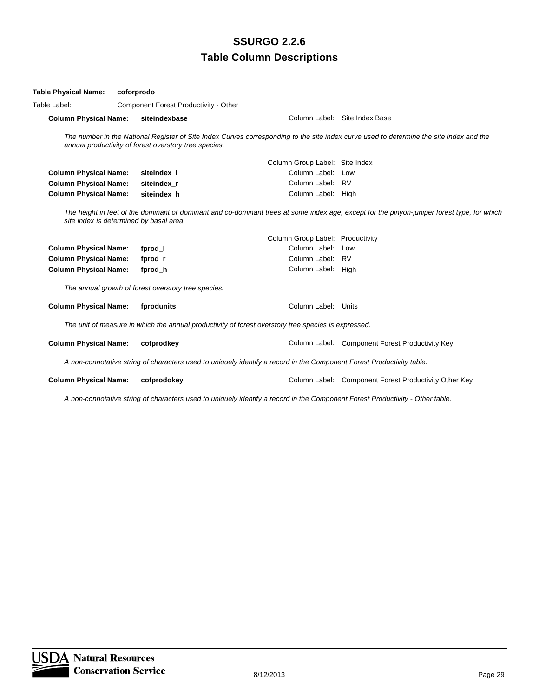| <b>Table Physical Name:</b>             | coforprodo                            |                                                       |                                                                                                                       |                                                                                                                                              |  |  |
|-----------------------------------------|---------------------------------------|-------------------------------------------------------|-----------------------------------------------------------------------------------------------------------------------|----------------------------------------------------------------------------------------------------------------------------------------------|--|--|
| Table Label:                            | Component Forest Productivity - Other |                                                       |                                                                                                                       |                                                                                                                                              |  |  |
| <b>Column Physical Name:</b>            |                                       | siteindexbase                                         |                                                                                                                       | Column Label: Site Index Base                                                                                                                |  |  |
|                                         |                                       | annual productivity of forest overstory tree species. |                                                                                                                       | The number in the National Register of Site Index Curves corresponding to the site index curve used to determine the site index and the      |  |  |
|                                         |                                       |                                                       | Column Group Label: Site Index                                                                                        |                                                                                                                                              |  |  |
| <b>Column Physical Name:</b>            |                                       | siteindex I                                           | Column Label:                                                                                                         | Low                                                                                                                                          |  |  |
| <b>Column Physical Name:</b>            |                                       | siteindex r                                           | Column Label:                                                                                                         | <b>RV</b>                                                                                                                                    |  |  |
| <b>Column Physical Name:</b>            |                                       | siteindex h                                           | Column Label: High                                                                                                    |                                                                                                                                              |  |  |
| site index is determined by basal area. |                                       |                                                       |                                                                                                                       | The height in feet of the dominant or dominant and co-dominant trees at some index age, except for the pinyon-juniper forest type, for which |  |  |
|                                         |                                       |                                                       | Column Group Label: Productivity                                                                                      |                                                                                                                                              |  |  |
| <b>Column Physical Name:</b>            |                                       | fprod_l                                               | Column Label: Low                                                                                                     |                                                                                                                                              |  |  |
| <b>Column Physical Name:</b>            |                                       | fprod r                                               | Column Label: RV                                                                                                      |                                                                                                                                              |  |  |
| <b>Column Physical Name:</b>            |                                       | fprod h                                               | Column Label: High                                                                                                    |                                                                                                                                              |  |  |
|                                         |                                       | The annual growth of forest overstory tree species.   |                                                                                                                       |                                                                                                                                              |  |  |
| <b>Column Physical Name:</b>            |                                       | fprodunits                                            | Column Label: Units                                                                                                   |                                                                                                                                              |  |  |
|                                         |                                       |                                                       | The unit of measure in which the annual productivity of forest overstory tree species is expressed.                   |                                                                                                                                              |  |  |
| <b>Column Physical Name:</b>            |                                       | cofprodkey                                            |                                                                                                                       | Column Label: Component Forest Productivity Key                                                                                              |  |  |
|                                         |                                       |                                                       | A non-connotative string of characters used to uniquely identify a record in the Component Forest Productivity table. |                                                                                                                                              |  |  |
| <b>Column Physical Name:</b>            |                                       | cofprodokey                                           |                                                                                                                       | Column Label: Component Forest Productivity Other Key                                                                                        |  |  |

*A non-connotative string of characters used to uniquely identify a record in the Component Forest Productivity - Other table.*

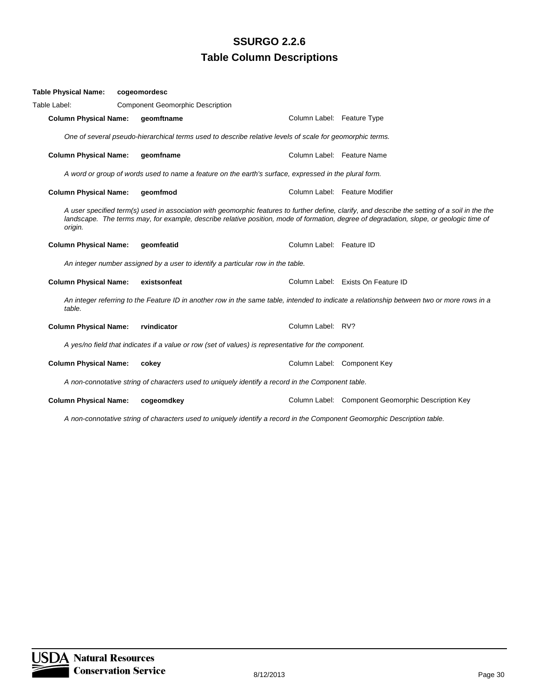| <b>Table Physical Name:</b>  | cogeomordesc |                                                                                 |                                                                                                          |                                                                                                                                                                                                                                                                                            |
|------------------------------|--------------|---------------------------------------------------------------------------------|----------------------------------------------------------------------------------------------------------|--------------------------------------------------------------------------------------------------------------------------------------------------------------------------------------------------------------------------------------------------------------------------------------------|
| Table Label:                 |              | <b>Component Geomorphic Description</b>                                         |                                                                                                          |                                                                                                                                                                                                                                                                                            |
| <b>Column Physical Name:</b> |              | geomftname                                                                      | Column Label: Feature Type                                                                               |                                                                                                                                                                                                                                                                                            |
|                              |              |                                                                                 | One of several pseudo-hierarchical terms used to describe relative levels of scale for geomorphic terms. |                                                                                                                                                                                                                                                                                            |
| <b>Column Physical Name:</b> |              | geomfname                                                                       |                                                                                                          | Column Label: Feature Name                                                                                                                                                                                                                                                                 |
|                              |              |                                                                                 | A word or group of words used to name a feature on the earth's surface, expressed in the plural form.    |                                                                                                                                                                                                                                                                                            |
| <b>Column Physical Name:</b> | geomfmod     |                                                                                 |                                                                                                          | Column Label: Feature Modifier                                                                                                                                                                                                                                                             |
| origin.                      |              |                                                                                 |                                                                                                          | A user specified term(s) used in association with geomorphic features to further define, clarify, and describe the setting of a soil in the the<br>landscape. The terms may, for example, describe relative position, mode of formation, degree of degradation, slope, or geologic time of |
| <b>Column Physical Name:</b> |              | geomfeatid                                                                      | Column Label: Feature ID                                                                                 |                                                                                                                                                                                                                                                                                            |
|                              |              | An integer number assigned by a user to identify a particular row in the table. |                                                                                                          |                                                                                                                                                                                                                                                                                            |
| <b>Column Physical Name:</b> |              | existsonfeat                                                                    |                                                                                                          | Column Label: Exists On Feature ID                                                                                                                                                                                                                                                         |
| table.                       |              |                                                                                 |                                                                                                          | An integer referring to the Feature ID in another row in the same table, intended to indicate a relationship between two or more rows in a                                                                                                                                                 |
| <b>Column Physical Name:</b> | rvindicator  |                                                                                 | Column Label: RV?                                                                                        |                                                                                                                                                                                                                                                                                            |
|                              |              |                                                                                 | A yes/no field that indicates if a value or row (set of values) is representative for the component.     |                                                                                                                                                                                                                                                                                            |
| <b>Column Physical Name:</b> | cokey        |                                                                                 |                                                                                                          | Column Label: Component Key                                                                                                                                                                                                                                                                |
|                              |              |                                                                                 | A non-connotative string of characters used to uniquely identify a record in the Component table.        |                                                                                                                                                                                                                                                                                            |
| <b>Column Physical Name:</b> |              | cogeomdkey                                                                      |                                                                                                          | Column Label: Component Geomorphic Description Key                                                                                                                                                                                                                                         |

*A non-connotative string of characters used to uniquely identify a record in the Component Geomorphic Description table.*

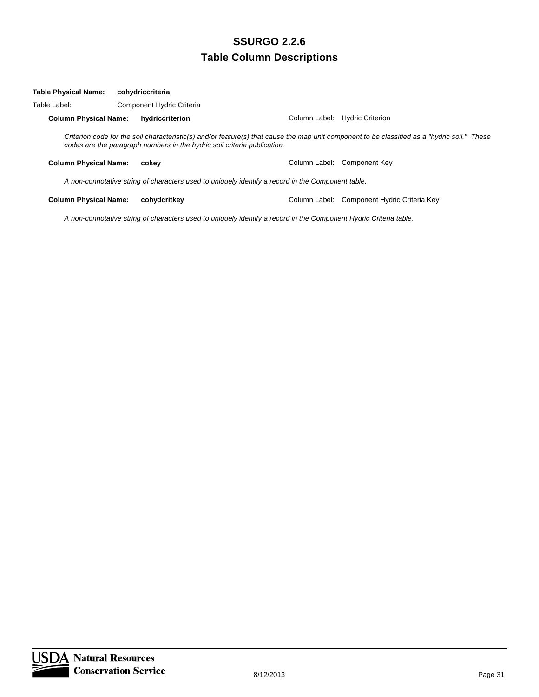| <b>Column Physical Name:</b> | hydriccriterion |                                               | Column Label: Hydric Criterion                                                                                                                                                                                                                                                                                                |
|------------------------------|-----------------|-----------------------------------------------|-------------------------------------------------------------------------------------------------------------------------------------------------------------------------------------------------------------------------------------------------------------------------------------------------------------------------------|
|                              |                 |                                               |                                                                                                                                                                                                                                                                                                                               |
| <b>Column Physical Name:</b> | cokev           |                                               | Column Label: Component Key                                                                                                                                                                                                                                                                                                   |
|                              |                 |                                               |                                                                                                                                                                                                                                                                                                                               |
| <b>Column Physical Name:</b> | cohvdcritkev    |                                               | Column Label: Component Hydric Criteria Key                                                                                                                                                                                                                                                                                   |
|                              |                 | cohydriccriteria<br>Component Hydric Criteria | Criterion code for the soil characteristic(s) and/or feature(s) that cause the map unit component to be classified as a "hydric soil." These<br>codes are the paragraph numbers in the hydric soil criteria publication.<br>A non-connotative string of characters used to uniquely identify a record in the Component table. |

*A non-connotative string of characters used to uniquely identify a record in the Component Hydric Criteria table.*

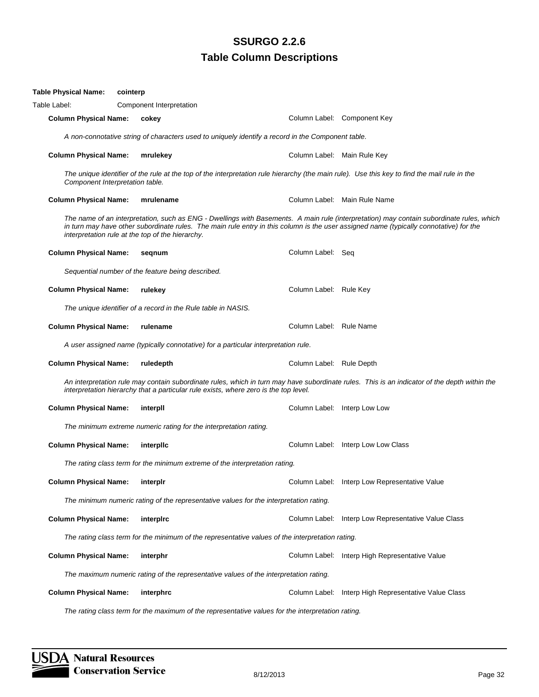| Table Physical Name:                             | cointerp                                                                           |                                                                                      |                                                                                                   |                                                                                                                                                                                                                                                                                    |  |  |  |
|--------------------------------------------------|------------------------------------------------------------------------------------|--------------------------------------------------------------------------------------|---------------------------------------------------------------------------------------------------|------------------------------------------------------------------------------------------------------------------------------------------------------------------------------------------------------------------------------------------------------------------------------------|--|--|--|
| Table Label:                                     | Component Interpretation                                                           |                                                                                      |                                                                                                   |                                                                                                                                                                                                                                                                                    |  |  |  |
| <b>Column Physical Name:</b>                     | cokey                                                                              |                                                                                      |                                                                                                   | Column Label: Component Key                                                                                                                                                                                                                                                        |  |  |  |
|                                                  |                                                                                    |                                                                                      | A non-connotative string of characters used to uniquely identify a record in the Component table. |                                                                                                                                                                                                                                                                                    |  |  |  |
| <b>Column Physical Name:</b>                     | mrulekey                                                                           |                                                                                      |                                                                                                   | Column Label: Main Rule Key                                                                                                                                                                                                                                                        |  |  |  |
| Component Interpretation table.                  |                                                                                    |                                                                                      |                                                                                                   | The unique identifier of the rule at the top of the interpretation rule hierarchy (the main rule). Use this key to find the mail rule in the                                                                                                                                       |  |  |  |
| <b>Column Physical Name:</b>                     |                                                                                    | mrulename                                                                            |                                                                                                   | Column Label: Main Rule Name                                                                                                                                                                                                                                                       |  |  |  |
| interpretation rule at the top of the hierarchy. |                                                                                    |                                                                                      |                                                                                                   | The name of an interpretation, such as ENG - Dwellings with Basements. A main rule (interpretation) may contain subordinate rules, which<br>in turn may have other subordinate rules. The main rule entry in this column is the user assigned name (typically connotative) for the |  |  |  |
| <b>Column Physical Name:</b>                     | segnum                                                                             |                                                                                      | Column Label: Seq                                                                                 |                                                                                                                                                                                                                                                                                    |  |  |  |
|                                                  |                                                                                    | Sequential number of the feature being described.                                    |                                                                                                   |                                                                                                                                                                                                                                                                                    |  |  |  |
| <b>Column Physical Name:</b>                     | rulekey                                                                            |                                                                                      | Column Label: Rule Key                                                                            |                                                                                                                                                                                                                                                                                    |  |  |  |
|                                                  |                                                                                    | The unique identifier of a record in the Rule table in NASIS.                        |                                                                                                   |                                                                                                                                                                                                                                                                                    |  |  |  |
| <b>Column Physical Name:</b>                     | rulename                                                                           |                                                                                      | Column Label: Rule Name                                                                           |                                                                                                                                                                                                                                                                                    |  |  |  |
|                                                  | A user assigned name (typically connotative) for a particular interpretation rule. |                                                                                      |                                                                                                   |                                                                                                                                                                                                                                                                                    |  |  |  |
| <b>Column Physical Name:</b>                     | ruledepth                                                                          |                                                                                      | Column Label: Rule Depth                                                                          |                                                                                                                                                                                                                                                                                    |  |  |  |
|                                                  |                                                                                    | interpretation hierarchy that a particular rule exists, where zero is the top level. |                                                                                                   | An interpretation rule may contain subordinate rules, which in turn may have subordinate rules. This is an indicator of the depth within the                                                                                                                                       |  |  |  |
| <b>Column Physical Name:</b>                     | interpll                                                                           |                                                                                      |                                                                                                   | Column Label: Interp Low Low                                                                                                                                                                                                                                                       |  |  |  |
|                                                  |                                                                                    | The minimum extreme numeric rating for the interpretation rating.                    |                                                                                                   |                                                                                                                                                                                                                                                                                    |  |  |  |
| <b>Column Physical Name:</b>                     | interplic                                                                          |                                                                                      |                                                                                                   | Column Label: Interp Low Low Class                                                                                                                                                                                                                                                 |  |  |  |
|                                                  |                                                                                    | The rating class term for the minimum extreme of the interpretation rating.          |                                                                                                   |                                                                                                                                                                                                                                                                                    |  |  |  |
| <b>Column Physical Name:</b>                     | interplr                                                                           |                                                                                      |                                                                                                   | Column Label: Interp Low Representative Value                                                                                                                                                                                                                                      |  |  |  |
|                                                  |                                                                                    |                                                                                      | The minimum numeric rating of the representative values for the interpretation rating.            |                                                                                                                                                                                                                                                                                    |  |  |  |
| <b>Column Physical Name:</b>                     | interpirc                                                                          |                                                                                      |                                                                                                   | Column Label: Interp Low Representative Value Class                                                                                                                                                                                                                                |  |  |  |
|                                                  |                                                                                    |                                                                                      | The rating class term for the minimum of the representative values of the interpretation rating.  |                                                                                                                                                                                                                                                                                    |  |  |  |
| <b>Column Physical Name:</b>                     | interphr                                                                           |                                                                                      |                                                                                                   | Column Label: Interp High Representative Value                                                                                                                                                                                                                                     |  |  |  |
|                                                  |                                                                                    |                                                                                      | The maximum numeric rating of the representative values of the interpretation rating.             |                                                                                                                                                                                                                                                                                    |  |  |  |
| <b>Column Physical Name:</b>                     | interphrc                                                                          |                                                                                      |                                                                                                   | Column Label: Interp High Representative Value Class                                                                                                                                                                                                                               |  |  |  |
|                                                  |                                                                                    |                                                                                      |                                                                                                   |                                                                                                                                                                                                                                                                                    |  |  |  |

*The rating class term for the maximum of the representative values for the interpretation rating.*

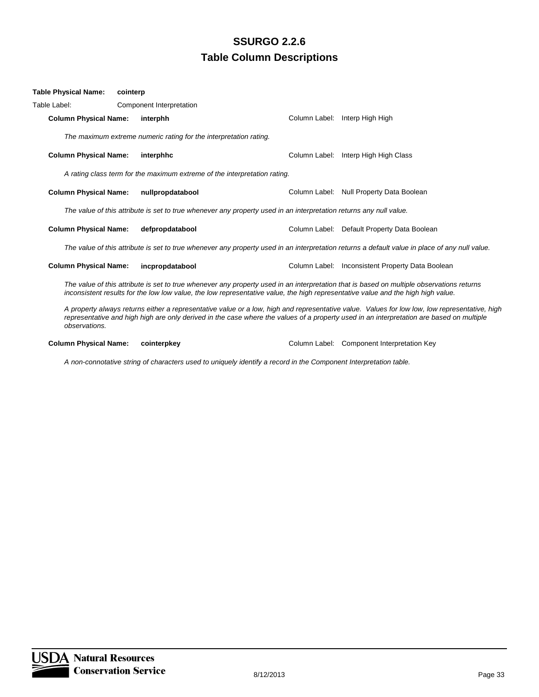| Table Physical Name:         | cointerp |                                                                           |                                                                                                                    |                                                                                                                                                                                                                                                                                           |
|------------------------------|----------|---------------------------------------------------------------------------|--------------------------------------------------------------------------------------------------------------------|-------------------------------------------------------------------------------------------------------------------------------------------------------------------------------------------------------------------------------------------------------------------------------------------|
| Table Label:                 |          | Component Interpretation                                                  |                                                                                                                    |                                                                                                                                                                                                                                                                                           |
| <b>Column Physical Name:</b> |          | interphh                                                                  |                                                                                                                    | Column Label: Interp High High                                                                                                                                                                                                                                                            |
|                              |          | The maximum extreme numeric rating for the interpretation rating.         |                                                                                                                    |                                                                                                                                                                                                                                                                                           |
| <b>Column Physical Name:</b> |          | interphhc                                                                 |                                                                                                                    | Column Label: Interp High High Class                                                                                                                                                                                                                                                      |
|                              |          | A rating class term for the maximum extreme of the interpretation rating. |                                                                                                                    |                                                                                                                                                                                                                                                                                           |
| <b>Column Physical Name:</b> |          | nullpropdatabool                                                          |                                                                                                                    | Column Label: Null Property Data Boolean                                                                                                                                                                                                                                                  |
|                              |          |                                                                           | The value of this attribute is set to true whenever any property used in an interpretation returns any null value. |                                                                                                                                                                                                                                                                                           |
| <b>Column Physical Name:</b> |          | defpropdatabool                                                           |                                                                                                                    | Column Label: Default Property Data Boolean                                                                                                                                                                                                                                               |
|                              |          |                                                                           |                                                                                                                    | The value of this attribute is set to true whenever any property used in an interpretation returns a default value in place of any null value.                                                                                                                                            |
| <b>Column Physical Name:</b> |          | incpropdatabool                                                           |                                                                                                                    | Column Label: Inconsistent Property Data Boolean                                                                                                                                                                                                                                          |
|                              |          |                                                                           |                                                                                                                    | The value of this attribute is set to true whenever any property used in an interpretation that is based on multiple observations returns<br>inconsistent results for the low low value, the low representative value, the high representative value and the high high value.             |
| observations.                |          |                                                                           |                                                                                                                    | A property always returns either a representative value or a low, high and representative value. Values for low low, low representative, high<br>representative and high high are only derived in the case where the values of a property used in an interpretation are based on multiple |

**Column Physical Name: cointerpkey Column Label: Component Interpretation Key** 

*A non-connotative string of characters used to uniquely identify a record in the Component Interpretation table.*

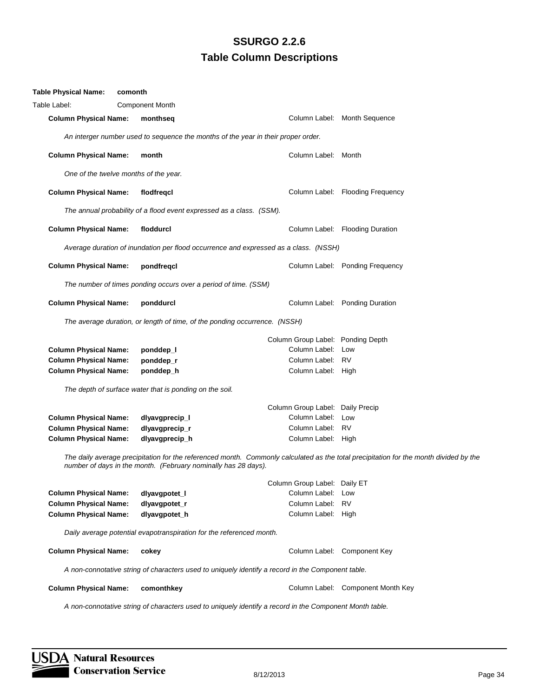| <b>Table Physical Name:</b>           | comonth |                                                                      |                                                                                                         |                     |                                                                                                                                       |
|---------------------------------------|---------|----------------------------------------------------------------------|---------------------------------------------------------------------------------------------------------|---------------------|---------------------------------------------------------------------------------------------------------------------------------------|
| Table Label:                          |         | <b>Component Month</b>                                               |                                                                                                         |                     |                                                                                                                                       |
| <b>Column Physical Name:</b>          |         | monthseq                                                             |                                                                                                         |                     | Column Label: Month Sequence                                                                                                          |
|                                       |         |                                                                      | An interger number used to sequence the months of the year in their proper order.                       |                     |                                                                                                                                       |
| <b>Column Physical Name:</b>          |         | month                                                                |                                                                                                         | Column Label: Month |                                                                                                                                       |
| One of the twelve months of the year. |         |                                                                      |                                                                                                         |                     |                                                                                                                                       |
| <b>Column Physical Name:</b>          |         | flodfregcl                                                           |                                                                                                         |                     | Column Label: Flooding Frequency                                                                                                      |
|                                       |         | The annual probability of a flood event expressed as a class. (SSM). |                                                                                                         |                     |                                                                                                                                       |
| <b>Column Physical Name:</b>          |         | floddurcl                                                            |                                                                                                         |                     | Column Label: Flooding Duration                                                                                                       |
|                                       |         |                                                                      | Average duration of inundation per flood occurrence and expressed as a class. (NSSH)                    |                     |                                                                                                                                       |
| <b>Column Physical Name:</b>          |         | pondfreqcl                                                           |                                                                                                         |                     | Column Label: Ponding Frequency                                                                                                       |
|                                       |         | The number of times ponding occurs over a period of time. (SSM)      |                                                                                                         |                     |                                                                                                                                       |
| <b>Column Physical Name:</b>          |         | ponddurcl                                                            |                                                                                                         |                     | Column Label: Ponding Duration                                                                                                        |
|                                       |         |                                                                      | The average duration, or length of time, of the ponding occurrence. (NSSH)                              |                     |                                                                                                                                       |
|                                       |         |                                                                      |                                                                                                         |                     | Column Group Label: Ponding Depth                                                                                                     |
| <b>Column Physical Name:</b>          |         | ponddep_l                                                            |                                                                                                         | Column Label: Low   |                                                                                                                                       |
| <b>Column Physical Name:</b>          |         | ponddep_r                                                            |                                                                                                         | Column Label: RV    |                                                                                                                                       |
| <b>Column Physical Name:</b>          |         | ponddep_h                                                            |                                                                                                         | Column Label: High  |                                                                                                                                       |
|                                       |         | The depth of surface water that is ponding on the soil.              |                                                                                                         |                     |                                                                                                                                       |
|                                       |         |                                                                      |                                                                                                         |                     | Column Group Label: Daily Precip                                                                                                      |
| <b>Column Physical Name:</b>          |         | dlyavgprecip_l                                                       |                                                                                                         | Column Label: Low   |                                                                                                                                       |
| <b>Column Physical Name:</b>          |         | dlyavgprecip_r                                                       |                                                                                                         | Column Label: RV    |                                                                                                                                       |
| <b>Column Physical Name:</b>          |         | dlyavgprecip_h                                                       |                                                                                                         | Column Label: High  |                                                                                                                                       |
|                                       |         | number of days in the month. (February nominally has 28 days).       |                                                                                                         |                     | The daily average precipitation for the referenced month. Commonly calculated as the total precipitation for the month divided by the |
|                                       |         |                                                                      | Column Group Label: Daily ET                                                                            |                     |                                                                                                                                       |
| <b>Column Physical Name:</b>          |         | dlyavgpotet_l                                                        |                                                                                                         | Column Label: Low   |                                                                                                                                       |
| <b>Column Physical Name:</b>          |         | dlyavgpotet_r                                                        |                                                                                                         | Column Label:       | <b>RV</b>                                                                                                                             |
| <b>Column Physical Name:</b>          |         | dlyavgpotet_h                                                        |                                                                                                         | Column Label: High  |                                                                                                                                       |
|                                       |         | Daily average potential evapotranspiration for the referenced month. |                                                                                                         |                     |                                                                                                                                       |
| <b>Column Physical Name:</b>          |         | cokey                                                                |                                                                                                         |                     | Column Label: Component Key                                                                                                           |
|                                       |         |                                                                      | A non-connotative string of characters used to uniquely identify a record in the Component table.       |                     |                                                                                                                                       |
| <b>Column Physical Name:</b>          |         | comonthkey                                                           |                                                                                                         |                     | Column Label: Component Month Key                                                                                                     |
|                                       |         |                                                                      | A non-connotative string of characters used to uniquely identify a record in the Component Month table. |                     |                                                                                                                                       |

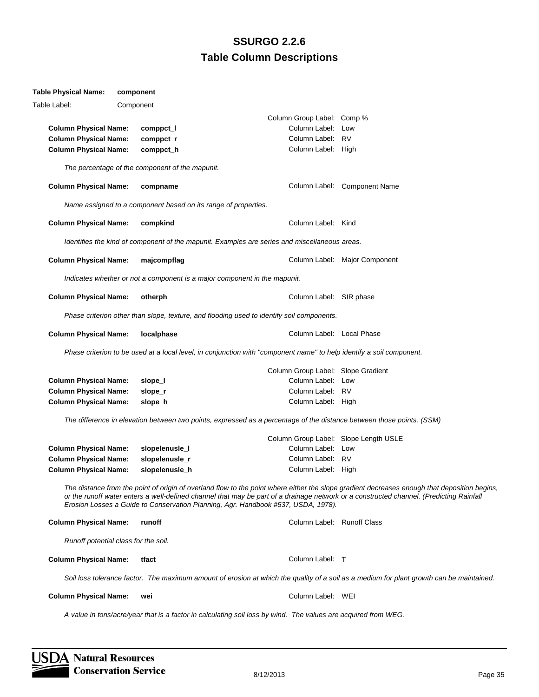#### **Table Physical Name: component**

| Table Label:                 | Component                            |                                                 |                                                                                                                       |                                                                                                                                                                                                                                                                                         |
|------------------------------|--------------------------------------|-------------------------------------------------|-----------------------------------------------------------------------------------------------------------------------|-----------------------------------------------------------------------------------------------------------------------------------------------------------------------------------------------------------------------------------------------------------------------------------------|
|                              |                                      |                                                 | Column Group Label: Comp %                                                                                            |                                                                                                                                                                                                                                                                                         |
| <b>Column Physical Name:</b> |                                      | comppct_l                                       | Column Label: Low                                                                                                     |                                                                                                                                                                                                                                                                                         |
| <b>Column Physical Name:</b> |                                      | comppct_r                                       | Column Label: RV                                                                                                      |                                                                                                                                                                                                                                                                                         |
| <b>Column Physical Name:</b> |                                      | comppct_h                                       | Column Label: High                                                                                                    |                                                                                                                                                                                                                                                                                         |
|                              |                                      | The percentage of the component of the mapunit. |                                                                                                                       |                                                                                                                                                                                                                                                                                         |
|                              |                                      |                                                 |                                                                                                                       |                                                                                                                                                                                                                                                                                         |
| <b>Column Physical Name:</b> |                                      | compname                                        |                                                                                                                       | Column Label: Component Name                                                                                                                                                                                                                                                            |
|                              |                                      |                                                 | Name assigned to a component based on its range of properties.                                                        |                                                                                                                                                                                                                                                                                         |
| <b>Column Physical Name:</b> |                                      | compkind                                        | Column Label: Kind                                                                                                    |                                                                                                                                                                                                                                                                                         |
|                              |                                      |                                                 | Identifies the kind of component of the mapunit. Examples are series and miscellaneous areas.                         |                                                                                                                                                                                                                                                                                         |
| <b>Column Physical Name:</b> |                                      | majcompflag                                     |                                                                                                                       | Column Label: Major Component                                                                                                                                                                                                                                                           |
|                              |                                      |                                                 | Indicates whether or not a component is a major component in the mapunit.                                             |                                                                                                                                                                                                                                                                                         |
| <b>Column Physical Name:</b> |                                      | otherph                                         | Column Label: SIR phase                                                                                               |                                                                                                                                                                                                                                                                                         |
|                              |                                      |                                                 | Phase criterion other than slope, texture, and flooding used to identify soil components.                             |                                                                                                                                                                                                                                                                                         |
| <b>Column Physical Name:</b> |                                      | localphase                                      | Column Label: Local Phase                                                                                             |                                                                                                                                                                                                                                                                                         |
|                              |                                      |                                                 | Phase criterion to be used at a local level, in conjunction with "component name" to help identify a soil component.  |                                                                                                                                                                                                                                                                                         |
|                              |                                      |                                                 | Column Group Label: Slope Gradient                                                                                    |                                                                                                                                                                                                                                                                                         |
| <b>Column Physical Name:</b> |                                      | slope_l                                         | Column Label: Low                                                                                                     |                                                                                                                                                                                                                                                                                         |
| <b>Column Physical Name:</b> |                                      | slope_r                                         | Column Label: RV                                                                                                      |                                                                                                                                                                                                                                                                                         |
| <b>Column Physical Name:</b> |                                      | slope_h                                         | Column Label: High                                                                                                    |                                                                                                                                                                                                                                                                                         |
|                              |                                      |                                                 |                                                                                                                       |                                                                                                                                                                                                                                                                                         |
|                              |                                      |                                                 | The difference in elevation between two points, expressed as a percentage of the distance between those points. (SSM) |                                                                                                                                                                                                                                                                                         |
|                              |                                      |                                                 | Column Group Label: Slope Length USLE                                                                                 |                                                                                                                                                                                                                                                                                         |
| <b>Column Physical Name:</b> |                                      | slopelenusle_I                                  | Column Label: Low                                                                                                     |                                                                                                                                                                                                                                                                                         |
| <b>Column Physical Name:</b> |                                      | slopelenusle_r                                  | Column Label: RV                                                                                                      |                                                                                                                                                                                                                                                                                         |
| <b>Column Physical Name:</b> |                                      | slopelenusle_h                                  | Column Label: High                                                                                                    |                                                                                                                                                                                                                                                                                         |
|                              |                                      |                                                 | Erosion Losses a Guide to Conservation Planning, Agr. Handbook #537, USDA, 1978).                                     | The distance from the point of origin of overland flow to the point where either the slope gradient decreases enough that deposition begins,<br>or the runoff water enters a well-defined channel that may be part of a drainage network or a constructed channel. (Predicting Rainfall |
| <b>Column Physical Name:</b> |                                      | runoff                                          | Column Label: Runoff Class                                                                                            |                                                                                                                                                                                                                                                                                         |
|                              | Runoff potential class for the soil. |                                                 |                                                                                                                       |                                                                                                                                                                                                                                                                                         |
| <b>Column Physical Name:</b> |                                      | tfact                                           | Column Label: T                                                                                                       |                                                                                                                                                                                                                                                                                         |
|                              |                                      |                                                 |                                                                                                                       | Soil loss tolerance factor. The maximum amount of erosion at which the quality of a soil as a medium for plant growth can be maintained.                                                                                                                                                |
| <b>Column Physical Name:</b> |                                      | wei                                             | Column Label: WEI                                                                                                     |                                                                                                                                                                                                                                                                                         |
|                              |                                      |                                                 | A value in tons/acre/year that is a factor in calculating soil loss by wind. The values are acquired from WEG.        |                                                                                                                                                                                                                                                                                         |

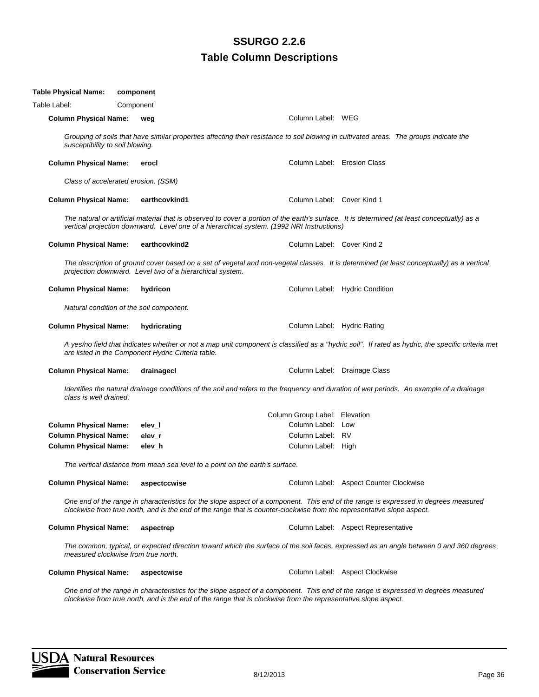| Table Physical Name:            | component                                                |                                                                                                                                        |                                                                                                                                                   |
|---------------------------------|----------------------------------------------------------|----------------------------------------------------------------------------------------------------------------------------------------|---------------------------------------------------------------------------------------------------------------------------------------------------|
| Table Label:                    | Component                                                |                                                                                                                                        |                                                                                                                                                   |
| <b>Column Physical Name:</b>    | weg                                                      | Column Label: WEG                                                                                                                      |                                                                                                                                                   |
| susceptibility to soil blowing. |                                                          | Grouping of soils that have similar properties affecting their resistance to soil blowing in cultivated areas. The groups indicate the |                                                                                                                                                   |
| <b>Column Physical Name:</b>    | erocl                                                    | Column Label: Erosion Class                                                                                                            |                                                                                                                                                   |
|                                 | Class of accelerated erosion. (SSM)                      |                                                                                                                                        |                                                                                                                                                   |
| <b>Column Physical Name:</b>    | earthcovkind1                                            | Column Label: Cover Kind 1                                                                                                             |                                                                                                                                                   |
|                                 |                                                          | vertical projection downward. Level one of a hierarchical system. (1992 NRI Instructions)                                              | The natural or artificial material that is observed to cover a portion of the earth's surface. It is determined (at least conceptually) as a      |
| <b>Column Physical Name:</b>    | earthcovkind2                                            | Column Label: Cover Kind 2                                                                                                             |                                                                                                                                                   |
|                                 | projection downward. Level two of a hierarchical system. |                                                                                                                                        | The description of ground cover based on a set of vegetal and non-vegetal classes. It is determined (at least conceptually) as a vertical         |
| <b>Column Physical Name:</b>    | hydricon                                                 |                                                                                                                                        | Column Label: Hydric Condition                                                                                                                    |
|                                 | Natural condition of the soil component.                 |                                                                                                                                        |                                                                                                                                                   |
| <b>Column Physical Name:</b>    | hydricrating                                             | Column Label: Hydric Rating                                                                                                            |                                                                                                                                                   |
|                                 | are listed in the Component Hydric Criteria table.       |                                                                                                                                        | A yes/no field that indicates whether or not a map unit component is classified as a "hydric soil". If rated as hydric, the specific criteria met |
| <b>Column Physical Name:</b>    | drainagecl                                               |                                                                                                                                        | Column Label: Drainage Class                                                                                                                      |
| class is well drained.          |                                                          |                                                                                                                                        | Identifies the natural drainage conditions of the soil and refers to the frequency and duration of wet periods. An example of a drainage          |
|                                 |                                                          | Column Group Label: Elevation                                                                                                          |                                                                                                                                                   |
| <b>Column Physical Name:</b>    | elev_l                                                   | Column Label: Low                                                                                                                      |                                                                                                                                                   |
| <b>Column Physical Name:</b>    | elev_r                                                   | Column Label: RV                                                                                                                       |                                                                                                                                                   |
| <b>Column Physical Name:</b>    | elev_h                                                   | Column Label: High                                                                                                                     |                                                                                                                                                   |
|                                 |                                                          | The vertical distance from mean sea level to a point on the earth's surface.                                                           |                                                                                                                                                   |
| <b>Column Physical Name:</b>    | aspectccwise                                             |                                                                                                                                        | Column Label: Aspect Counter Clockwise                                                                                                            |
|                                 |                                                          | clockwise from true north, and is the end of the range that is counter-clockwise from the representative slope aspect.                 | One end of the range in characteristics for the slope aspect of a component. This end of the range is expressed in degrees measured               |
| <b>Column Physical Name:</b>    | aspectrep                                                |                                                                                                                                        | Column Label: Aspect Representative                                                                                                               |
|                                 | measured clockwise from true north.                      |                                                                                                                                        | The common, typical, or expected direction toward which the surface of the soil faces, expressed as an angle between 0 and 360 degrees            |
| <b>Column Physical Name:</b>    | aspectcwise                                              |                                                                                                                                        | Column Label: Aspect Clockwise                                                                                                                    |
|                                 |                                                          | clockwise from true north, and is the end of the range that is clockwise from the representative slope aspect.                         | One end of the range in characteristics for the slope aspect of a component. This end of the range is expressed in degrees measured               |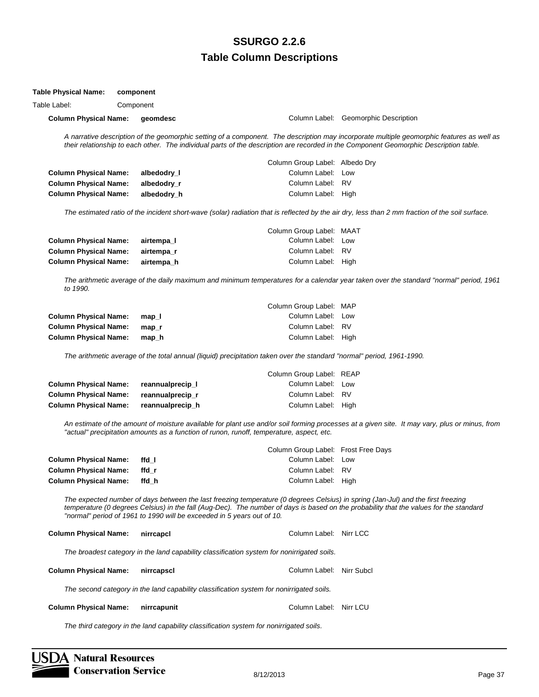| <b>Table Physical Name:</b>  | component        |                                                                        |                                                                                                                       |                                                                                                                                                                                                                                                                                    |
|------------------------------|------------------|------------------------------------------------------------------------|-----------------------------------------------------------------------------------------------------------------------|------------------------------------------------------------------------------------------------------------------------------------------------------------------------------------------------------------------------------------------------------------------------------------|
| Table Label:                 | Component        |                                                                        |                                                                                                                       |                                                                                                                                                                                                                                                                                    |
| <b>Column Physical Name:</b> | geomdesc         |                                                                        |                                                                                                                       | Column Label: Geomorphic Description                                                                                                                                                                                                                                               |
|                              |                  |                                                                        |                                                                                                                       | A narrative description of the geomorphic setting of a component. The description may incorporate multiple geomorphic features as well as<br>their relationship to each other. The individual parts of the description are recorded in the Component Geomorphic Description table. |
|                              |                  |                                                                        | Column Group Label: Albedo Dry                                                                                        |                                                                                                                                                                                                                                                                                    |
| <b>Column Physical Name:</b> | albedodry_l      |                                                                        | Column Label:                                                                                                         | Low                                                                                                                                                                                                                                                                                |
| <b>Column Physical Name:</b> | albedodry_r      |                                                                        | Column Label: RV                                                                                                      |                                                                                                                                                                                                                                                                                    |
| <b>Column Physical Name:</b> | albedodry_h      |                                                                        | Column Label: High                                                                                                    |                                                                                                                                                                                                                                                                                    |
|                              |                  |                                                                        |                                                                                                                       | The estimated ratio of the incident short-wave (solar) radiation that is reflected by the air dry, less than 2 mm fraction of the soil surface.                                                                                                                                    |
|                              |                  |                                                                        | Column Group Label: MAAT                                                                                              |                                                                                                                                                                                                                                                                                    |
| <b>Column Physical Name:</b> | airtempa_l       |                                                                        | Column Label: Low                                                                                                     |                                                                                                                                                                                                                                                                                    |
| <b>Column Physical Name:</b> | airtempa_r       |                                                                        | Column Label: RV                                                                                                      |                                                                                                                                                                                                                                                                                    |
| <b>Column Physical Name:</b> | airtempa_h       |                                                                        | Column Label: High                                                                                                    |                                                                                                                                                                                                                                                                                    |
| to 1990.                     |                  |                                                                        |                                                                                                                       | The arithmetic average of the daily maximum and minimum temperatures for a calendar year taken over the standard "normal" period, 1961                                                                                                                                             |
|                              |                  |                                                                        | Column Group Label: MAP                                                                                               |                                                                                                                                                                                                                                                                                    |
| <b>Column Physical Name:</b> | $map_l$          |                                                                        | Column Label: Low                                                                                                     |                                                                                                                                                                                                                                                                                    |
| <b>Column Physical Name:</b> | $map_r$          |                                                                        | Column Label: RV                                                                                                      |                                                                                                                                                                                                                                                                                    |
| <b>Column Physical Name:</b> | map_h            |                                                                        | Column Label: High                                                                                                    |                                                                                                                                                                                                                                                                                    |
|                              |                  |                                                                        | The arithmetic average of the total annual (liquid) precipitation taken over the standard "normal" period, 1961-1990. |                                                                                                                                                                                                                                                                                    |
|                              |                  |                                                                        | Column Group Label: REAP                                                                                              |                                                                                                                                                                                                                                                                                    |
| <b>Column Physical Name:</b> | reannualprecip_I |                                                                        | Column Label: Low                                                                                                     |                                                                                                                                                                                                                                                                                    |
| <b>Column Physical Name:</b> | reannualprecip_r |                                                                        | Column Label: RV                                                                                                      |                                                                                                                                                                                                                                                                                    |
| <b>Column Physical Name:</b> | reannualprecip_h |                                                                        | Column Label: High                                                                                                    |                                                                                                                                                                                                                                                                                    |
|                              |                  |                                                                        | "actual" precipitation amounts as a function of runon, runoff, temperature, aspect, etc.                              | An estimate of the amount of moisture available for plant use and/or soil forming processes at a given site. It may vary, plus or minus, from                                                                                                                                      |
|                              |                  |                                                                        | Column Group Label: Frost Free Days                                                                                   |                                                                                                                                                                                                                                                                                    |
| <b>Column Physical Name:</b> | ffd_l            |                                                                        | Column Label: Low                                                                                                     |                                                                                                                                                                                                                                                                                    |
| <b>Column Physical Name:</b> | ffd_r            |                                                                        | Column Label: RV                                                                                                      |                                                                                                                                                                                                                                                                                    |
| <b>Column Physical Name:</b> | ffd_h            |                                                                        | Column Label: High                                                                                                    |                                                                                                                                                                                                                                                                                    |
|                              |                  | "normal" period of 1961 to 1990 will be exceeded in 5 years out of 10. |                                                                                                                       | The expected number of days between the last freezing temperature (0 degrees Celsius) in spring (Jan-Jul) and the first freezing<br>temperature (0 degrees Celsius) in the fall (Aug-Dec). The number of days is based on the probability that the values for the standard         |
| <b>Column Physical Name:</b> | nirrcapcl        |                                                                        | Column Label: Nirr LCC                                                                                                |                                                                                                                                                                                                                                                                                    |
|                              |                  |                                                                        | The broadest category in the land capability classification system for nonirrigated soils.                            |                                                                                                                                                                                                                                                                                    |
| <b>Column Physical Name:</b> | nirrcapscl       |                                                                        | Column Label: Nirr Subcl                                                                                              |                                                                                                                                                                                                                                                                                    |
|                              |                  |                                                                        | The second category in the land capability classification system for nonirrigated soils.                              |                                                                                                                                                                                                                                                                                    |
| <b>Column Physical Name:</b> | nirrcapunit      |                                                                        | Column Label: Nirr LCU                                                                                                |                                                                                                                                                                                                                                                                                    |
|                              |                  |                                                                        |                                                                                                                       |                                                                                                                                                                                                                                                                                    |

*The third category in the land capability classification system for nonirrigated soils.*

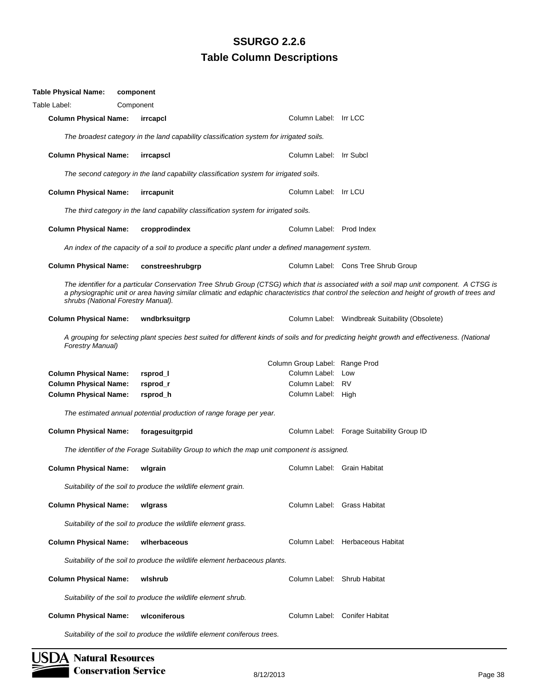| Table Physical Name:         | component                                                                  |                                                                                                   |                                                                                                                                                                                                                                                                                          |
|------------------------------|----------------------------------------------------------------------------|---------------------------------------------------------------------------------------------------|------------------------------------------------------------------------------------------------------------------------------------------------------------------------------------------------------------------------------------------------------------------------------------------|
| Table Label:                 | Component                                                                  |                                                                                                   |                                                                                                                                                                                                                                                                                          |
| <b>Column Physical Name:</b> | irrcapcl                                                                   | Column Label: Irr LCC                                                                             |                                                                                                                                                                                                                                                                                          |
|                              |                                                                            | The broadest category in the land capability classification system for irrigated soils.           |                                                                                                                                                                                                                                                                                          |
| <b>Column Physical Name:</b> | irrcapscl                                                                  | Column Label: Irr Subcl                                                                           |                                                                                                                                                                                                                                                                                          |
|                              |                                                                            | The second category in the land capability classification system for irrigated soils.             |                                                                                                                                                                                                                                                                                          |
| <b>Column Physical Name:</b> | irrcapunit                                                                 | Column Label: Irr LCU                                                                             |                                                                                                                                                                                                                                                                                          |
|                              |                                                                            | The third category in the land capability classification system for irrigated soils.              |                                                                                                                                                                                                                                                                                          |
| <b>Column Physical Name:</b> | cropprodindex                                                              | Column Label: Prod Index                                                                          |                                                                                                                                                                                                                                                                                          |
|                              |                                                                            | An index of the capacity of a soil to produce a specific plant under a defined management system. |                                                                                                                                                                                                                                                                                          |
| <b>Column Physical Name:</b> | constreeshrubgrp                                                           |                                                                                                   | Column Label: Cons Tree Shrub Group                                                                                                                                                                                                                                                      |
|                              | shrubs (National Forestry Manual).                                         |                                                                                                   | The identifier for a particular Conservation Tree Shrub Group (CTSG) which that is associated with a soil map unit component. A CTSG is<br>a physiographic unit or area having similar climatic and edaphic characteristics that control the selection and height of growth of trees and |
| <b>Column Physical Name:</b> | wndbrksuitgrp                                                              |                                                                                                   | Column Label: Windbreak Suitability (Obsolete)                                                                                                                                                                                                                                           |
| <b>Forestry Manual)</b>      |                                                                            |                                                                                                   | A grouping for selecting plant species best suited for different kinds of soils and for predicting height growth and effectiveness. (National                                                                                                                                            |
|                              |                                                                            | Column Group Label: Range Prod                                                                    |                                                                                                                                                                                                                                                                                          |
| <b>Column Physical Name:</b> | rsprod_l                                                                   | Column Label: Low                                                                                 |                                                                                                                                                                                                                                                                                          |
| <b>Column Physical Name:</b> | rsprod_r                                                                   | Column Label: RV                                                                                  |                                                                                                                                                                                                                                                                                          |
| <b>Column Physical Name:</b> | rsprod_h                                                                   | Column Label: High                                                                                |                                                                                                                                                                                                                                                                                          |
|                              | The estimated annual potential production of range forage per year.        |                                                                                                   |                                                                                                                                                                                                                                                                                          |
| <b>Column Physical Name:</b> | foragesuitgrpid                                                            |                                                                                                   | Column Label: Forage Suitability Group ID                                                                                                                                                                                                                                                |
|                              |                                                                            | The identifier of the Forage Suitability Group to which the map unit component is assigned.       |                                                                                                                                                                                                                                                                                          |
| <b>Column Physical Name:</b> | wlgrain                                                                    | Column Label: Grain Habitat                                                                       |                                                                                                                                                                                                                                                                                          |
|                              | Suitability of the soil to produce the wildlife element grain.             |                                                                                                   |                                                                                                                                                                                                                                                                                          |
| <b>Column Physical Name:</b> | wlgrass                                                                    | Column Label: Grass Habitat                                                                       |                                                                                                                                                                                                                                                                                          |
|                              | Suitability of the soil to produce the wildlife element grass.             |                                                                                                   |                                                                                                                                                                                                                                                                                          |
| <b>Column Physical Name:</b> | wiherbaceous                                                               |                                                                                                   | Column Label: Herbaceous Habitat                                                                                                                                                                                                                                                         |
|                              | Suitability of the soil to produce the wildlife element herbaceous plants. |                                                                                                   |                                                                                                                                                                                                                                                                                          |
| <b>Column Physical Name:</b> | wishrub                                                                    | Column Label: Shrub Habitat                                                                       |                                                                                                                                                                                                                                                                                          |
|                              | Suitability of the soil to produce the wildlife element shrub.             |                                                                                                   |                                                                                                                                                                                                                                                                                          |
| <b>Column Physical Name:</b> | wlconiferous                                                               |                                                                                                   | Column Label: Conifer Habitat                                                                                                                                                                                                                                                            |
|                              | Suitability of the soil to produce the wildlife element coniferous trees.  |                                                                                                   |                                                                                                                                                                                                                                                                                          |

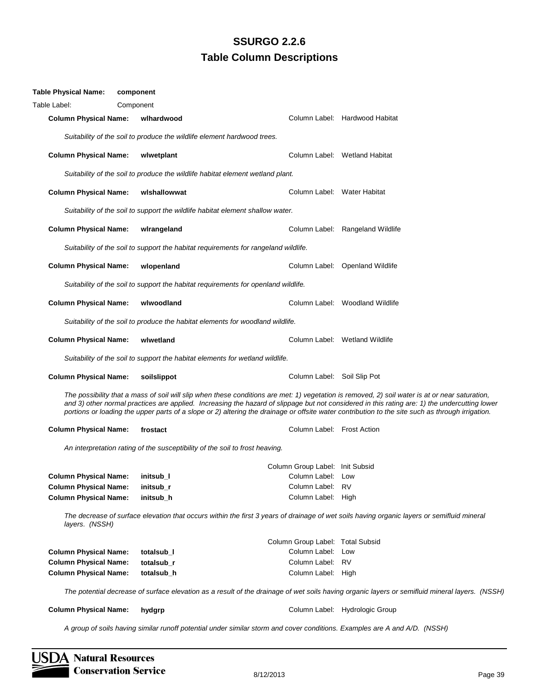| <b>Table Physical Name:</b>                             | component                                                                           |                                                                                                                           |                                                                                                                                                                                                                                                                                                                                                                                                                                                     |
|---------------------------------------------------------|-------------------------------------------------------------------------------------|---------------------------------------------------------------------------------------------------------------------------|-----------------------------------------------------------------------------------------------------------------------------------------------------------------------------------------------------------------------------------------------------------------------------------------------------------------------------------------------------------------------------------------------------------------------------------------------------|
| Table Label:                                            | Component                                                                           |                                                                                                                           |                                                                                                                                                                                                                                                                                                                                                                                                                                                     |
| <b>Column Physical Name:</b>                            | wlhardwood                                                                          |                                                                                                                           | Column Label: Hardwood Habitat                                                                                                                                                                                                                                                                                                                                                                                                                      |
|                                                         | Suitability of the soil to produce the wildlife element hardwood trees.             |                                                                                                                           |                                                                                                                                                                                                                                                                                                                                                                                                                                                     |
| <b>Column Physical Name:</b>                            | wlwetplant                                                                          |                                                                                                                           | Column Label: Wetland Habitat                                                                                                                                                                                                                                                                                                                                                                                                                       |
|                                                         | Suitability of the soil to produce the wildlife habitat element wetland plant.      |                                                                                                                           |                                                                                                                                                                                                                                                                                                                                                                                                                                                     |
| <b>Column Physical Name:</b>                            | wishallowwat                                                                        | Column Label: Water Habitat                                                                                               |                                                                                                                                                                                                                                                                                                                                                                                                                                                     |
|                                                         | Suitability of the soil to support the wildlife habitat element shallow water.      |                                                                                                                           |                                                                                                                                                                                                                                                                                                                                                                                                                                                     |
| <b>Column Physical Name:</b>                            | wirangeland                                                                         |                                                                                                                           | Column Label: Rangeland Wildlife                                                                                                                                                                                                                                                                                                                                                                                                                    |
|                                                         | Suitability of the soil to support the habitat requirements for rangeland wildlife. |                                                                                                                           |                                                                                                                                                                                                                                                                                                                                                                                                                                                     |
| <b>Column Physical Name:</b>                            | wlopenland                                                                          |                                                                                                                           | Column Label: Openland Wildlife                                                                                                                                                                                                                                                                                                                                                                                                                     |
|                                                         | Suitability of the soil to support the habitat requirements for openland wildlife.  |                                                                                                                           |                                                                                                                                                                                                                                                                                                                                                                                                                                                     |
| <b>Column Physical Name:</b>                            | wlwoodland                                                                          |                                                                                                                           | Column Label: Woodland Wildlife                                                                                                                                                                                                                                                                                                                                                                                                                     |
|                                                         | Suitability of the soil to produce the habitat elements for woodland wildlife.      |                                                                                                                           |                                                                                                                                                                                                                                                                                                                                                                                                                                                     |
| <b>Column Physical Name:</b>                            | wlwetland                                                                           |                                                                                                                           | Column Label: Wetland Wildlife                                                                                                                                                                                                                                                                                                                                                                                                                      |
|                                                         | Suitability of the soil to support the habitat elements for wetland wildlife.       |                                                                                                                           |                                                                                                                                                                                                                                                                                                                                                                                                                                                     |
| <b>Column Physical Name:</b>                            | soilslippot                                                                         | Column Label: Soil Slip Pot                                                                                               |                                                                                                                                                                                                                                                                                                                                                                                                                                                     |
|                                                         |                                                                                     |                                                                                                                           | The possibility that a mass of soil will slip when these conditions are met: 1) vegetation is removed, 2) soil water is at or near saturation,<br>and 3) other normal practices are applied. Increasing the hazard of slippage but not considered in this rating are: 1) the undercutting lower<br>portions or loading the upper parts of a slope or 2) altering the drainage or offsite water contribution to the site such as through irrigation. |
| <b>Column Physical Name:</b>                            | frostact                                                                            | Column Label: Frost Action                                                                                                |                                                                                                                                                                                                                                                                                                                                                                                                                                                     |
|                                                         | An interpretation rating of the susceptibility of the soil to frost heaving.        |                                                                                                                           |                                                                                                                                                                                                                                                                                                                                                                                                                                                     |
|                                                         |                                                                                     | Column Group Label: Init Subsid                                                                                           |                                                                                                                                                                                                                                                                                                                                                                                                                                                     |
| Column Physical Name: initsub_I                         |                                                                                     | Column Label: Low                                                                                                         |                                                                                                                                                                                                                                                                                                                                                                                                                                                     |
| <b>Column Physical Name:</b>                            | initsub_r                                                                           | Column Label: RV                                                                                                          |                                                                                                                                                                                                                                                                                                                                                                                                                                                     |
| <b>Column Physical Name:</b>                            | initsub_h                                                                           | Column Label: High                                                                                                        |                                                                                                                                                                                                                                                                                                                                                                                                                                                     |
| layers. (NSSH)                                          |                                                                                     |                                                                                                                           | The decrease of surface elevation that occurs within the first 3 years of drainage of wet soils having organic layers or semifluid mineral                                                                                                                                                                                                                                                                                                          |
|                                                         |                                                                                     | Column Group Label: Total Subsid                                                                                          |                                                                                                                                                                                                                                                                                                                                                                                                                                                     |
| <b>Column Physical Name:</b>                            | totalsub_l                                                                          | Column Label: Low                                                                                                         |                                                                                                                                                                                                                                                                                                                                                                                                                                                     |
| <b>Column Physical Name:</b>                            | totalsub_r                                                                          | Column Label: RV                                                                                                          |                                                                                                                                                                                                                                                                                                                                                                                                                                                     |
| <b>Column Physical Name:</b>                            | totalsub_h                                                                          | Column Label: High                                                                                                        |                                                                                                                                                                                                                                                                                                                                                                                                                                                     |
|                                                         |                                                                                     |                                                                                                                           | The potential decrease of surface elevation as a result of the drainage of wet soils having organic layers or semifluid mineral layers. (NSSH)                                                                                                                                                                                                                                                                                                      |
| <b>Column Physical Name:</b>                            | hydgrp                                                                              |                                                                                                                           | Column Label: Hydrologic Group                                                                                                                                                                                                                                                                                                                                                                                                                      |
|                                                         |                                                                                     | A group of soils having similar runoff potential under similar storm and cover conditions. Examples are A and A/D. (NSSH) |                                                                                                                                                                                                                                                                                                                                                                                                                                                     |
| <b>Natural Resources</b><br><b>Conservation Service</b> |                                                                                     | 8/12/2013                                                                                                                 | Page 39                                                                                                                                                                                                                                                                                                                                                                                                                                             |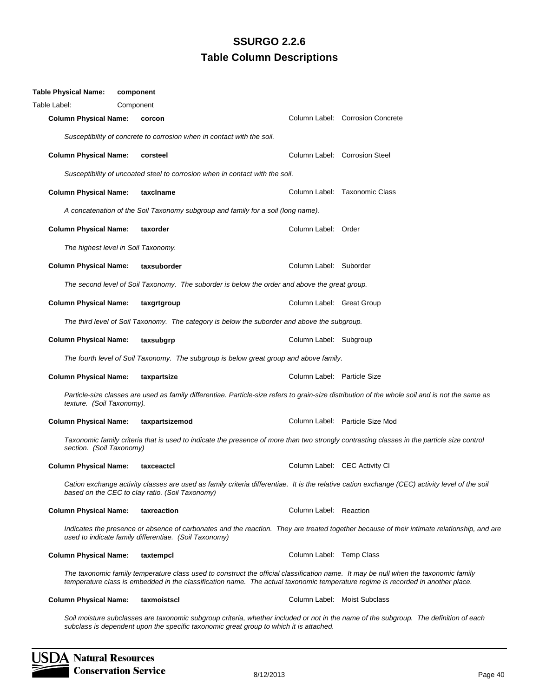| Table Physical Name:         | component                                             |                                                                                               |                             |                                                                                                                                                                                                                                                                        |
|------------------------------|-------------------------------------------------------|-----------------------------------------------------------------------------------------------|-----------------------------|------------------------------------------------------------------------------------------------------------------------------------------------------------------------------------------------------------------------------------------------------------------------|
| Table Label:                 | Component                                             |                                                                                               |                             |                                                                                                                                                                                                                                                                        |
| <b>Column Physical Name:</b> | corcon                                                |                                                                                               |                             | Column Label: Corrosion Concrete                                                                                                                                                                                                                                       |
|                              |                                                       | Susceptibility of concrete to corrosion when in contact with the soil.                        |                             |                                                                                                                                                                                                                                                                        |
| <b>Column Physical Name:</b> | corsteel                                              |                                                                                               |                             | Column Label: Corrosion Steel                                                                                                                                                                                                                                          |
|                              |                                                       | Susceptibility of uncoated steel to corrosion when in contact with the soil.                  |                             |                                                                                                                                                                                                                                                                        |
| <b>Column Physical Name:</b> | taxclname                                             |                                                                                               |                             | Column Label: Taxonomic Class                                                                                                                                                                                                                                          |
|                              |                                                       | A concatenation of the Soil Taxonomy subgroup and family for a soil (long name).              |                             |                                                                                                                                                                                                                                                                        |
| <b>Column Physical Name:</b> | taxorder                                              |                                                                                               | Column Label: Order         |                                                                                                                                                                                                                                                                        |
|                              | The highest level in Soil Taxonomy.                   |                                                                                               |                             |                                                                                                                                                                                                                                                                        |
| <b>Column Physical Name:</b> | taxsuborder                                           |                                                                                               | Column Label: Suborder      |                                                                                                                                                                                                                                                                        |
|                              |                                                       | The second level of Soil Taxonomy. The suborder is below the order and above the great group. |                             |                                                                                                                                                                                                                                                                        |
| <b>Column Physical Name:</b> | taxgrtgroup                                           |                                                                                               | Column Label: Great Group   |                                                                                                                                                                                                                                                                        |
|                              |                                                       | The third level of Soil Taxonomy. The category is below the suborder and above the subgroup.  |                             |                                                                                                                                                                                                                                                                        |
| <b>Column Physical Name:</b> | taxsubgrp                                             |                                                                                               | Column Label: Subgroup      |                                                                                                                                                                                                                                                                        |
|                              |                                                       | The fourth level of Soil Taxonomy. The subgroup is below great group and above family.        |                             |                                                                                                                                                                                                                                                                        |
| <b>Column Physical Name:</b> | taxpartsize                                           |                                                                                               | Column Label: Particle Size |                                                                                                                                                                                                                                                                        |
| texture. (Soil Taxonomy).    |                                                       |                                                                                               |                             | Particle-size classes are used as family differentiae. Particle-size refers to grain-size distribution of the whole soil and is not the same as                                                                                                                        |
| <b>Column Physical Name:</b> | taxpartsizemod                                        |                                                                                               |                             | Column Label: Particle Size Mod                                                                                                                                                                                                                                        |
| section. (Soil Taxonomy)     |                                                       |                                                                                               |                             | Taxonomic family criteria that is used to indicate the presence of more than two strongly contrasting classes in the particle size control                                                                                                                             |
| <b>Column Physical Name:</b> | taxceactcl                                            |                                                                                               |                             | Column Label: CEC Activity CI                                                                                                                                                                                                                                          |
|                              | based on the CEC to clay ratio. (Soil Taxonomy)       |                                                                                               |                             | Cation exchange activity classes are used as family criteria differentiae. It is the relative cation exchange (CEC) activity level of the soil                                                                                                                         |
| <b>Column Physical Name:</b> | taxreaction                                           |                                                                                               | Column Label: Reaction      |                                                                                                                                                                                                                                                                        |
|                              | used to indicate family differentiae. (Soil Taxonomy) |                                                                                               |                             | Indicates the presence or absence of carbonates and the reaction. They are treated together because of their intimate relationship, and are                                                                                                                            |
| <b>Column Physical Name:</b> | taxtempcl                                             |                                                                                               | Column Label: Temp Class    |                                                                                                                                                                                                                                                                        |
|                              |                                                       |                                                                                               |                             | The taxonomic family temperature class used to construct the official classification name. It may be null when the taxonomic family<br>temperature class is embedded in the classification name. The actual taxonomic temperature regime is recorded in another place. |
| <b>Column Physical Name:</b> | taxmoistscl                                           |                                                                                               |                             | Column Label: Moist Subclass                                                                                                                                                                                                                                           |
|                              |                                                       |                                                                                               |                             |                                                                                                                                                                                                                                                                        |

*Soil moisture subclasses are taxonomic subgroup criteria, whether included or not in the name of the subgroup. The definition of each subclass is dependent upon the specific taxonomic great group to which it is attached.*

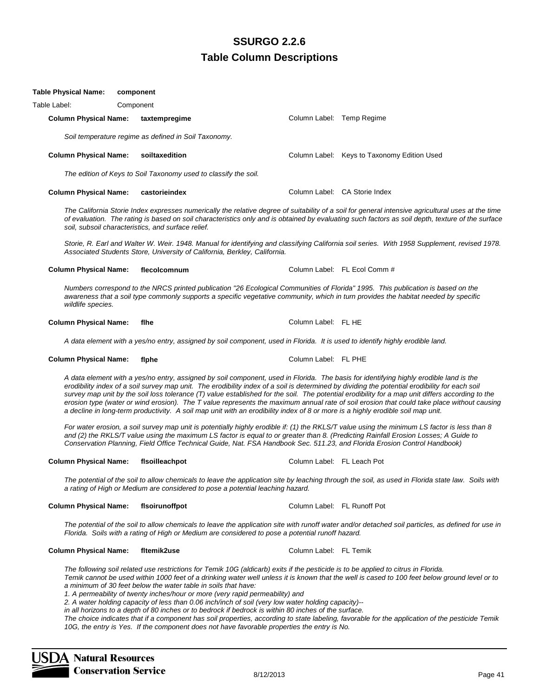|                              | A data element with a yes/no entry, assigned by soil component, used in Florida. The basis for identifyin<br>erodibility index of a soil survey map unit. The erodibility index of a soil is determined by dividing the pot<br>survey map unit by the soil loss tolerance (T) value established for the soil. The potential erodibility for a<br>erosion type (water or wind erosion). The T value represents the maximum annual rate of soil erosion that<br>a decline in long-term productivity. A soil map unit with an erodibility index of 8 or more is a highly erodib                                                                                                                                                                                                                                    |                             |  |
|------------------------------|-----------------------------------------------------------------------------------------------------------------------------------------------------------------------------------------------------------------------------------------------------------------------------------------------------------------------------------------------------------------------------------------------------------------------------------------------------------------------------------------------------------------------------------------------------------------------------------------------------------------------------------------------------------------------------------------------------------------------------------------------------------------------------------------------------------------|-----------------------------|--|
|                              | For water erosion, a soil survey map unit is potentially highly erodible if: (1) the RKLS/T value using the r.<br>and (2) the RKLS/T value using the maximum LS factor is equal to or greater than 8. (Predicting Rainfall<br>Conservation Planning, Field Office Technical Guide, Nat. FSA Handbook Sec. 511.23, and Florida Eros.                                                                                                                                                                                                                                                                                                                                                                                                                                                                             |                             |  |
| <b>Column Physical Name:</b> | fisoilleachpot                                                                                                                                                                                                                                                                                                                                                                                                                                                                                                                                                                                                                                                                                                                                                                                                  | Column Label: FL Leach Pot  |  |
|                              | The potential of the soil to allow chemicals to leave the application site by leaching through the soil, as us<br>a rating of High or Medium are considered to pose a potential leaching hazard.                                                                                                                                                                                                                                                                                                                                                                                                                                                                                                                                                                                                                |                             |  |
| <b>Column Physical Name:</b> | flsoirunoffpot                                                                                                                                                                                                                                                                                                                                                                                                                                                                                                                                                                                                                                                                                                                                                                                                  | Column Label: FL Runoff Pot |  |
|                              | The potential of the soil to allow chemicals to leave the application site with runoff water and/or detached<br>Florida. Soils with a rating of High or Medium are considered to pose a potential runoff hazard.                                                                                                                                                                                                                                                                                                                                                                                                                                                                                                                                                                                                |                             |  |
| <b>Column Physical Name:</b> | fltemik2use                                                                                                                                                                                                                                                                                                                                                                                                                                                                                                                                                                                                                                                                                                                                                                                                     | Column Label: FL Temik      |  |
|                              | The following soil related use restrictions for Temik 10G (aldicarb) exits if the pesticide is to be applied to<br>Temik cannot be used within 1000 feet of a drinking water well unless it is known that the well is cased to<br>a minimum of 30 feet below the water table in soils that have:<br>1. A permeability of twenty inches/hour or more (very rapid permeability) and<br>2. A water holding capacity of less than 0.06 inch/inch of soil (very low water holding capacity)--<br>in all horizons to a depth of 80 inches or to bedrock if bedrock is within 80 inches of the surface.<br>The choice indicates that if a component has soil properties, according to state labeling, favorable for the<br>10G, the entry is Yes. If the component does not have favorable properties the entry is No. |                             |  |
| <b>Natural Resources</b>     |                                                                                                                                                                                                                                                                                                                                                                                                                                                                                                                                                                                                                                                                                                                                                                                                                 |                             |  |
| <b>Conservation Service</b>  |                                                                                                                                                                                                                                                                                                                                                                                                                                                                                                                                                                                                                                                                                                                                                                                                                 | 8/12/2013                   |  |

Table Label: Component **Column Physical Name: taxtempregime Column Label: Temp Regime Column Label: Temp Regime** *Soil temperature regime as defined in Soil Taxonomy.* **Column Physical Name: soiltaxedition** Column Label: Keys to Taxonomy Edition Used *The edition of Keys to Soil Taxonomy used to classify the soil.* **Column Physical Name: castorieindex Column Label: CA Storie Index** Column Label: CA Storie Index

*The California Storie Index expresses numerically the relative degree of suitability of a soil for general intensive agricultural uses at the time of evaluation. The rating is based on soil characteristics only and is obtained by evaluating such factors as soil depth, texture of the surface soil, subsoil characteristics, and surface relief.*

*Storie, R. Earl and Walter W. Weir. 1948. Manual for identifying and classifying California soil series. With 1958 Supplement, revised 1978. Associated Students Store, University of California, Berkley, California.*

#### **Column Physical Name: flecolcomnum** Column Label: FL Ecol Comm #

*Numbers correspond to the NRCS printed publication "26 Ecological Communities of Florida" 1995. This publication is based on the awareness that a soil type commonly supports a specific vegetative community, which in turn provides the habitat needed by specific wildlife species.*

#### Column Physical Name: flhe **Column Label: FL HE** Column Label: FL HE

**Table Physical Name: component**

*A data element with a yes/no entry, assigned by soil component, used in Florida. It is used to identify highly erodible land.*

**Column Physical Name: flphe** Column Label: FL PHE

*A data element with a yes/no entry, assigned by soil component, used in Florida. The basis for identifying highly erodible land is the*  ential erodibility for each soil *map unit differs according to the erosion type (water or wind erosion). The T value represents the maximum annual rate of soil erosion that could take place without causing a decline in long-term productivity. A soil map unit with an erodibility index of 8 or more is a highly erodible soil map unit.*

*For water erosion, a soil survey map unit is potentially highly erodible if: (1) the RKLS/T value using the minimum LS factor is less than 8 and (2) the RKLS/T value using the maximum LS factor is equal to or greater than 8. (Predicting Rainfall Erosion Losses; A Guide to Conservation Planning, Field Office Technical Guide, Nat. FSA Handbook Sec. 511.23, and Florida Erosion Control Handbook)*

*The potential of the soil to allow chemicals to leave the application site by leaching through the soil, as used in Florida state law. Soils with* 

*The potential of the soil to allow chemicals to leave the application site with runoff water and/or detached soil particles, as defined for use in* 

*The following soil related use restrictions for Temik 10G (aldicarb) exits if the pesticide is to be applied to citrus in Florida. Temik cannot be used within 1000 feet of a drinking water well unless it is known that the well is cased to 100 feet below ground level or to* 

*The choice indicates that if a component has soil properties, according to state labeling, favorable for the application of the pesticide Temik*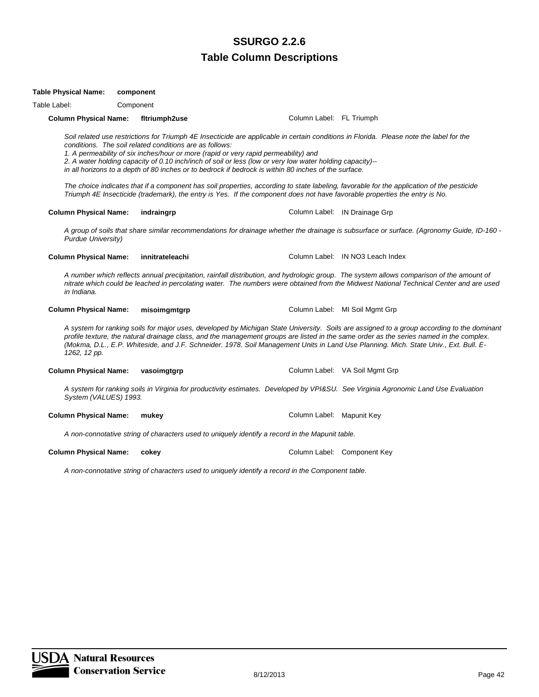#### **Table Column Descriptions** Text13: **SSURGO 2.2.6**

*A group of soils that share similar recommendations for drainage whether the drainage is subsurface or surface. (Agronomy Guide, ID-160 - Purdue University)*

**Column Physical Name: vasoimgtgrp Column Label: VA Soil Mgmt Grp** Column Label: VA Soil Mgmt Grp

*A system for ranking soils in Virginia for productivity estimates. Developed by VPI&SU. See Virginia Agronomic Land Use Evaluation System (VALUES) 1993.*

*A non-connotative string of characters used to uniquely identify a record in the Mapunit table.*

**Column Physical Name: cokey Column Label: Component Key Column Label: Component Key** 

**Table Physical Name: component** Table Label: Component

*A non-connotative string of characters used to uniquely identify a record in the Component table.*

**Column Physical Name: innitrateleachi** Column Label: IN NO3 Leach Index *A number which reflects annual precipitation, rainfall distribution, and hydrologic group. The system allows comparison of the amount of nitrate which could be leached in percolating water. The numbers were obtained from the Midwest National Technical Center and are used in Indiana.* **Column Physical Name: misoimgmtgrp Column Label: MI Soil Mgmt Grp** 

*A system for ranking soils for major uses, developed by Michigan State University. Soils are assigned to a group according to the dominant profile texture, the natural drainage class, and the management groups are listed in the same order as the series named in the complex. (Mokma, D.L., E.P. Whiteside, and J.F. Schneider. 1978. Soil Management Units in Land Use Planning. Mich. State Univ., Ext. Bull. E-1262, 12 pp.*

**Column Physical Name: mukey Column Label: Mapunit Key** Column Label: Mapunit Key

Soil related use restrictions for Triumph 4E Insecticide are applicable in certain conditions in Florida. Please note the label for the *conditions. The soil related conditions are as follows:*

*1. A permeability of six inches/hour or more (rapid or very rapid permeability) and*

*2. A water holding capacity of 0.10 inch/inch of soil or less (low or very low water holding capacity)--*

*in all horizons to a depth of 80 inches or to bedrock if bedrock is within 80 inches of the surface.*

**Column Physical Name: fltriumph2use** Column Label: FL Triumph

*The choice indicates that if a component has soil properties, according to state labeling, favorable for the application of the pesticide Triumph 4E Insecticide (trademark), the entry is Yes. If the component does not have favorable properties the entry is No.*

**Column Physical Name: indraingrp Column Label: IN Drainage Grp** Column Label: IN Drainage Grp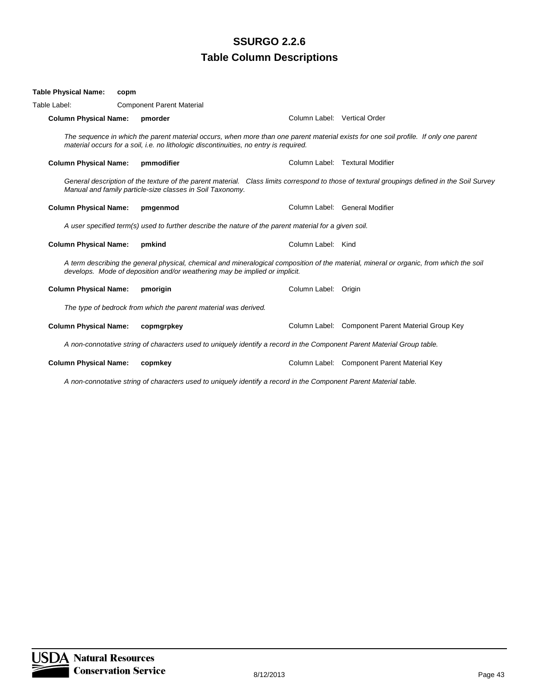| Table Physical Name:         | copm |                                                                                                                         |                              |                                                                                                                                              |
|------------------------------|------|-------------------------------------------------------------------------------------------------------------------------|------------------------------|----------------------------------------------------------------------------------------------------------------------------------------------|
| Table Label:                 |      | <b>Component Parent Material</b>                                                                                        |                              |                                                                                                                                              |
| <b>Column Physical Name:</b> |      | pmorder                                                                                                                 | Column Label: Vertical Order |                                                                                                                                              |
|                              |      | material occurs for a soil, i.e. no lithologic discontinuities, no entry is reguired.                                   |                              | The sequence in which the parent material occurs, when more than one parent material exists for one soil profile. If only one parent         |
| <b>Column Physical Name:</b> |      | pmmodifier                                                                                                              |                              | Column Label: Textural Modifier                                                                                                              |
|                              |      | Manual and family particle-size classes in Soil Taxonomy.                                                               |                              | General description of the texture of the parent material. Class limits correspond to those of textural groupings defined in the Soil Survey |
| <b>Column Physical Name:</b> |      | pmgenmod                                                                                                                |                              | Column Label: General Modifier                                                                                                               |
|                              |      | A user specified term(s) used to further describe the nature of the parent material for a given soil.                   |                              |                                                                                                                                              |
| <b>Column Physical Name:</b> |      | pmkind                                                                                                                  | Column Label: Kind           |                                                                                                                                              |
|                              |      | develops. Mode of deposition and/or weathering may be implied or implicit.                                              |                              | A term describing the general physical, chemical and mineralogical composition of the material, mineral or organic, from which the soil      |
| <b>Column Physical Name:</b> |      | pmorigin                                                                                                                | Column Label: Origin         |                                                                                                                                              |
|                              |      | The type of bedrock from which the parent material was derived.                                                         |                              |                                                                                                                                              |
| <b>Column Physical Name:</b> |      | copmgrpkey                                                                                                              |                              | Column Label: Component Parent Material Group Key                                                                                            |
|                              |      | A non-connotative string of characters used to uniquely identify a record in the Component Parent Material Group table. |                              |                                                                                                                                              |
| <b>Column Physical Name:</b> |      | copmkey                                                                                                                 |                              | Column Label: Component Parent Material Key                                                                                                  |
|                              |      |                                                                                                                         |                              |                                                                                                                                              |

*A non-connotative string of characters used to uniquely identify a record in the Component Parent Material table.*

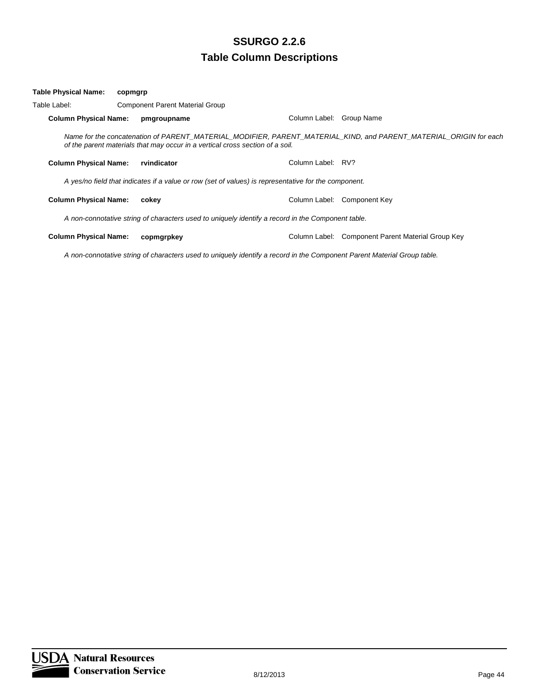| Table Physical Name:         | copmgrp                                |                                                                                                      |                                                                                                                   |
|------------------------------|----------------------------------------|------------------------------------------------------------------------------------------------------|-------------------------------------------------------------------------------------------------------------------|
| Table Label:                 | <b>Component Parent Material Group</b> |                                                                                                      |                                                                                                                   |
| <b>Column Physical Name:</b> | pmgroupname                            | Column Label:                                                                                        | Group Name                                                                                                        |
|                              |                                        | of the parent materials that may occur in a vertical cross section of a soil.                        | Name for the concatenation of PARENT_MATERIAL_MODIFIER, PARENT_MATERIAL_KIND, and PARENT_MATERIAL_ORIGIN for each |
| <b>Column Physical Name:</b> | rvindicator                            | Column Label: RV?                                                                                    |                                                                                                                   |
|                              |                                        | A yes/no field that indicates if a value or row (set of values) is representative for the component. |                                                                                                                   |
| <b>Column Physical Name:</b> | cokev                                  | Column Label:                                                                                        | Component Key                                                                                                     |
|                              |                                        | A non-connotative string of characters used to uniquely identify a record in the Component table.    |                                                                                                                   |
| <b>Column Physical Name:</b> | copmgrpkey                             | Column Label:                                                                                        | Component Parent Material Group Key                                                                               |

*A non-connotative string of characters used to uniquely identify a record in the Component Parent Material Group table.*

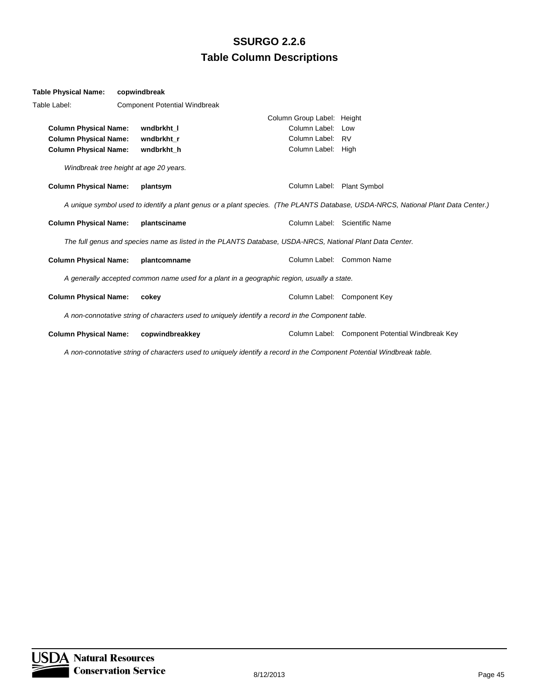| <b>Table Physical Name:</b>                          | copwindbreak                           |                                                                                                          |                            |                                                                                                                                  |
|------------------------------------------------------|----------------------------------------|----------------------------------------------------------------------------------------------------------|----------------------------|----------------------------------------------------------------------------------------------------------------------------------|
| Table Label:<br><b>Component Potential Windbreak</b> |                                        |                                                                                                          |                            |                                                                                                                                  |
|                                                      |                                        |                                                                                                          | Column Group Label: Height |                                                                                                                                  |
| <b>Column Physical Name:</b>                         | wndbrkht I                             |                                                                                                          | Column Label: Low          |                                                                                                                                  |
| <b>Column Physical Name:</b>                         | wndbrkht r                             |                                                                                                          | Column Label: RV           |                                                                                                                                  |
| <b>Column Physical Name:</b>                         | wndbrkht h                             |                                                                                                          | Column Label: High         |                                                                                                                                  |
|                                                      | Windbreak tree height at age 20 years. |                                                                                                          |                            |                                                                                                                                  |
| <b>Column Physical Name:</b>                         | plantsym                               |                                                                                                          | Column Label: Plant Symbol |                                                                                                                                  |
|                                                      |                                        |                                                                                                          |                            | A unique symbol used to identify a plant genus or a plant species. (The PLANTS Database, USDA-NRCS, National Plant Data Center.) |
| <b>Column Physical Name:</b>                         | plantsciname                           |                                                                                                          |                            | Column Label: Scientific Name                                                                                                    |
|                                                      |                                        | The full genus and species name as listed in the PLANTS Database, USDA-NRCS, National Plant Data Center. |                            |                                                                                                                                  |
| <b>Column Physical Name:</b>                         |                                        | plantcomname                                                                                             |                            | Column Label: Common Name                                                                                                        |
|                                                      |                                        | A generally accepted common name used for a plant in a geographic region, usually a state.               |                            |                                                                                                                                  |
| <b>Column Physical Name:</b>                         | cokey                                  |                                                                                                          |                            | Column Label: Component Key                                                                                                      |
|                                                      |                                        | A non-connotative string of characters used to uniquely identify a record in the Component table.        |                            |                                                                                                                                  |
| <b>Column Physical Name:</b>                         |                                        | copwindbreakkey                                                                                          |                            | Column Label: Component Potential Windbreak Key                                                                                  |

*A non-connotative string of characters used to uniquely identify a record in the Component Potential Windbreak table.*

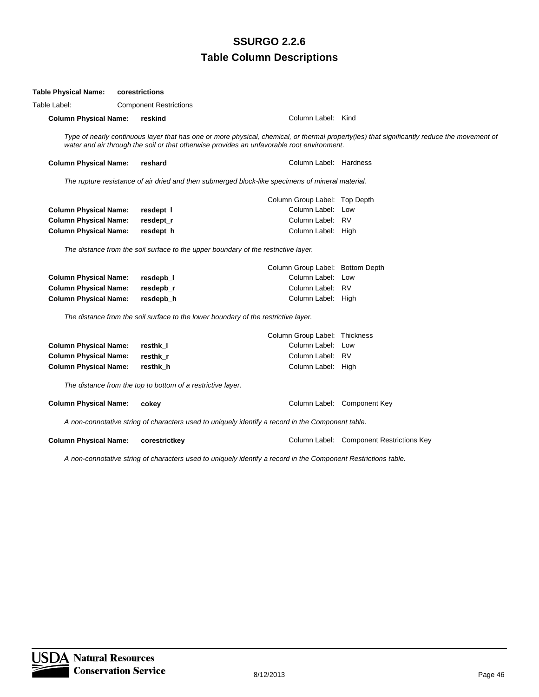| <b>Table Physical Name:</b>  | corestrictions                                              |                                                                                                   |                                                                                                                                             |
|------------------------------|-------------------------------------------------------------|---------------------------------------------------------------------------------------------------|---------------------------------------------------------------------------------------------------------------------------------------------|
| Table Label:                 | <b>Component Restrictions</b>                               |                                                                                                   |                                                                                                                                             |
| <b>Column Physical Name:</b> | reskind                                                     | Column Label: Kind                                                                                |                                                                                                                                             |
|                              |                                                             | water and air through the soil or that otherwise provides an unfavorable root environment.        | Type of nearly continuous layer that has one or more physical, chemical, or thermal property(ies) that significantly reduce the movement of |
| <b>Column Physical Name:</b> | reshard                                                     | Column Label: Hardness                                                                            |                                                                                                                                             |
|                              |                                                             | The rupture resistance of air dried and then submerged block-like specimens of mineral material.  |                                                                                                                                             |
|                              |                                                             | Column Group Label: Top Depth                                                                     |                                                                                                                                             |
| <b>Column Physical Name:</b> | resdept_l                                                   | Column Label: Low                                                                                 |                                                                                                                                             |
| <b>Column Physical Name:</b> | resdept_r                                                   | Column Label: RV                                                                                  |                                                                                                                                             |
| <b>Column Physical Name:</b> | resdept h                                                   | Column Label: High                                                                                |                                                                                                                                             |
|                              |                                                             | The distance from the soil surface to the upper boundary of the restrictive layer.                |                                                                                                                                             |
|                              |                                                             | Column Group Label: Bottom Depth                                                                  |                                                                                                                                             |
| <b>Column Physical Name:</b> | resdepb_l                                                   | Column Label: Low                                                                                 |                                                                                                                                             |
| <b>Column Physical Name:</b> | resdepb_r                                                   | Column Label: RV                                                                                  |                                                                                                                                             |
| <b>Column Physical Name:</b> | resdepb_h                                                   | Column Label: High                                                                                |                                                                                                                                             |
|                              |                                                             | The distance from the soil surface to the lower boundary of the restrictive layer.                |                                                                                                                                             |
|                              |                                                             | Column Group Label: Thickness                                                                     |                                                                                                                                             |
| <b>Column Physical Name:</b> | resthk I                                                    | Column Label: Low                                                                                 |                                                                                                                                             |
| <b>Column Physical Name:</b> | resthk r                                                    | Column Label: RV                                                                                  |                                                                                                                                             |
| <b>Column Physical Name:</b> | resthk h                                                    | Column Label: High                                                                                |                                                                                                                                             |
|                              | The distance from the top to bottom of a restrictive layer. |                                                                                                   |                                                                                                                                             |
| <b>Column Physical Name:</b> | cokey                                                       |                                                                                                   | Column Label: Component Key                                                                                                                 |
|                              |                                                             | A non-connotative string of characters used to uniquely identify a record in the Component table. |                                                                                                                                             |
| <b>Column Physical Name:</b> | corestrictkey                                               |                                                                                                   | Column Label: Component Restrictions Key                                                                                                    |
|                              |                                                             |                                                                                                   |                                                                                                                                             |

*A non-connotative string of characters used to uniquely identify a record in the Component Restrictions table.*

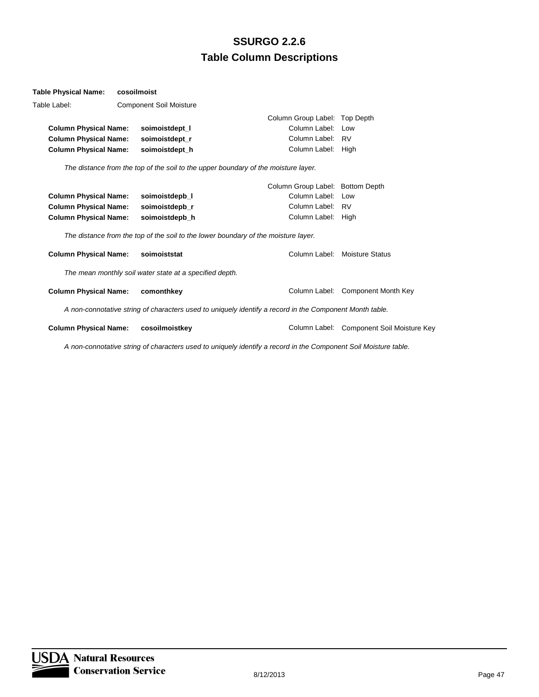#### **Table Physical Name: cosoilmoist**

| Table Label:                 | <b>Component Soil Moisture</b>                          |                                                                                                         |                                           |
|------------------------------|---------------------------------------------------------|---------------------------------------------------------------------------------------------------------|-------------------------------------------|
|                              |                                                         | Column Group Label: Top Depth                                                                           |                                           |
| <b>Column Physical Name:</b> | soimoistdept I                                          | Column Label: Low                                                                                       |                                           |
| <b>Column Physical Name:</b> | soimoistdept r                                          | Column Label: RV                                                                                        |                                           |
| <b>Column Physical Name:</b> | soimoistdept_h                                          | Column Label:                                                                                           | High                                      |
|                              |                                                         | The distance from the top of the soil to the upper boundary of the moisture layer.                      |                                           |
|                              |                                                         | Column Group Label: Bottom Depth                                                                        |                                           |
| <b>Column Physical Name:</b> | soimoistdepb_l                                          | Column Label: Low                                                                                       |                                           |
| <b>Column Physical Name:</b> | soimoistdepb_r                                          | Column Label: RV                                                                                        |                                           |
| <b>Column Physical Name:</b> | soimoistdepb_h                                          | Column Label: High                                                                                      |                                           |
|                              |                                                         | The distance from the top of the soil to the lower boundary of the moisture layer.                      |                                           |
| <b>Column Physical Name:</b> | soimoiststat                                            |                                                                                                         | Column Label: Moisture Status             |
|                              | The mean monthly soil water state at a specified depth. |                                                                                                         |                                           |
| <b>Column Physical Name:</b> | comonthkey                                              |                                                                                                         | Column Label: Component Month Key         |
|                              |                                                         | A non-connotative string of characters used to uniquely identify a record in the Component Month table. |                                           |
| <b>Column Physical Name:</b> | cosoilmoistkey                                          |                                                                                                         | Column Label: Component Soil Moisture Key |
|                              |                                                         |                                                                                                         |                                           |

*A non-connotative string of characters used to uniquely identify a record in the Component Soil Moisture table.*

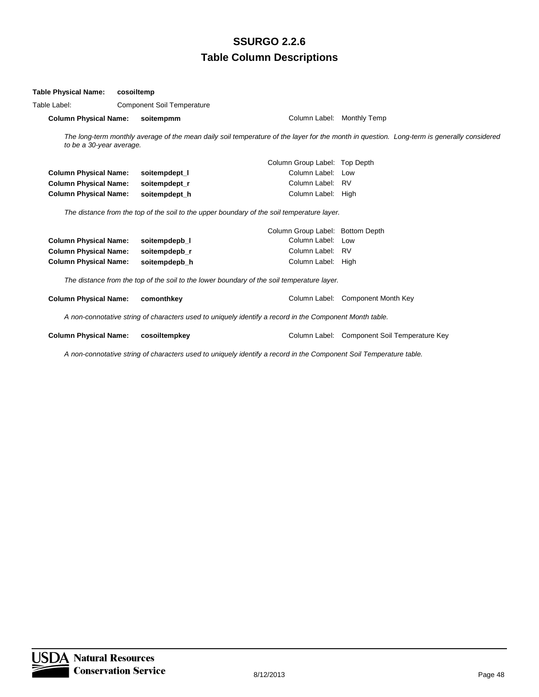#### **Table Physical Name: cosoiltemp**

| Table Physical Name:                              | cosolitemp |               |                                                                                                         |                                                                                                                                            |
|---------------------------------------------------|------------|---------------|---------------------------------------------------------------------------------------------------------|--------------------------------------------------------------------------------------------------------------------------------------------|
| Table Label:<br><b>Component Soil Temperature</b> |            |               |                                                                                                         |                                                                                                                                            |
| <b>Column Physical Name:</b>                      |            | soitempmm     | Column Label: Monthly Temp                                                                              |                                                                                                                                            |
| to be a 30-year average.                          |            |               |                                                                                                         | The long-term monthly average of the mean daily soil temperature of the layer for the month in question. Long-term is generally considered |
|                                                   |            |               | Column Group Label: Top Depth                                                                           |                                                                                                                                            |
| <b>Column Physical Name:</b>                      |            | soitempdept_l | Column Label: Low                                                                                       |                                                                                                                                            |
| <b>Column Physical Name:</b>                      |            | soitempdept_r | Column Label: RV                                                                                        |                                                                                                                                            |
| <b>Column Physical Name:</b>                      |            | soitempdept_h | Column Label: High                                                                                      |                                                                                                                                            |
|                                                   |            |               | The distance from the top of the soil to the upper boundary of the soil temperature layer.              |                                                                                                                                            |
|                                                   |            |               | Column Group Label: Bottom Depth                                                                        |                                                                                                                                            |
| <b>Column Physical Name:</b>                      |            | soitempdepb_l | Column Label: Low                                                                                       |                                                                                                                                            |
| <b>Column Physical Name:</b>                      |            | soitempdepb_r | Column Label: RV                                                                                        |                                                                                                                                            |
| <b>Column Physical Name:</b>                      |            | soitempdepb_h | Column Label: High                                                                                      |                                                                                                                                            |
|                                                   |            |               | The distance from the top of the soil to the lower boundary of the soil temperature layer.              |                                                                                                                                            |
| <b>Column Physical Name:</b>                      |            | comonthkey    |                                                                                                         | Column Label: Component Month Key                                                                                                          |
|                                                   |            |               | A non-connotative string of characters used to uniquely identify a record in the Component Month table. |                                                                                                                                            |
| <b>Column Physical Name:</b>                      |            | cosoiltempkey |                                                                                                         | Column Label: Component Soil Temperature Key                                                                                               |

*A non-connotative string of characters used to uniquely identify a record in the Component Soil Temperature table.*

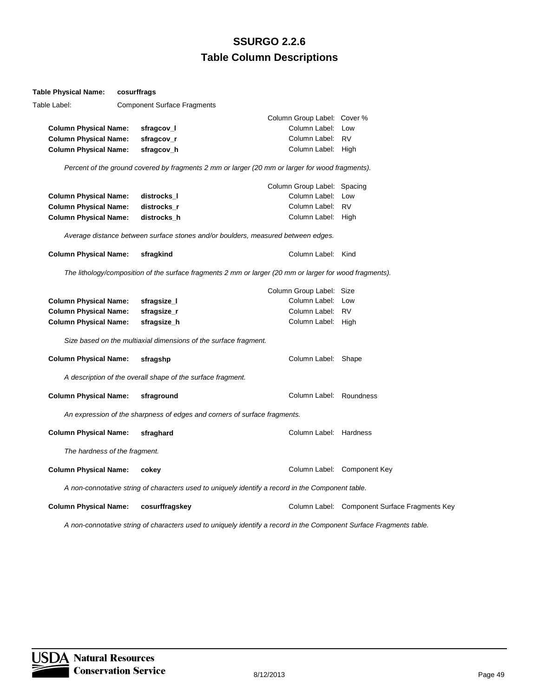| <b>Table Physical Name:</b>   | cosurffrags                                                                                                         |                             |                                               |
|-------------------------------|---------------------------------------------------------------------------------------------------------------------|-----------------------------|-----------------------------------------------|
| Table Label:                  | <b>Component Surface Fragments</b>                                                                                  |                             |                                               |
|                               |                                                                                                                     | Column Group Label: Cover % |                                               |
| <b>Column Physical Name:</b>  | sfragcov_l                                                                                                          | Column Label: Low           |                                               |
| <b>Column Physical Name:</b>  | sfragcov_r                                                                                                          | Column Label: RV            |                                               |
| <b>Column Physical Name:</b>  | sfragcov_h                                                                                                          | Column Label: High          |                                               |
|                               | Percent of the ground covered by fragments 2 mm or larger (20 mm or larger for wood fragments).                     |                             |                                               |
|                               |                                                                                                                     | Column Group Label: Spacing |                                               |
| <b>Column Physical Name:</b>  | distrocks_l                                                                                                         | Column Label: Low           |                                               |
| <b>Column Physical Name:</b>  | distrocks r                                                                                                         | Column Label: RV            |                                               |
| <b>Column Physical Name:</b>  | distrocks_h                                                                                                         | Column Label: High          |                                               |
|                               | Average distance between surface stones and/or boulders, measured between edges.                                    |                             |                                               |
| <b>Column Physical Name:</b>  | sfragkind                                                                                                           | Column Label: Kind          |                                               |
|                               | The lithology/composition of the surface fragments 2 mm or larger (20 mm or larger for wood fragments).             |                             |                                               |
|                               |                                                                                                                     | Column Group Label: Size    |                                               |
| <b>Column Physical Name:</b>  | sfragsize_l                                                                                                         | Column Label: Low           |                                               |
| <b>Column Physical Name:</b>  | sfragsize_r                                                                                                         | Column Label: RV            |                                               |
| <b>Column Physical Name:</b>  | sfragsize_h                                                                                                         | Column Label: High          |                                               |
|                               | Size based on the multiaxial dimensions of the surface fragment.                                                    |                             |                                               |
| <b>Column Physical Name:</b>  | sfragshp                                                                                                            | Column Label: Shape         |                                               |
|                               | A description of the overall shape of the surface fragment.                                                         |                             |                                               |
| <b>Column Physical Name:</b>  | sfraground                                                                                                          | Column Label: Roundness     |                                               |
|                               | An expression of the sharpness of edges and corners of surface fragments.                                           |                             |                                               |
| <b>Column Physical Name:</b>  | sfraghard                                                                                                           | Column Label: Hardness      |                                               |
| The hardness of the fragment. |                                                                                                                     |                             |                                               |
| <b>Column Physical Name:</b>  | cokey                                                                                                               |                             | Column Label: Component Key                   |
|                               | A non-connotative string of characters used to uniquely identify a record in the Component table.                   |                             |                                               |
| <b>Column Physical Name:</b>  | cosurffragskey                                                                                                      |                             | Column Label: Component Surface Fragments Key |
|                               | A non-connotative string of characters used to uniquely identify a record in the Component Surface Fragments table. |                             |                                               |

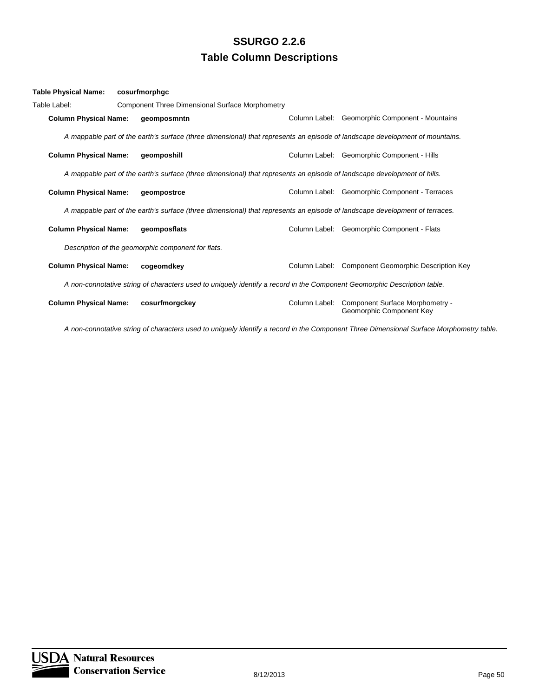| Table Physical Name:         | cosurfmorphgc                                                                                                               |               |                                                                                                                              |
|------------------------------|-----------------------------------------------------------------------------------------------------------------------------|---------------|------------------------------------------------------------------------------------------------------------------------------|
| Table Label:                 | Component Three Dimensional Surface Morphometry                                                                             |               |                                                                                                                              |
| <b>Column Physical Name:</b> | geomposmntn                                                                                                                 |               | Column Label: Geomorphic Component - Mountains                                                                               |
|                              |                                                                                                                             |               | A mappable part of the earth's surface (three dimensional) that represents an episode of landscape development of mountains. |
| <b>Column Physical Name:</b> | geomposhill                                                                                                                 |               | Column Label: Geomorphic Component - Hills                                                                                   |
|                              | A mappable part of the earth's surface (three dimensional) that represents an episode of landscape development of hills.    |               |                                                                                                                              |
| <b>Column Physical Name:</b> | geompostrce                                                                                                                 |               | Column Label: Geomorphic Component - Terraces                                                                                |
|                              | A mappable part of the earth's surface (three dimensional) that represents an episode of landscape development of terraces. |               |                                                                                                                              |
| <b>Column Physical Name:</b> | geomposflats                                                                                                                |               | Column Label: Geomorphic Component - Flats                                                                                   |
|                              | Description of the geomorphic component for flats.                                                                          |               |                                                                                                                              |
| <b>Column Physical Name:</b> | cogeomdkey                                                                                                                  |               | Column Label: Component Geomorphic Description Key                                                                           |
|                              | A non-connotative string of characters used to uniquely identify a record in the Component Geomorphic Description table.    |               |                                                                                                                              |
| <b>Column Physical Name:</b> | cosurfmorgckey                                                                                                              | Column Label: | Component Surface Morphometry -<br>Geomorphic Component Key                                                                  |

*A non-connotative string of characters used to uniquely identify a record in the Component Three Dimensional Surface Morphometry table.*

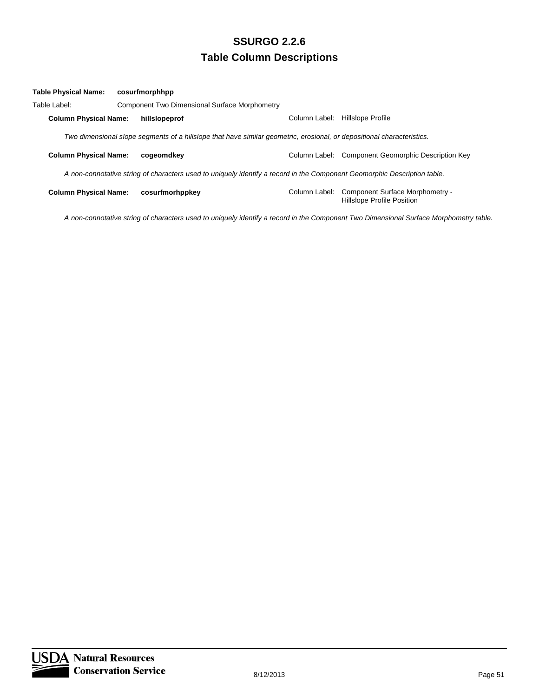| Table Physical Name:                                                                                                     |  | cosurfmorphhpp                                                                                                         |               |                                                                      |
|--------------------------------------------------------------------------------------------------------------------------|--|------------------------------------------------------------------------------------------------------------------------|---------------|----------------------------------------------------------------------|
| Table Label:                                                                                                             |  | Component Two Dimensional Surface Morphometry                                                                          |               |                                                                      |
| <b>Column Physical Name:</b>                                                                                             |  | hillslopeprof                                                                                                          | Column Label: | Hillslope Profile                                                    |
|                                                                                                                          |  | Two dimensional slope segments of a hillslope that have similar geometric, erosional, or depositional characteristics. |               |                                                                      |
| <b>Column Physical Name:</b>                                                                                             |  | cogeomdkev                                                                                                             |               | Column Label: Component Geomorphic Description Key                   |
| A non-connotative string of characters used to uniquely identify a record in the Component Geomorphic Description table. |  |                                                                                                                        |               |                                                                      |
| <b>Column Physical Name:</b>                                                                                             |  | cosurfmorhppkey                                                                                                        | Column Label: | Component Surface Morphometry -<br><b>Hillslope Profile Position</b> |

*A non-connotative string of characters used to uniquely identify a record in the Component Two Dimensional Surface Morphometry table.*

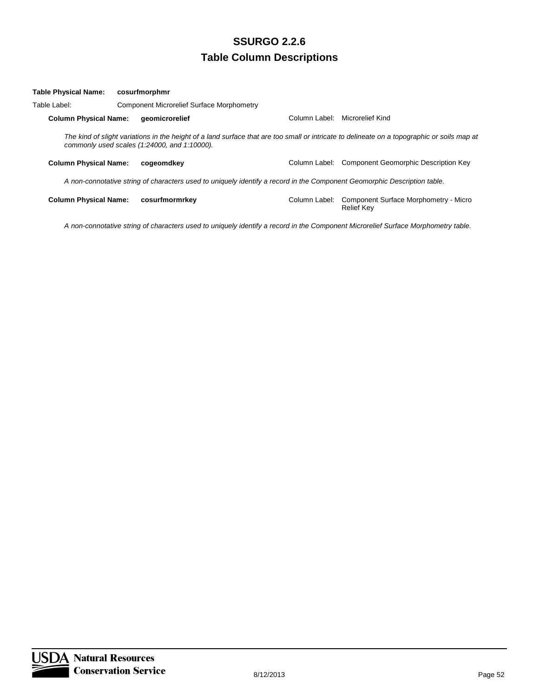| <b>Table Physical Name:</b>                                                                                              |  | cosurfmorphmr                                                                                                                                                                               |               |                                                            |
|--------------------------------------------------------------------------------------------------------------------------|--|---------------------------------------------------------------------------------------------------------------------------------------------------------------------------------------------|---------------|------------------------------------------------------------|
| Table Label:                                                                                                             |  | <b>Component Microrelief Surface Morphometry</b>                                                                                                                                            |               |                                                            |
| <b>Column Physical Name:</b>                                                                                             |  | aeomicrorelief                                                                                                                                                                              | Column Label: | Microrelief Kind                                           |
|                                                                                                                          |  | The kind of slight variations in the height of a land surface that are too small or intricate to delineate on a topographic or soils map at<br>commonly used scales (1:24000, and 1:10000). |               |                                                            |
| <b>Column Physical Name:</b>                                                                                             |  | cogeomdkev                                                                                                                                                                                  |               | Column Label: Component Geomorphic Description Key         |
| A non-connotative string of characters used to uniquely identify a record in the Component Geomorphic Description table. |  |                                                                                                                                                                                             |               |                                                            |
| <b>Column Physical Name:</b>                                                                                             |  | cosurfmormrkey                                                                                                                                                                              | Column Label: | Component Surface Morphometry - Micro<br><b>Relief Kev</b> |

*A non-connotative string of characters used to uniquely identify a record in the Component Microrelief Surface Morphometry table.*

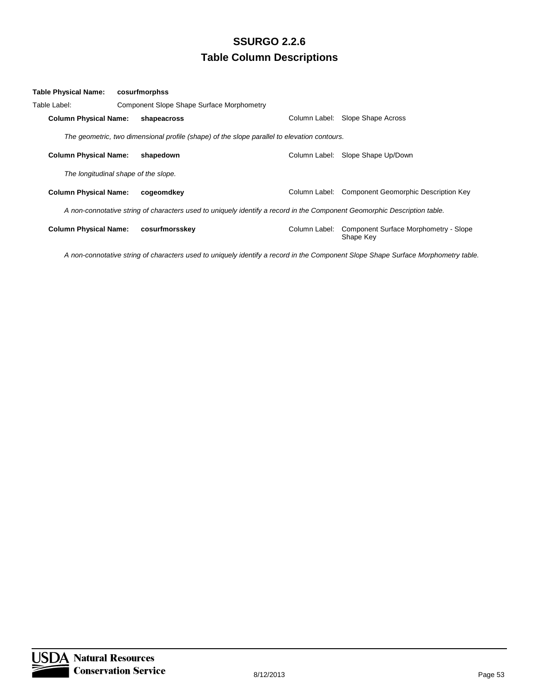| Table Physical Name:                 | cosurfmorphss                                                                                                            |               |                                                    |
|--------------------------------------|--------------------------------------------------------------------------------------------------------------------------|---------------|----------------------------------------------------|
| Table Label:                         | <b>Component Slope Shape Surface Morphometry</b>                                                                         |               |                                                    |
| <b>Column Physical Name:</b>         | shapeacross                                                                                                              | Column Label: | Slope Shape Across                                 |
|                                      | The geometric, two dimensional profile (shape) of the slope parallel to elevation contours.                              |               |                                                    |
| <b>Column Physical Name:</b>         | shapedown                                                                                                                |               | Column Label: Slope Shape Up/Down                  |
| The longitudinal shape of the slope. |                                                                                                                          |               |                                                    |
| <b>Column Physical Name:</b>         | cogeomdkey                                                                                                               | Column Label: | <b>Component Geomorphic Description Key</b>        |
|                                      | A non-connotative string of characters used to uniquely identify a record in the Component Geomorphic Description table. |               |                                                    |
| <b>Column Physical Name:</b>         | cosurfmorsskey                                                                                                           | Column Label: | Component Surface Morphometry - Slope<br>Shape Key |

*A non-connotative string of characters used to uniquely identify a record in the Component Slope Shape Surface Morphometry table.*

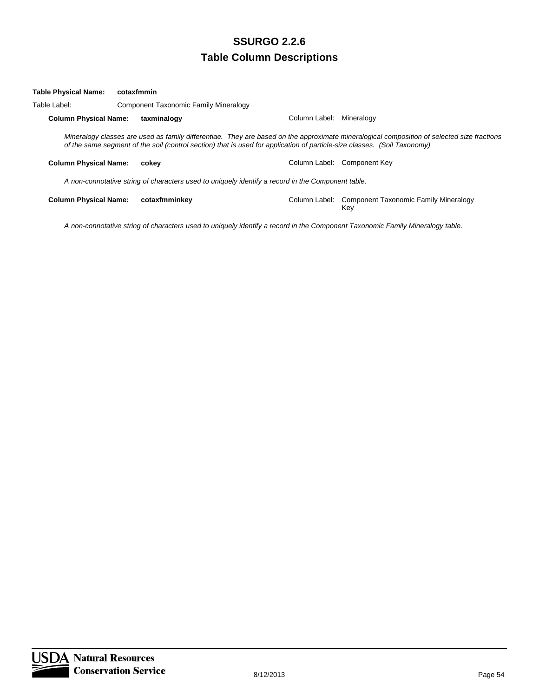| Table Physical Name:                                                                              | cotaxfmmin |                                       |                                                                                                                          |                             |                                                                                                                                            |  |
|---------------------------------------------------------------------------------------------------|------------|---------------------------------------|--------------------------------------------------------------------------------------------------------------------------|-----------------------------|--------------------------------------------------------------------------------------------------------------------------------------------|--|
| Table Label:                                                                                      |            | Component Taxonomic Family Mineralogy |                                                                                                                          |                             |                                                                                                                                            |  |
| <b>Column Physical Name:</b>                                                                      |            | taxminalogy                           | Column Label:                                                                                                            | Mineralogy                  |                                                                                                                                            |  |
|                                                                                                   |            |                                       | of the same segment of the soil (control section) that is used for application of particle-size classes. (Soil Taxonomy) |                             | Mineralogy classes are used as family differentiae. They are based on the approximate mineralogical composition of selected size fractions |  |
| <b>Column Physical Name:</b>                                                                      |            | cokev                                 |                                                                                                                          | Column Label: Component Kev |                                                                                                                                            |  |
| A non-connotative string of characters used to uniquely identify a record in the Component table. |            |                                       |                                                                                                                          |                             |                                                                                                                                            |  |
| <b>Column Physical Name:</b>                                                                      |            | cotaxfmminkev                         |                                                                                                                          | Key                         | Column Label: Component Taxonomic Family Mineralogy                                                                                        |  |

*A non-connotative string of characters used to uniquely identify a record in the Component Taxonomic Family Mineralogy table.*

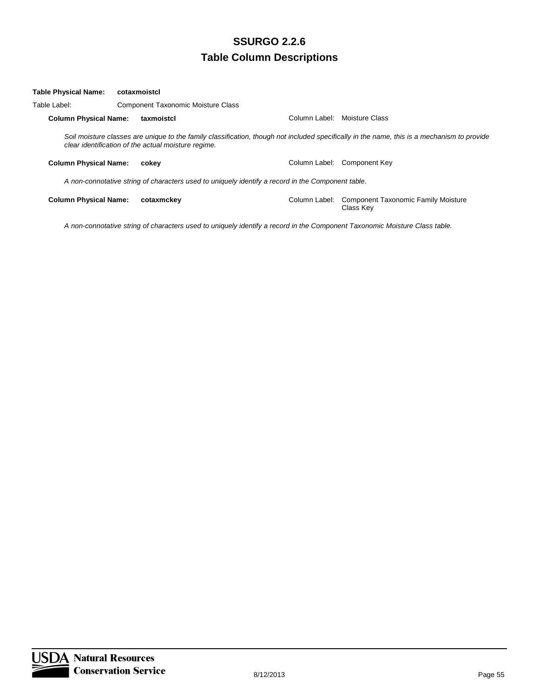| Table Physical Name:         | cotaxmoistcl                                                                                      |                                                     |               |                                                                                                                                             |  |
|------------------------------|---------------------------------------------------------------------------------------------------|-----------------------------------------------------|---------------|---------------------------------------------------------------------------------------------------------------------------------------------|--|
| Table Label:                 |                                                                                                   | <b>Component Taxonomic Moisture Class</b>           |               |                                                                                                                                             |  |
| <b>Column Physical Name:</b> |                                                                                                   | taxmoistcl                                          | Column Label: | Moisture Class                                                                                                                              |  |
|                              |                                                                                                   | clear identification of the actual moisture regime. |               | Soil moisture classes are unique to the family classification, though not included specifically in the name, this is a mechanism to provide |  |
| <b>Column Physical Name:</b> |                                                                                                   | cokey                                               |               | Column Label: Component Key                                                                                                                 |  |
|                              | A non-connotative string of characters used to uniquely identify a record in the Component table. |                                                     |               |                                                                                                                                             |  |
| <b>Column Physical Name:</b> |                                                                                                   | cotaxmckev                                          | Column Label: | <b>Component Taxonomic Family Moisture</b><br>Class Kev                                                                                     |  |

*A non-connotative string of characters used to uniquely identify a record in the Component Taxonomic Moisture Class table.*

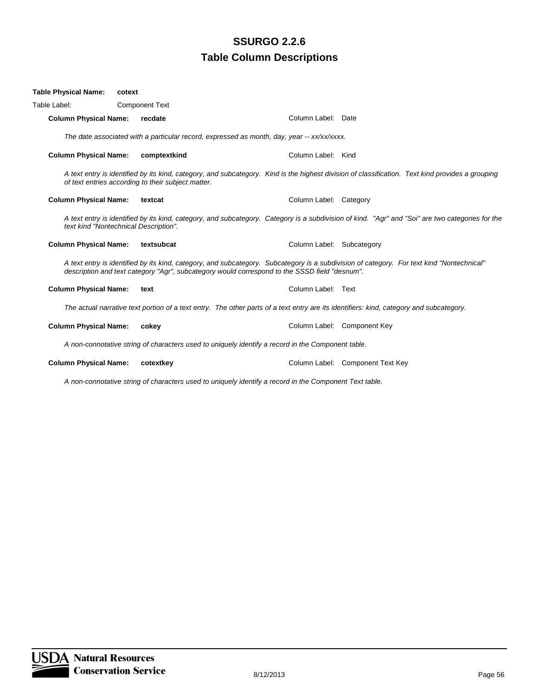| <b>Table Physical Name:</b>  | cotext                                             |                                                                                                                            |                                                                                                                                                  |
|------------------------------|----------------------------------------------------|----------------------------------------------------------------------------------------------------------------------------|--------------------------------------------------------------------------------------------------------------------------------------------------|
| Table Label:                 | <b>Component Text</b>                              |                                                                                                                            |                                                                                                                                                  |
| <b>Column Physical Name:</b> | recdate                                            | Column Label: Date                                                                                                         |                                                                                                                                                  |
|                              |                                                    | The date associated with a particular record, expressed as month, day, year -- xx/xx/xxxx.                                 |                                                                                                                                                  |
| <b>Column Physical Name:</b> | comptextkind                                       | Column Label: Kind                                                                                                         |                                                                                                                                                  |
|                              | of text entries according to their subject matter. |                                                                                                                            | A text entry is identified by its kind, category, and subcategory. Kind is the highest division of classification. Text kind provides a grouping |
| <b>Column Physical Name:</b> | textcat                                            | Column Label: Category                                                                                                     |                                                                                                                                                  |
|                              | text kind "Nontechnical Description".              |                                                                                                                            | A text entry is identified by its kind, category, and subcategory. Category is a subdivision of kind. "Agr" and "Soi" are two categories for the |
| <b>Column Physical Name:</b> | textsubcat                                         | Column Label: Subcategory                                                                                                  |                                                                                                                                                  |
|                              |                                                    | description and text category "Agr", subcategory would correspond to the SSSD field "desnum".                              | A text entry is identified by its kind, category, and subcategory. Subcategory is a subdivision of category. For text kind "Nontechnical"        |
| <b>Column Physical Name:</b> | text                                               | Column Label: Text                                                                                                         |                                                                                                                                                  |
|                              |                                                    |                                                                                                                            | The actual narrative text portion of a text entry. The other parts of a text entry are its identifiers: kind, category and subcategory.          |
| <b>Column Physical Name:</b> | cokey                                              |                                                                                                                            | Column Label: Component Key                                                                                                                      |
|                              |                                                    | A non-connotative string of characters used to uniquely identify a record in the Component table.                          |                                                                                                                                                  |
| <b>Column Physical Name:</b> | cotextkey                                          |                                                                                                                            | Column Label: Component Text Key                                                                                                                 |
|                              |                                                    | A decomposition of the contraction of the contract of the $\theta$ , and the decomposition $\boldsymbol{\tau}$ and the $t$ |                                                                                                                                                  |

*A non-connotative string of characters used to uniquely identify a record in the Component Text table.*

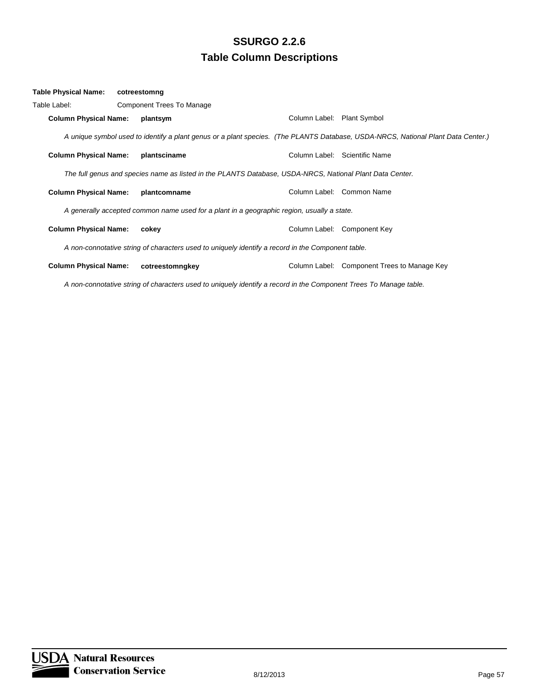| Table Physical Name:         | cotreestomng                                                                                             |                            |                                                                                                                                  |
|------------------------------|----------------------------------------------------------------------------------------------------------|----------------------------|----------------------------------------------------------------------------------------------------------------------------------|
| Table Label:                 | Component Trees To Manage                                                                                |                            |                                                                                                                                  |
| <b>Column Physical Name:</b> | plantsym                                                                                                 | Column Label: Plant Symbol |                                                                                                                                  |
|                              |                                                                                                          |                            | A unique symbol used to identify a plant genus or a plant species. (The PLANTS Database, USDA-NRCS, National Plant Data Center.) |
| <b>Column Physical Name:</b> | plantsciname                                                                                             |                            | Column Label: Scientific Name                                                                                                    |
|                              | The full genus and species name as listed in the PLANTS Database, USDA-NRCS, National Plant Data Center. |                            |                                                                                                                                  |
| <b>Column Physical Name:</b> | plantcomname                                                                                             |                            | Column Label: Common Name                                                                                                        |
|                              | A generally accepted common name used for a plant in a geographic region, usually a state.               |                            |                                                                                                                                  |
| <b>Column Physical Name:</b> | cokey                                                                                                    |                            | Column Label: Component Key                                                                                                      |
|                              | A non-connotative string of characters used to uniquely identify a record in the Component table.        |                            |                                                                                                                                  |
| <b>Column Physical Name:</b> | cotreestomngkey                                                                                          |                            | Column Label: Component Trees to Manage Key                                                                                      |

*A non-connotative string of characters used to uniquely identify a record in the Component Trees To Manage table.*

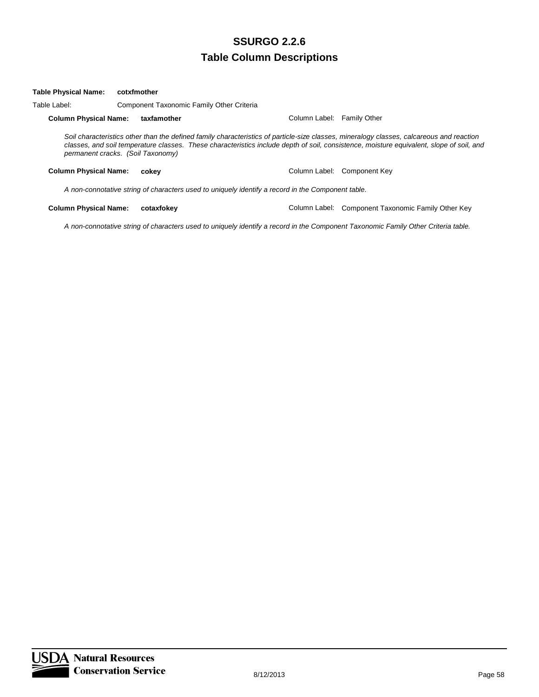#### **Table Physical Name: cotxfmother**

Table Label: Component Taxonomic Family Other Criteria

**Column Physical Name: taxfamother** Column Label: Family Other

*Soil characteristics other than the defined family characteristics of particle-size classes, mineralogy classes, calcareous and reaction classes, and soil temperature classes. These characteristics include depth of soil, consistence, moisture equivalent, slope of soil, and permanent cracks. (Soil Taxonomy)*

**Column Physical Name: cokey** Column Label: Component Key

*A non-connotative string of characters used to uniquely identify a record in the Component table.*

**Column Physical Name: cotaxfokey** Column Label: Component Taxonomic Family Other Key

*A non-connotative string of characters used to uniquely identify a record in the Component Taxonomic Family Other Criteria table.*

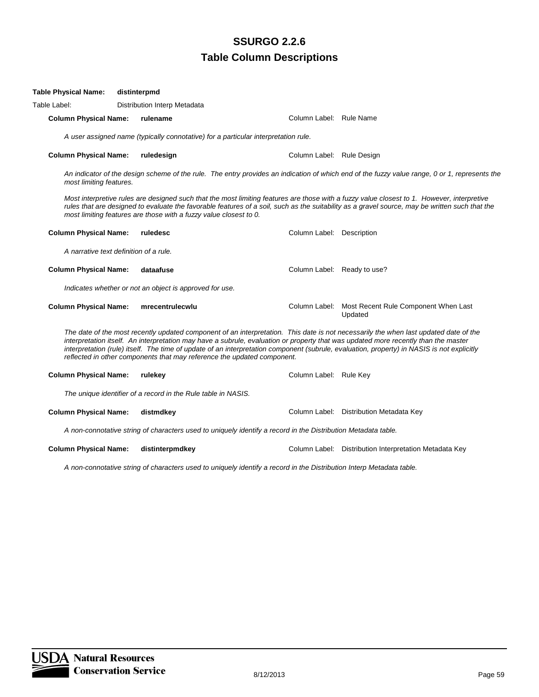| Table Physical Name:                   | distinterpmd |                                                                                    |                                                                                                               |                                                                                                                                                                                                                                                                                                                                                                                                                          |
|----------------------------------------|--------------|------------------------------------------------------------------------------------|---------------------------------------------------------------------------------------------------------------|--------------------------------------------------------------------------------------------------------------------------------------------------------------------------------------------------------------------------------------------------------------------------------------------------------------------------------------------------------------------------------------------------------------------------|
| Table Label:                           |              | Distribution Interp Metadata                                                       |                                                                                                               |                                                                                                                                                                                                                                                                                                                                                                                                                          |
| <b>Column Physical Name:</b>           |              | rulename                                                                           | Column Label: Rule Name                                                                                       |                                                                                                                                                                                                                                                                                                                                                                                                                          |
|                                        |              | A user assigned name (typically connotative) for a particular interpretation rule. |                                                                                                               |                                                                                                                                                                                                                                                                                                                                                                                                                          |
| <b>Column Physical Name:</b>           |              | ruledesign                                                                         | Column Label: Rule Design                                                                                     |                                                                                                                                                                                                                                                                                                                                                                                                                          |
| most limiting features.                |              |                                                                                    |                                                                                                               | An indicator of the design scheme of the rule. The entry provides an indication of which end of the fuzzy value range, 0 or 1, represents the                                                                                                                                                                                                                                                                            |
|                                        |              | most limiting features are those with a fuzzy value closest to 0.                  |                                                                                                               | Most interpretive rules are designed such that the most limiting features are those with a fuzzy value closest to 1. However, interpretive<br>rules that are designed to evaluate the favorable features of a soil, such as the suitability as a gravel source, may be written such that the                                                                                                                             |
| <b>Column Physical Name:</b>           |              | ruledesc                                                                           | Column Label: Description                                                                                     |                                                                                                                                                                                                                                                                                                                                                                                                                          |
| A narrative text definition of a rule. |              |                                                                                    |                                                                                                               |                                                                                                                                                                                                                                                                                                                                                                                                                          |
| <b>Column Physical Name:</b>           |              | dataafuse                                                                          |                                                                                                               | Column Label: Ready to use?                                                                                                                                                                                                                                                                                                                                                                                              |
|                                        |              | Indicates whether or not an object is approved for use.                            |                                                                                                               |                                                                                                                                                                                                                                                                                                                                                                                                                          |
| <b>Column Physical Name:</b>           |              | mrecentrulecwlu                                                                    |                                                                                                               | Column Label: Most Recent Rule Component When Last<br>Updated                                                                                                                                                                                                                                                                                                                                                            |
|                                        |              | reflected in other components that may reference the updated component.            |                                                                                                               | The date of the most recently updated component of an interpretation. This date is not necessarily the when last updated date of the<br>interpretation itself. An interpretation may have a subrule, evaluation or property that was updated more recently than the master<br>interpretation (rule) itself. The time of update of an interpretation component (subrule, evaluation, property) in NASIS is not explicitly |
| <b>Column Physical Name:</b>           |              | rulekey                                                                            | Column Label: Rule Key                                                                                        |                                                                                                                                                                                                                                                                                                                                                                                                                          |
|                                        |              | The unique identifier of a record in the Rule table in NASIS.                      |                                                                                                               |                                                                                                                                                                                                                                                                                                                                                                                                                          |
| <b>Column Physical Name:</b>           |              | distmdkey                                                                          |                                                                                                               | Column Label: Distribution Metadata Key                                                                                                                                                                                                                                                                                                                                                                                  |
|                                        |              |                                                                                    | A non-connotative string of characters used to uniquely identify a record in the Distribution Metadata table. |                                                                                                                                                                                                                                                                                                                                                                                                                          |
| <b>Column Physical Name:</b>           |              | distinterpmdkey                                                                    |                                                                                                               | Column Label: Distribution Interpretation Metadata Key                                                                                                                                                                                                                                                                                                                                                                   |

*A non-connotative string of characters used to uniquely identify a record in the Distribution Interp Metadata table.*

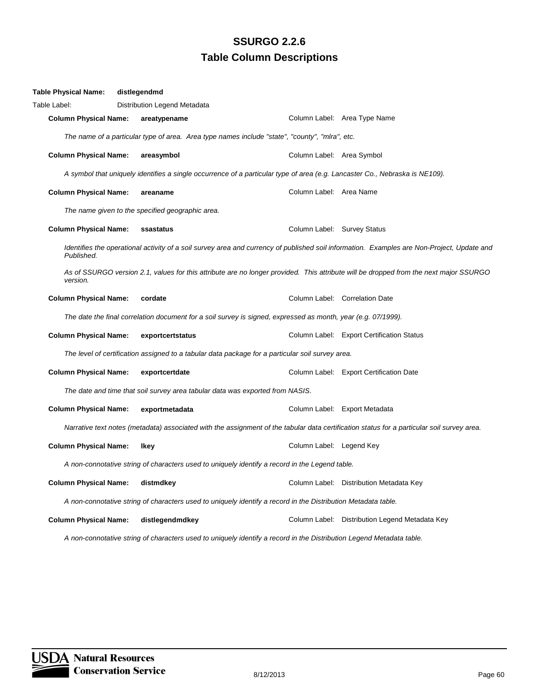| Table Physical Name:         | distlegendmd                                     |                                                                                                                      |                             |                                                                                                                                            |
|------------------------------|--------------------------------------------------|----------------------------------------------------------------------------------------------------------------------|-----------------------------|--------------------------------------------------------------------------------------------------------------------------------------------|
| Table Label:                 | Distribution Legend Metadata                     |                                                                                                                      |                             |                                                                                                                                            |
| <b>Column Physical Name:</b> | areatypename                                     |                                                                                                                      |                             | Column Label: Area Type Name                                                                                                               |
|                              |                                                  | The name of a particular type of area. Area type names include "state", "county", "mlra", etc.                       |                             |                                                                                                                                            |
| <b>Column Physical Name:</b> | areasymbol                                       |                                                                                                                      | Column Label: Area Symbol   |                                                                                                                                            |
|                              |                                                  |                                                                                                                      |                             | A symbol that uniquely identifies a single occurrence of a particular type of area (e.g. Lancaster Co., Nebraska is NE109).                |
| <b>Column Physical Name:</b> | areaname                                         |                                                                                                                      | Column Label: Area Name     |                                                                                                                                            |
|                              | The name given to the specified geographic area. |                                                                                                                      |                             |                                                                                                                                            |
| <b>Column Physical Name:</b> | ssastatus                                        |                                                                                                                      | Column Label: Survey Status |                                                                                                                                            |
| Published.                   |                                                  |                                                                                                                      |                             | Identifies the operational activity of a soil survey area and currency of published soil information. Examples are Non-Project, Update and |
| version.                     |                                                  |                                                                                                                      |                             | As of SSURGO version 2.1, values for this attribute are no longer provided. This attribute will be dropped from the next major SSURGO      |
| <b>Column Physical Name:</b> | cordate                                          |                                                                                                                      |                             | Column Label: Correlation Date                                                                                                             |
|                              |                                                  | The date the final correlation document for a soil survey is signed, expressed as month, year (e.g. 07/1999).        |                             |                                                                                                                                            |
| <b>Column Physical Name:</b> | exportcertstatus                                 |                                                                                                                      |                             | Column Label: Export Certification Status                                                                                                  |
|                              |                                                  | The level of certification assigned to a tabular data package for a particular soil survey area.                     |                             |                                                                                                                                            |
| <b>Column Physical Name:</b> | exportcertdate                                   |                                                                                                                      |                             | Column Label: Export Certification Date                                                                                                    |
|                              |                                                  | The date and time that soil survey area tabular data was exported from NASIS.                                        |                             |                                                                                                                                            |
| <b>Column Physical Name:</b> | exportmetadata                                   |                                                                                                                      |                             | Column Label: Export Metadata                                                                                                              |
|                              |                                                  |                                                                                                                      |                             | Narrative text notes (metadata) associated with the assignment of the tabular data certification status for a particular soil survey area. |
| <b>Column Physical Name:</b> | Ikey                                             |                                                                                                                      | Column Label: Legend Key    |                                                                                                                                            |
|                              |                                                  | A non-connotative string of characters used to uniquely identify a record in the Legend table.                       |                             |                                                                                                                                            |
| <b>Column Physical Name:</b> | distmdkey                                        |                                                                                                                      |                             | Column Label: Distribution Metadata Key                                                                                                    |
|                              |                                                  | A non-connotative string of characters used to uniquely identify a record in the Distribution Metadata table.        |                             |                                                                                                                                            |
| <b>Column Physical Name:</b> | distlegendmdkey                                  |                                                                                                                      |                             | Column Label: Distribution Legend Metadata Key                                                                                             |
|                              |                                                  | A non-connotative string of characters used to uniquely identify a record in the Distribution Legend Metadata table. |                             |                                                                                                                                            |

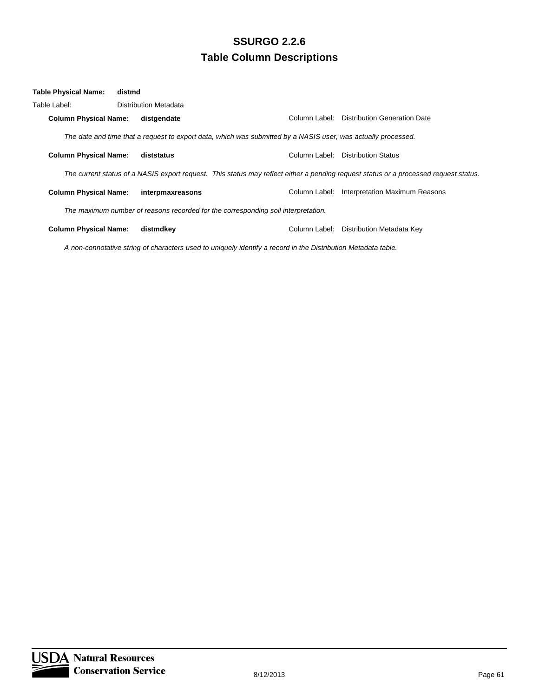| <b>Table Physical Name:</b>  | distmd |                                                                                                                                      |               |                                     |
|------------------------------|--------|--------------------------------------------------------------------------------------------------------------------------------------|---------------|-------------------------------------|
| Table Label: .               |        | Distribution Metadata                                                                                                                |               |                                     |
| <b>Column Physical Name:</b> |        | distgendate                                                                                                                          | Column Label: | <b>Distribution Generation Date</b> |
|                              |        | The date and time that a request to export data, which was submitted by a NASIS user, was actually processed.                        |               |                                     |
| <b>Column Physical Name:</b> |        | diststatus                                                                                                                           | Column Label: | <b>Distribution Status</b>          |
|                              |        | The current status of a NASIS export request. This status may reflect either a pending request status or a processed request status. |               |                                     |
| <b>Column Physical Name:</b> |        | interpmaxreasons                                                                                                                     | Column Label: | Interpretation Maximum Reasons      |
|                              |        | The maximum number of reasons recorded for the corresponding soil interpretation.                                                    |               |                                     |
| <b>Column Physical Name:</b> |        | distmdkev                                                                                                                            | Column Label: | Distribution Metadata Key           |

*A non-connotative string of characters used to uniquely identify a record in the Distribution Metadata table.*

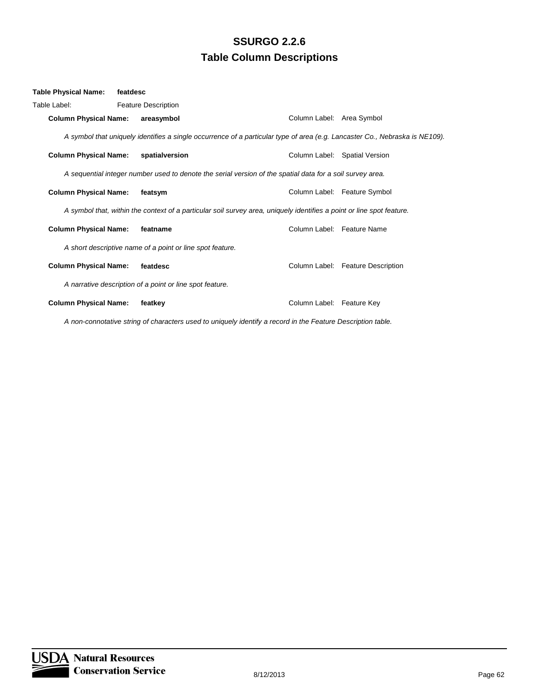| Table Physical Name:         | featdesc |                                                           |                                                                                                                             |                                   |
|------------------------------|----------|-----------------------------------------------------------|-----------------------------------------------------------------------------------------------------------------------------|-----------------------------------|
| Table Label:                 |          | <b>Feature Description</b>                                |                                                                                                                             |                                   |
| <b>Column Physical Name:</b> |          | areasymbol                                                |                                                                                                                             | Column Label: Area Symbol         |
|                              |          |                                                           | A symbol that uniquely identifies a single occurrence of a particular type of area (e.g. Lancaster Co., Nebraska is NE109). |                                   |
| <b>Column Physical Name:</b> |          | spatialversion                                            |                                                                                                                             | Column Label: Spatial Version     |
|                              |          |                                                           | A sequential integer number used to denote the serial version of the spatial data for a soil survey area.                   |                                   |
| <b>Column Physical Name:</b> |          | featsym                                                   |                                                                                                                             | Column Label: Feature Symbol      |
|                              |          |                                                           | A symbol that, within the context of a particular soil survey area, uniquely identifies a point or line spot feature.       |                                   |
| <b>Column Physical Name:</b> |          | featname                                                  |                                                                                                                             | Column Label: Feature Name        |
|                              |          | A short descriptive name of a point or line spot feature. |                                                                                                                             |                                   |
| <b>Column Physical Name:</b> |          | featdesc                                                  |                                                                                                                             | Column Label: Feature Description |
|                              |          | A narrative description of a point or line spot feature.  |                                                                                                                             |                                   |
| <b>Column Physical Name:</b> |          | featkey                                                   | Column Label: Feature Key                                                                                                   |                                   |
|                              |          |                                                           |                                                                                                                             |                                   |

*A non-connotative string of characters used to uniquely identify a record in the Feature Description table.*

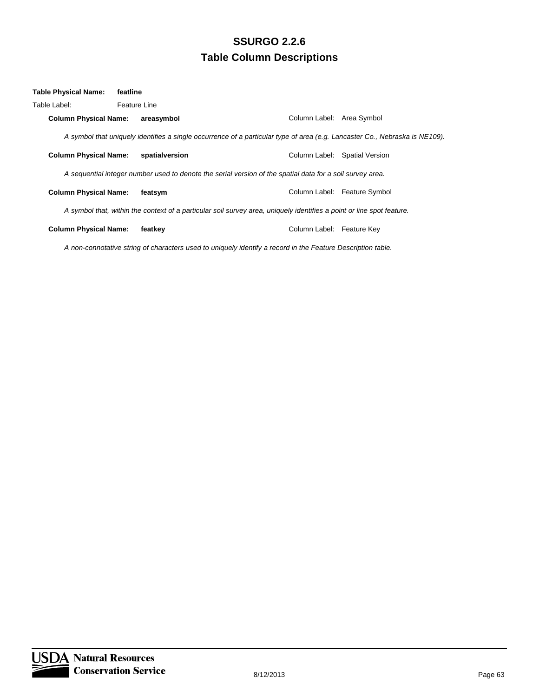| Table Physical Name:         | featline     |                |                                                                                                                             |                               |
|------------------------------|--------------|----------------|-----------------------------------------------------------------------------------------------------------------------------|-------------------------------|
| Table Label:                 | Feature Line |                |                                                                                                                             |                               |
| <b>Column Physical Name:</b> |              | areasymbol     |                                                                                                                             | Column Label: Area Symbol     |
|                              |              |                | A symbol that uniquely identifies a single occurrence of a particular type of area (e.g. Lancaster Co., Nebraska is NE109). |                               |
| <b>Column Physical Name:</b> |              | spatialversion |                                                                                                                             | Column Label: Spatial Version |
|                              |              |                | A sequential integer number used to denote the serial version of the spatial data for a soil survey area.                   |                               |
| <b>Column Physical Name:</b> |              | featsym        |                                                                                                                             | Column Label: Feature Symbol  |
|                              |              |                | A symbol that, within the context of a particular soil survey area, uniquely identifies a point or line spot feature.       |                               |
| <b>Column Physical Name:</b> |              | featkey        |                                                                                                                             | Column Label: Feature Key     |
|                              |              |                |                                                                                                                             |                               |

*A non-connotative string of characters used to uniquely identify a record in the Feature Description table.*

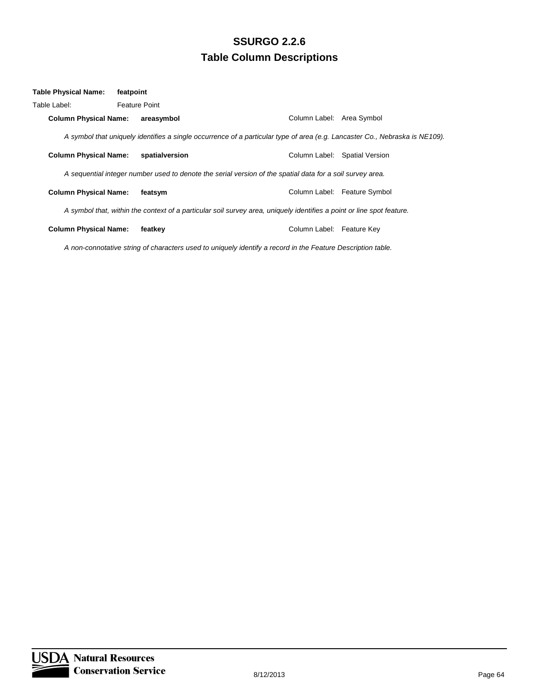| Table Physical Name:         | featpoint |                      |                                                                                                                       |                           |                                                                                                                             |
|------------------------------|-----------|----------------------|-----------------------------------------------------------------------------------------------------------------------|---------------------------|-----------------------------------------------------------------------------------------------------------------------------|
| Table Label:                 |           | <b>Feature Point</b> |                                                                                                                       |                           |                                                                                                                             |
| <b>Column Physical Name:</b> |           | areasymbol           |                                                                                                                       | Column Label: Area Symbol |                                                                                                                             |
|                              |           |                      |                                                                                                                       |                           | A symbol that uniquely identifies a single occurrence of a particular type of area (e.g. Lancaster Co., Nebraska is NE109). |
| <b>Column Physical Name:</b> |           | spatialversion       |                                                                                                                       |                           | Column Label: Spatial Version                                                                                               |
|                              |           |                      | A sequential integer number used to denote the serial version of the spatial data for a soil survey area.             |                           |                                                                                                                             |
| <b>Column Physical Name:</b> |           | featsym              |                                                                                                                       |                           | Column Label: Feature Symbol                                                                                                |
|                              |           |                      | A symbol that, within the context of a particular soil survey area, uniquely identifies a point or line spot feature. |                           |                                                                                                                             |
| <b>Column Physical Name:</b> |           | featkey              |                                                                                                                       | Column Label: Feature Key |                                                                                                                             |
|                              |           |                      | A non-connotative string of characters used to uniquely identify a record in the Feature Description table.           |                           |                                                                                                                             |

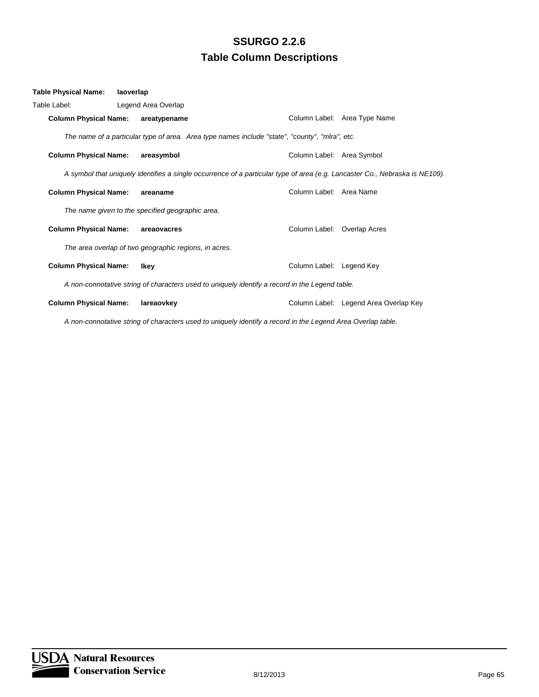| Table Physical Name:                                                                           | laoverlap                                        |                                                                                                                             |                                       |  |  |
|------------------------------------------------------------------------------------------------|--------------------------------------------------|-----------------------------------------------------------------------------------------------------------------------------|---------------------------------------|--|--|
| Table Label:                                                                                   | Legend Area Overlap                              |                                                                                                                             |                                       |  |  |
| <b>Column Physical Name:</b>                                                                   | areatypename                                     |                                                                                                                             | Column Label: Area Type Name          |  |  |
|                                                                                                |                                                  | The name of a particular type of area. Area type names include "state", "county", "mlra", etc.                              |                                       |  |  |
| <b>Column Physical Name:</b>                                                                   | areasymbol                                       |                                                                                                                             | Column Label: Area Symbol             |  |  |
|                                                                                                |                                                  | A symbol that uniquely identifies a single occurrence of a particular type of area (e.g. Lancaster Co., Nebraska is NE109). |                                       |  |  |
| <b>Column Physical Name:</b>                                                                   | areaname                                         | Column Label: Area Name                                                                                                     |                                       |  |  |
|                                                                                                | The name given to the specified geographic area. |                                                                                                                             |                                       |  |  |
| <b>Column Physical Name:</b>                                                                   | areaovacres                                      |                                                                                                                             | Column Label: Overlap Acres           |  |  |
| The area overlap of two geographic regions, in acres.                                          |                                                  |                                                                                                                             |                                       |  |  |
| <b>Column Physical Name:</b>                                                                   | Ikey                                             | Column Label: Legend Key                                                                                                    |                                       |  |  |
| A non-connotative string of characters used to uniquely identify a record in the Legend table. |                                                  |                                                                                                                             |                                       |  |  |
| <b>Column Physical Name:</b>                                                                   | lareaovkey                                       |                                                                                                                             | Column Label: Legend Area Overlap Key |  |  |

*A non-connotative string of characters used to uniquely identify a record in the Legend Area Overlap table.*

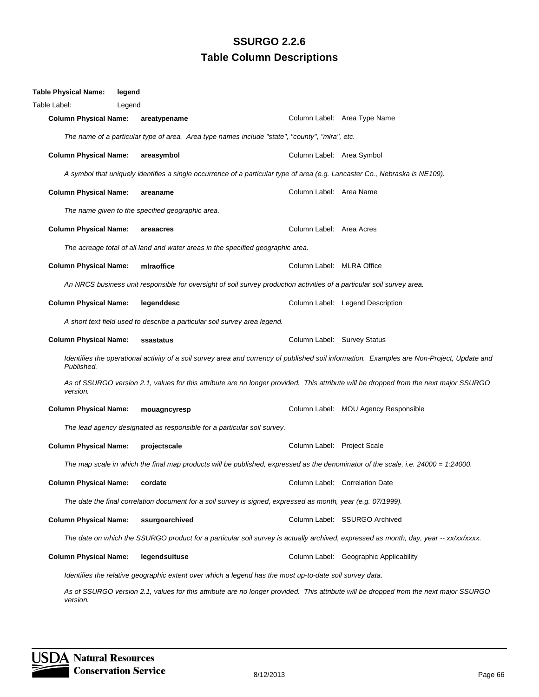| Table Physical Name:                                                                                                                                     | legend |                                                                                                                                   |                             |                                                                                                                                       |
|----------------------------------------------------------------------------------------------------------------------------------------------------------|--------|-----------------------------------------------------------------------------------------------------------------------------------|-----------------------------|---------------------------------------------------------------------------------------------------------------------------------------|
| Table Label:                                                                                                                                             | Legend |                                                                                                                                   |                             |                                                                                                                                       |
| <b>Column Physical Name:</b>                                                                                                                             |        | areatypename                                                                                                                      |                             | Column Label: Area Type Name                                                                                                          |
|                                                                                                                                                          |        | The name of a particular type of area. Area type names include "state", "county", "mlra", etc.                                    |                             |                                                                                                                                       |
| <b>Column Physical Name:</b>                                                                                                                             |        | areasymbol                                                                                                                        | Column Label: Area Symbol   |                                                                                                                                       |
|                                                                                                                                                          |        | A symbol that uniquely identifies a single occurrence of a particular type of area (e.g. Lancaster Co., Nebraska is NE109).       |                             |                                                                                                                                       |
| <b>Column Physical Name:</b>                                                                                                                             |        | areaname                                                                                                                          | Column Label: Area Name     |                                                                                                                                       |
|                                                                                                                                                          |        | The name given to the specified geographic area.                                                                                  |                             |                                                                                                                                       |
| <b>Column Physical Name:</b>                                                                                                                             |        | areaacres                                                                                                                         | Column Label: Area Acres    |                                                                                                                                       |
|                                                                                                                                                          |        | The acreage total of all land and water areas in the specified geographic area.                                                   |                             |                                                                                                                                       |
| <b>Column Physical Name:</b>                                                                                                                             |        | miraoffice                                                                                                                        | Column Label: MLRA Office   |                                                                                                                                       |
|                                                                                                                                                          |        | An NRCS business unit responsible for oversight of soil survey production activities of a particular soil survey area.            |                             |                                                                                                                                       |
| <b>Column Physical Name:</b>                                                                                                                             |        | legenddesc                                                                                                                        |                             | Column Label: Legend Description                                                                                                      |
|                                                                                                                                                          |        | A short text field used to describe a particular soil survey area legend.                                                         |                             |                                                                                                                                       |
| <b>Column Physical Name:</b>                                                                                                                             |        | ssastatus                                                                                                                         | Column Label: Survey Status |                                                                                                                                       |
| Identifies the operational activity of a soil survey area and currency of published soil information. Examples are Non-Project, Update and<br>Published. |        |                                                                                                                                   |                             |                                                                                                                                       |
| version.                                                                                                                                                 |        |                                                                                                                                   |                             | As of SSURGO version 2.1, values for this attribute are no longer provided. This attribute will be dropped from the next major SSURGO |
| <b>Column Physical Name:</b>                                                                                                                             |        | mouagncyresp                                                                                                                      |                             | Column Label: MOU Agency Responsible                                                                                                  |
|                                                                                                                                                          |        | The lead agency designated as responsible for a particular soil survey.                                                           |                             |                                                                                                                                       |
| <b>Column Physical Name:</b>                                                                                                                             |        | projectscale                                                                                                                      | Column Label: Project Scale |                                                                                                                                       |
|                                                                                                                                                          |        | The map scale in which the final map products will be published, expressed as the denominator of the scale, i.e. 24000 = 1:24000. |                             |                                                                                                                                       |
| <b>Column Physical Name:</b>                                                                                                                             |        | cordate                                                                                                                           |                             | Column Label: Correlation Date                                                                                                        |
|                                                                                                                                                          |        | The date the final correlation document for a soil survey is signed, expressed as month, year (e.g. 07/1999).                     |                             |                                                                                                                                       |
| <b>Column Physical Name:</b>                                                                                                                             |        | ssurgoarchived                                                                                                                    |                             | Column Label: SSURGO Archived                                                                                                         |
|                                                                                                                                                          |        |                                                                                                                                   |                             | The date on which the SSURGO product for a particular soil survey is actually archived, expressed as month, day, year -- xx/xx/xxxx.  |
| <b>Column Physical Name:</b>                                                                                                                             |        | legendsuituse                                                                                                                     |                             | Column Label: Geographic Applicability                                                                                                |
|                                                                                                                                                          |        | Identifies the relative geographic extent over which a legend has the most up-to-date soil survey data.                           |                             |                                                                                                                                       |
|                                                                                                                                                          |        |                                                                                                                                   |                             |                                                                                                                                       |

*As of SSURGO version 2.1, values for this attribute are no longer provided. This attribute will be dropped from the next major SSURGO version.*

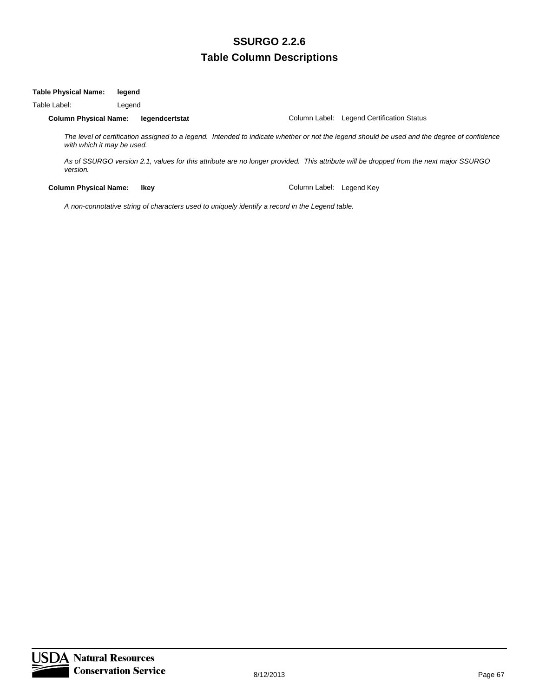#### **Table Physical Name: legend**

Table Label: Legend

#### **Column Physical Name: legendcertstat** Column Label: Legend Certification Status

*The level of certification assigned to a legend. Intended to indicate whether or not the legend should be used and the degree of confidence with which it may be used.*

*As of SSURGO version 2.1, values for this attribute are no longer provided. This attribute will be dropped from the next major SSURGO version.*

**Column Physical Name: Ikey Column Label: Legend Key Column Label: Legend Key** 

*A non-connotative string of characters used to uniquely identify a record in the Legend table.*

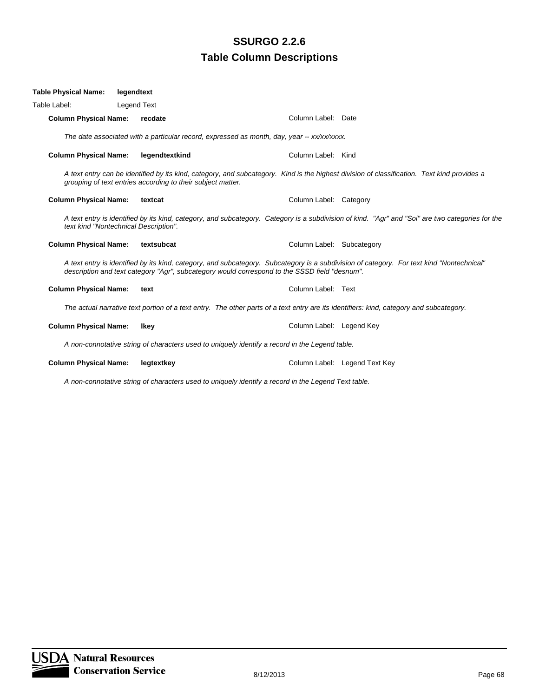| Table Physical Name:                                                                                                                                                                                                                       | legendtext                                                  |                                                                                                                                                  |  |  |  |
|--------------------------------------------------------------------------------------------------------------------------------------------------------------------------------------------------------------------------------------------|-------------------------------------------------------------|--------------------------------------------------------------------------------------------------------------------------------------------------|--|--|--|
| Table Label:                                                                                                                                                                                                                               | Legend Text                                                 |                                                                                                                                                  |  |  |  |
| <b>Column Physical Name:</b>                                                                                                                                                                                                               | recdate                                                     | Column Label: Date                                                                                                                               |  |  |  |
|                                                                                                                                                                                                                                            |                                                             | The date associated with a particular record, expressed as month, day, year -- xx/xx/xxxx.                                                       |  |  |  |
| <b>Column Physical Name:</b>                                                                                                                                                                                                               | legendtextkind                                              | Column Label: Kind                                                                                                                               |  |  |  |
|                                                                                                                                                                                                                                            | grouping of text entries according to their subject matter. | A text entry can be identified by its kind, category, and subcategory. Kind is the highest division of classification. Text kind provides a      |  |  |  |
| <b>Column Physical Name:</b>                                                                                                                                                                                                               | textcat                                                     | Column Label: Category                                                                                                                           |  |  |  |
|                                                                                                                                                                                                                                            | text kind "Nontechnical Description".                       | A text entry is identified by its kind, category, and subcategory. Category is a subdivision of kind. "Agr" and "Soi" are two categories for the |  |  |  |
| <b>Column Physical Name:</b>                                                                                                                                                                                                               | textsubcat                                                  | Column Label: Subcategory                                                                                                                        |  |  |  |
| A text entry is identified by its kind, category, and subcategory. Subcategory is a subdivision of category. For text kind "Nontechnical"<br>description and text category "Agr", subcategory would correspond to the SSSD field "desnum". |                                                             |                                                                                                                                                  |  |  |  |
| <b>Column Physical Name:</b>                                                                                                                                                                                                               | text                                                        | Column Label: Text                                                                                                                               |  |  |  |
| The actual narrative text portion of a text entry. The other parts of a text entry are its identifiers: kind, category and subcategory.                                                                                                    |                                                             |                                                                                                                                                  |  |  |  |
| <b>Column Physical Name:</b>                                                                                                                                                                                                               | lkev                                                        | Column Label: Legend Key                                                                                                                         |  |  |  |
| A non-connotative string of characters used to uniquely identify a record in the Legend table.                                                                                                                                             |                                                             |                                                                                                                                                  |  |  |  |
| <b>Column Physical Name:</b>                                                                                                                                                                                                               | legtextkey                                                  | Column Label: Legend Text Key                                                                                                                    |  |  |  |
|                                                                                                                                                                                                                                            |                                                             | A para separatello e subse al abenezione considire continuale identifica personal in the Leonard Techtricia                                      |  |  |  |

*A non-connotative string of characters used to uniquely identify a record in the Legend Text table.*

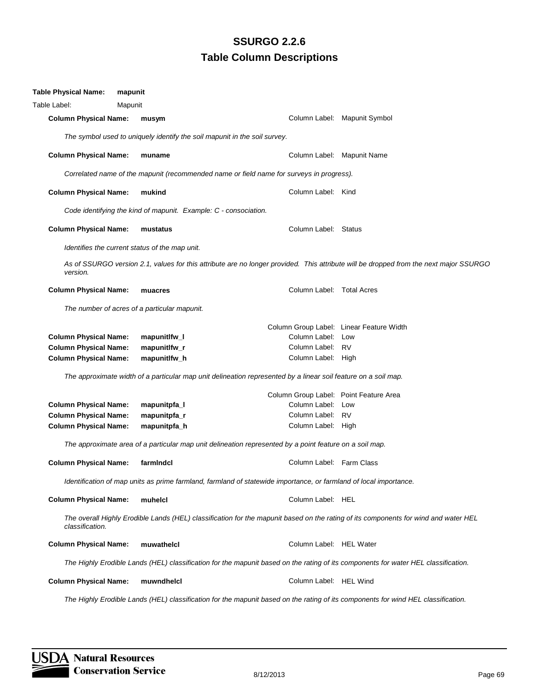| Table Physical Name:                                                                                                                                   | mapunit                                                          |                                                                                          |                                                                                                                                       |  |  |  |
|--------------------------------------------------------------------------------------------------------------------------------------------------------|------------------------------------------------------------------|------------------------------------------------------------------------------------------|---------------------------------------------------------------------------------------------------------------------------------------|--|--|--|
| Table Label:                                                                                                                                           | Mapunit                                                          |                                                                                          |                                                                                                                                       |  |  |  |
| <b>Column Physical Name:</b>                                                                                                                           | musym                                                            |                                                                                          | Column Label: Mapunit Symbol                                                                                                          |  |  |  |
| The symbol used to uniquely identify the soil mapunit in the soil survey.                                                                              |                                                                  |                                                                                          |                                                                                                                                       |  |  |  |
| <b>Column Physical Name:</b>                                                                                                                           | muname                                                           |                                                                                          | Column Label: Mapunit Name                                                                                                            |  |  |  |
|                                                                                                                                                        |                                                                  | Correlated name of the mapunit (recommended name or field name for surveys in progress). |                                                                                                                                       |  |  |  |
| <b>Column Physical Name:</b>                                                                                                                           | mukind                                                           | Column Label: Kind                                                                       |                                                                                                                                       |  |  |  |
|                                                                                                                                                        | Code identifying the kind of mapunit. Example: C - consociation. |                                                                                          |                                                                                                                                       |  |  |  |
| <b>Column Physical Name:</b>                                                                                                                           | mustatus                                                         | Column Label: Status                                                                     |                                                                                                                                       |  |  |  |
|                                                                                                                                                        | Identifies the current status of the map unit.                   |                                                                                          |                                                                                                                                       |  |  |  |
| version.                                                                                                                                               |                                                                  |                                                                                          | As of SSURGO version 2.1, values for this attribute are no longer provided. This attribute will be dropped from the next major SSURGO |  |  |  |
| <b>Column Physical Name:</b>                                                                                                                           | muacres                                                          | Column Label: Total Acres                                                                |                                                                                                                                       |  |  |  |
| The number of acres of a particular mapunit.                                                                                                           |                                                                  |                                                                                          |                                                                                                                                       |  |  |  |
|                                                                                                                                                        |                                                                  |                                                                                          | Column Group Label: Linear Feature Width                                                                                              |  |  |  |
| <b>Column Physical Name:</b>                                                                                                                           | mapunitlfw_l                                                     | Column Label: Low                                                                        |                                                                                                                                       |  |  |  |
| <b>Column Physical Name:</b>                                                                                                                           | mapunitlfw_r                                                     | Column Label: RV                                                                         |                                                                                                                                       |  |  |  |
| <b>Column Physical Name:</b>                                                                                                                           | mapunitlfw_h                                                     | Column Label: High                                                                       |                                                                                                                                       |  |  |  |
| The approximate width of a particular map unit delineation represented by a linear soil feature on a soil map.                                         |                                                                  |                                                                                          |                                                                                                                                       |  |  |  |
|                                                                                                                                                        |                                                                  | Column Group Label: Point Feature Area                                                   |                                                                                                                                       |  |  |  |
| <b>Column Physical Name:</b>                                                                                                                           | mapunitpfa_l                                                     | Column Label: Low                                                                        |                                                                                                                                       |  |  |  |
| <b>Column Physical Name:</b>                                                                                                                           | mapunitpfa_r                                                     | Column Label: RV                                                                         |                                                                                                                                       |  |  |  |
| <b>Column Physical Name:</b>                                                                                                                           | mapunitpfa_h                                                     | Column Label: High                                                                       |                                                                                                                                       |  |  |  |
| The approximate area of a particular map unit delineation represented by a point feature on a soil map.                                                |                                                                  |                                                                                          |                                                                                                                                       |  |  |  |
| <b>Column Physical Name:</b>                                                                                                                           | farmIndcl                                                        | Column Label: Farm Class                                                                 |                                                                                                                                       |  |  |  |
| Identification of map units as prime farmland, farmland of statewide importance, or farmland of local importance.                                      |                                                                  |                                                                                          |                                                                                                                                       |  |  |  |
| <b>Column Physical Name:</b>                                                                                                                           | muhelcl                                                          | Column Label: HEL                                                                        |                                                                                                                                       |  |  |  |
| The overall Highly Erodible Lands (HEL) classification for the mapunit based on the rating of its components for wind and water HEL<br>classification. |                                                                  |                                                                                          |                                                                                                                                       |  |  |  |
| <b>Column Physical Name:</b>                                                                                                                           | muwathelcl                                                       | Column Label: HEL Water                                                                  |                                                                                                                                       |  |  |  |
|                                                                                                                                                        |                                                                  |                                                                                          | The Highly Erodible Lands (HEL) classification for the mapunit based on the rating of its components for water HEL classification.    |  |  |  |
| <b>Column Physical Name:</b>                                                                                                                           | muwndhelcl                                                       | Column Label: HEL Wind                                                                   |                                                                                                                                       |  |  |  |

*The Highly Erodible Lands (HEL) classification for the mapunit based on the rating of its components for wind HEL classification.*

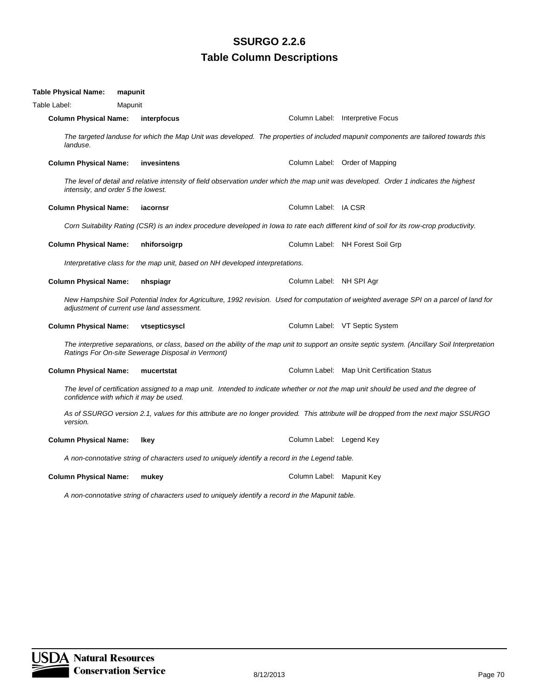| Table Physical Name:                                                                                                                                                          | mapunit                                                                       |                           |                                                                                                                                                 |  |  |  |  |
|-------------------------------------------------------------------------------------------------------------------------------------------------------------------------------|-------------------------------------------------------------------------------|---------------------------|-------------------------------------------------------------------------------------------------------------------------------------------------|--|--|--|--|
| Table Label:                                                                                                                                                                  | Mapunit                                                                       |                           |                                                                                                                                                 |  |  |  |  |
| <b>Column Physical Name:</b>                                                                                                                                                  | interpfocus                                                                   |                           | Column Label: Interpretive Focus                                                                                                                |  |  |  |  |
| landuse.                                                                                                                                                                      |                                                                               |                           | The targeted landuse for which the Map Unit was developed. The properties of included mapunit components are tailored towards this              |  |  |  |  |
| <b>Column Physical Name:</b>                                                                                                                                                  | invesintens                                                                   |                           | Column Label: Order of Mapping                                                                                                                  |  |  |  |  |
| intensity, and order 5 the lowest.                                                                                                                                            |                                                                               |                           | The level of detail and relative intensity of field observation under which the map unit was developed. Order 1 indicates the highest           |  |  |  |  |
| <b>Column Physical Name:</b>                                                                                                                                                  | iacornsr                                                                      | Column Label: IA CSR      |                                                                                                                                                 |  |  |  |  |
|                                                                                                                                                                               |                                                                               |                           | Corn Suitability Rating (CSR) is an index procedure developed in Iowa to rate each different kind of soil for its row-crop productivity.        |  |  |  |  |
| <b>Column Physical Name:</b>                                                                                                                                                  | nhiforsoigrp                                                                  |                           | Column Label: NH Forest Soil Grp                                                                                                                |  |  |  |  |
|                                                                                                                                                                               | Interpretative class for the map unit, based on NH developed interpretations. |                           |                                                                                                                                                 |  |  |  |  |
| <b>Column Physical Name:</b>                                                                                                                                                  | nhspiagr                                                                      | Column Label: NH SPI Agr  |                                                                                                                                                 |  |  |  |  |
|                                                                                                                                                                               | adjustment of current use land assessment.                                    |                           | New Hampshire Soil Potential Index for Agriculture, 1992 revision. Used for computation of weighted average SPI on a parcel of land for         |  |  |  |  |
| <b>Column Physical Name:</b>                                                                                                                                                  | vtsepticsyscl                                                                 |                           | Column Label: VT Septic System                                                                                                                  |  |  |  |  |
|                                                                                                                                                                               | Ratings For On-site Sewerage Disposal in Vermont)                             |                           | The interpretive separations, or class, based on the ability of the map unit to support an onsite septic system. (Ancillary Soil Interpretation |  |  |  |  |
| <b>Column Physical Name:</b>                                                                                                                                                  | mucertstat                                                                    |                           | Column Label: Map Unit Certification Status                                                                                                     |  |  |  |  |
| The level of certification assigned to a map unit. Intended to indicate whether or not the map unit should be used and the degree of<br>confidence with which it may be used. |                                                                               |                           |                                                                                                                                                 |  |  |  |  |
| version.                                                                                                                                                                      |                                                                               |                           | As of SSURGO version 2.1, values for this attribute are no longer provided. This attribute will be dropped from the next major SSURGO           |  |  |  |  |
| <b>Column Physical Name:</b>                                                                                                                                                  | <b>Ikey</b>                                                                   | Column Label: Legend Key  |                                                                                                                                                 |  |  |  |  |
| A non-connotative string of characters used to uniquely identify a record in the Legend table.                                                                                |                                                                               |                           |                                                                                                                                                 |  |  |  |  |
| <b>Column Physical Name:</b>                                                                                                                                                  | mukey                                                                         | Column Label: Mapunit Key |                                                                                                                                                 |  |  |  |  |

*A non-connotative string of characters used to uniquely identify a record in the Mapunit table.*

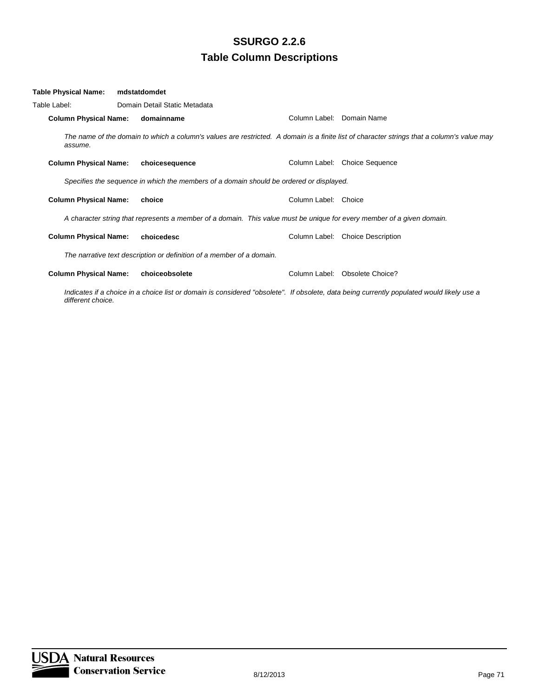| Table Physical Name:         | mdstatdomdet                                                                                                           |                           |                                                                                                                                            |
|------------------------------|------------------------------------------------------------------------------------------------------------------------|---------------------------|--------------------------------------------------------------------------------------------------------------------------------------------|
| Table Label:                 | Domain Detail Static Metadata                                                                                          |                           |                                                                                                                                            |
| <b>Column Physical Name:</b> | domainname                                                                                                             | Column Label: Domain Name |                                                                                                                                            |
| assume.                      |                                                                                                                        |                           | The name of the domain to which a column's values are restricted. A domain is a finite list of character strings that a column's value may |
| <b>Column Physical Name:</b> | choicesequence                                                                                                         |                           | Column Label: Choice Sequence                                                                                                              |
|                              | Specifies the sequence in which the members of a domain should be ordered or displayed.                                |                           |                                                                                                                                            |
| <b>Column Physical Name:</b> | choice                                                                                                                 | Column Label: Choice      |                                                                                                                                            |
|                              | A character string that represents a member of a domain. This value must be unique for every member of a given domain. |                           |                                                                                                                                            |
| <b>Column Physical Name:</b> | choicedesc                                                                                                             |                           | Column Label: Choice Description                                                                                                           |
|                              | The narrative text description or definition of a member of a domain.                                                  |                           |                                                                                                                                            |
| <b>Column Physical Name:</b> | choiceobsolete                                                                                                         |                           | Column Label: Obsolete Choice?                                                                                                             |

*Indicates if a choice in a choice list or domain is considered "obsolete". If obsolete, data being currently populated would likely use a different choice.*

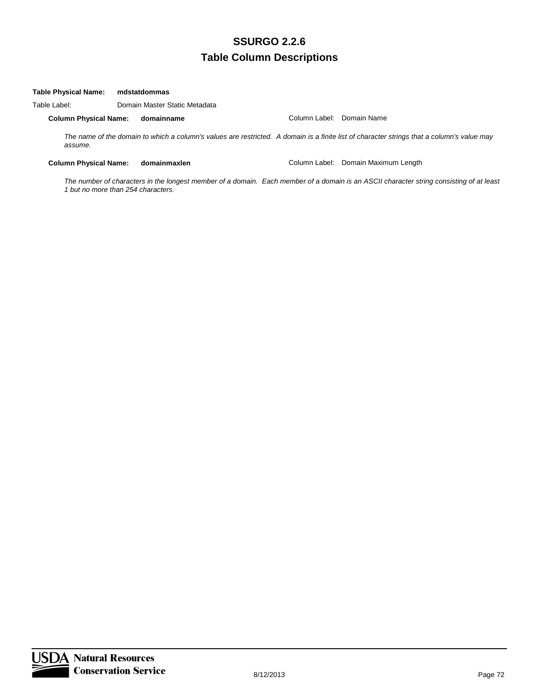#### **Table Physical Name: mdstatdommas**

Table Label: Domain Master Static Metadata

**Column Physical Name: domainname** Column Label: Domain Name

*The name of the domain to which a column's values are restricted. A domain is a finite list of character strings that a column's value may assume.*

**Column Physical Name: domainmaxlen** Column Label: Domain Maximum Length

*The number of characters in the longest member of a domain. Each member of a domain is an ASCII character string consisting of at least 1 but no more than 254 characters.*

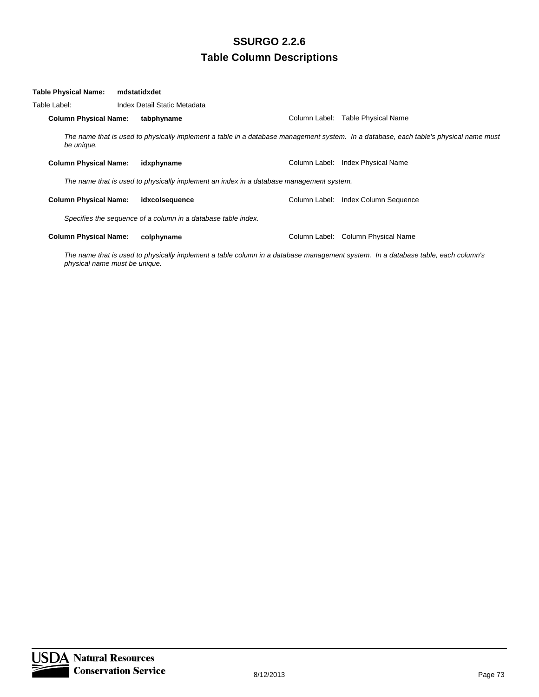| Table Physical Name:         | mdstatidxdet                                                                            |               |                                                                                                                                       |
|------------------------------|-----------------------------------------------------------------------------------------|---------------|---------------------------------------------------------------------------------------------------------------------------------------|
| Table Label:                 | Index Detail Static Metadata                                                            |               |                                                                                                                                       |
| <b>Column Physical Name:</b> | tabphyname                                                                              |               | Column Label: Table Physical Name                                                                                                     |
| be unique.                   |                                                                                         |               | The name that is used to physically implement a table in a database management system. In a database, each table's physical name must |
| <b>Column Physical Name:</b> | idxphyname                                                                              | Column Label: | Index Physical Name                                                                                                                   |
|                              | The name that is used to physically implement an index in a database management system. |               |                                                                                                                                       |
| <b>Column Physical Name:</b> | idxcolsequence                                                                          |               | Column Label: Index Column Sequence                                                                                                   |
|                              | Specifies the sequence of a column in a database table index.                           |               |                                                                                                                                       |
| <b>Column Physical Name:</b> | colphyname                                                                              |               | Column Label: Column Physical Name                                                                                                    |

*The name that is used to physically implement a table column in a database management system. In a database table, each column's physical name must be unique.*

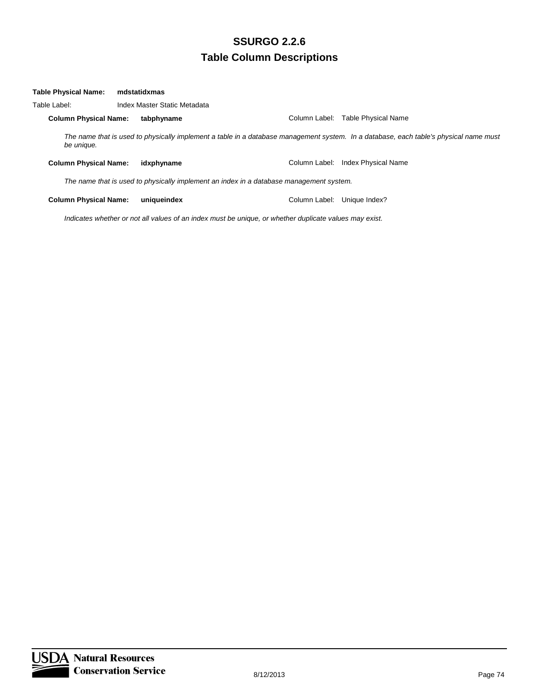| <b>Table Physical Name:</b>  | mdstatidxmas                                                                            |               |                                                                                                                                       |  |  |
|------------------------------|-----------------------------------------------------------------------------------------|---------------|---------------------------------------------------------------------------------------------------------------------------------------|--|--|
| Table Label:                 | Index Master Static Metadata                                                            |               |                                                                                                                                       |  |  |
| <b>Column Physical Name:</b> | tabphyname                                                                              | Column Label: | Table Physical Name                                                                                                                   |  |  |
| be unique.                   |                                                                                         |               | The name that is used to physically implement a table in a database management system. In a database, each table's physical name must |  |  |
| <b>Column Physical Name:</b> | idxphyname                                                                              | Column Label: | <b>Index Physical Name</b>                                                                                                            |  |  |
|                              | The name that is used to physically implement an index in a database management system. |               |                                                                                                                                       |  |  |
| <b>Column Physical Name:</b> | uniqueindex                                                                             | Column Label: | Unique Index?                                                                                                                         |  |  |

*Indicates whether or not all values of an index must be unique, or whether duplicate values may exist.*

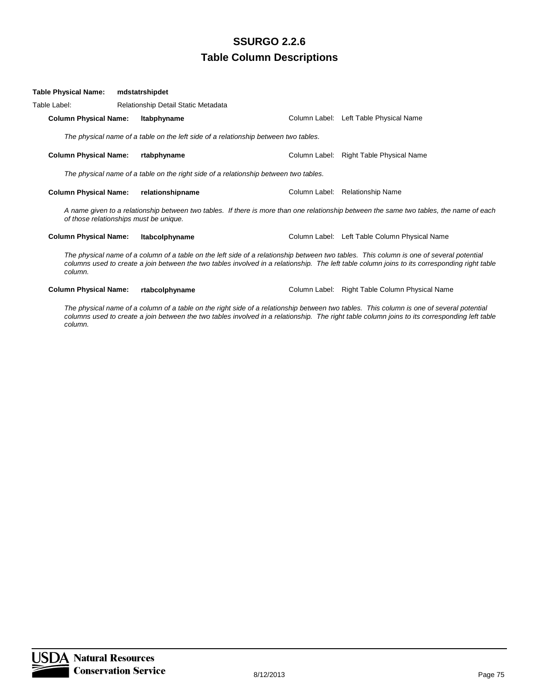| Table Physical Name:                   | mdstatrshipdet                                                                       |                                                                                                                                                                                                                                                                                          |
|----------------------------------------|--------------------------------------------------------------------------------------|------------------------------------------------------------------------------------------------------------------------------------------------------------------------------------------------------------------------------------------------------------------------------------------|
| Table Label:                           | Relationship Detail Static Metadata                                                  |                                                                                                                                                                                                                                                                                          |
| <b>Column Physical Name:</b>           | Itabphyname                                                                          | Column Label: Left Table Physical Name                                                                                                                                                                                                                                                   |
|                                        | The physical name of a table on the left side of a relationship between two tables.  |                                                                                                                                                                                                                                                                                          |
| <b>Column Physical Name:</b>           | rtabphyname                                                                          | Column Label: Right Table Physical Name                                                                                                                                                                                                                                                  |
|                                        | The physical name of a table on the right side of a relationship between two tables. |                                                                                                                                                                                                                                                                                          |
| <b>Column Physical Name:</b>           | relationshipname                                                                     | Column Label: Relationship Name                                                                                                                                                                                                                                                          |
| of those relationships must be unique. |                                                                                      | A name given to a relationship between two tables. If there is more than one relationship between the same two tables, the name of each                                                                                                                                                  |
| <b>Column Physical Name:</b>           | <b>Itabcolphyname</b>                                                                | Column Label: Left Table Column Physical Name                                                                                                                                                                                                                                            |
| column.                                |                                                                                      | The physical name of a column of a table on the left side of a relationship between two tables. This column is one of several potential<br>columns used to create a join between the two tables involved in a relationship. The left table column joins to its corresponding right table |

**Column Physical Name: rtabcolphyname** Column Label: Right Table Column Physical Name

*The physical name of a column of a table on the right side of a relationship between two tables. This column is one of several potential columns used to create a join between the two tables involved in a relationship. The right table column joins to its corresponding left table column.*

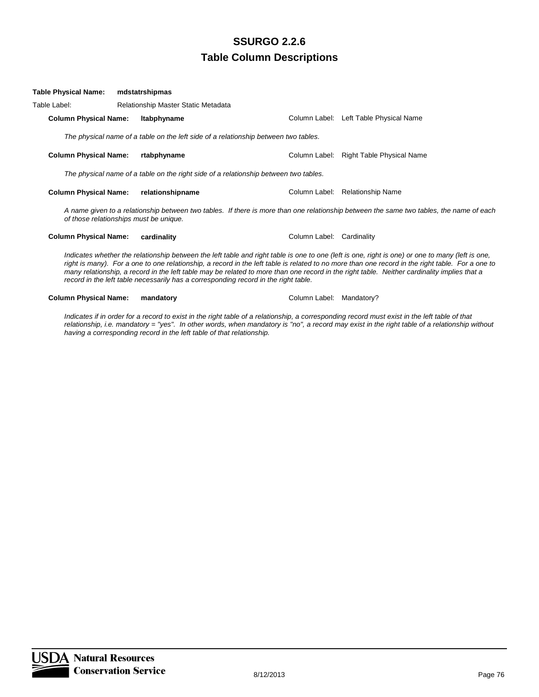| Table Physical Name:                   | mdstatrshipmas                                                                       |                           |                                                                                                                                                                                                                                                                                                                                                                                                                                                     |
|----------------------------------------|--------------------------------------------------------------------------------------|---------------------------|-----------------------------------------------------------------------------------------------------------------------------------------------------------------------------------------------------------------------------------------------------------------------------------------------------------------------------------------------------------------------------------------------------------------------------------------------------|
| Table Label:                           | Relationship Master Static Metadata                                                  |                           |                                                                                                                                                                                                                                                                                                                                                                                                                                                     |
| <b>Column Physical Name:</b>           | Itabphyname                                                                          |                           | Column Label: Left Table Physical Name                                                                                                                                                                                                                                                                                                                                                                                                              |
|                                        | The physical name of a table on the left side of a relationship between two tables.  |                           |                                                                                                                                                                                                                                                                                                                                                                                                                                                     |
| <b>Column Physical Name:</b>           | rtabphyname                                                                          |                           | Column Label: Right Table Physical Name                                                                                                                                                                                                                                                                                                                                                                                                             |
|                                        | The physical name of a table on the right side of a relationship between two tables. |                           |                                                                                                                                                                                                                                                                                                                                                                                                                                                     |
| <b>Column Physical Name:</b>           | relationshipname                                                                     |                           | Column Label: Relationship Name                                                                                                                                                                                                                                                                                                                                                                                                                     |
| of those relationships must be unique. |                                                                                      |                           | A name given to a relationship between two tables. If there is more than one relationship between the same two tables, the name of each                                                                                                                                                                                                                                                                                                             |
| <b>Column Physical Name:</b>           | cardinality                                                                          | Column Label: Cardinality |                                                                                                                                                                                                                                                                                                                                                                                                                                                     |
|                                        | record in the left table necessarily has a corresponding record in the right table.  |                           | Indicates whether the relationship between the left table and right table is one to one (left is one, right is one) or one to many (left is one,<br>right is many). For a one to one relationship, a record in the left table is related to no more than one record in the right table. For a one to<br>many relationship, a record in the left table may be related to more than one record in the right table. Neither cardinality implies that a |
| <b>Column Physical Name:</b>           | mandatory                                                                            | Column Label:             | Mandatory?                                                                                                                                                                                                                                                                                                                                                                                                                                          |

*Indicates if in order for a record to exist in the right table of a relationship, a corresponding record must exist in the left table of that relationship, i.e. mandatory = "yes". In other words, when mandatory is "no", a record may exist in the right table of a relationship without having a corresponding record in the left table of that relationship.*

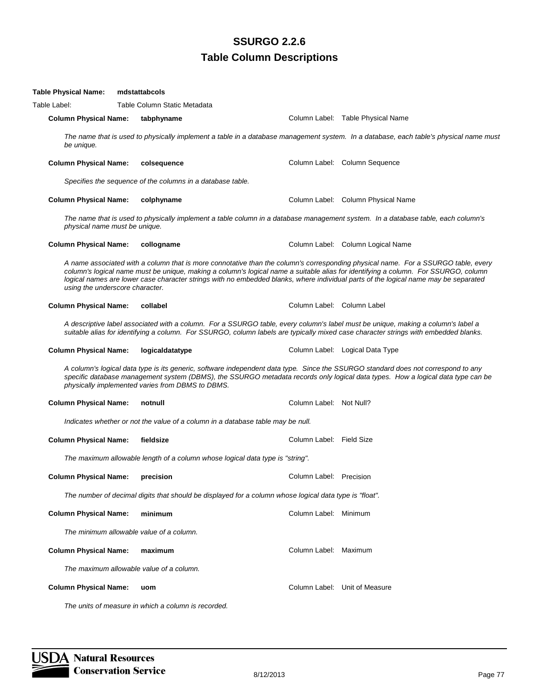| Table Physical Name:                     | mdstattabcols                                                                                                                                                                                                                                                           |                            |                                                                                                                                                                                                                                                                         |
|------------------------------------------|-------------------------------------------------------------------------------------------------------------------------------------------------------------------------------------------------------------------------------------------------------------------------|----------------------------|-------------------------------------------------------------------------------------------------------------------------------------------------------------------------------------------------------------------------------------------------------------------------|
| Table Label:                             | Table Column Static Metadata                                                                                                                                                                                                                                            |                            |                                                                                                                                                                                                                                                                         |
| <b>Column Physical Name:</b>             | tabphyname                                                                                                                                                                                                                                                              |                            | Column Label: Table Physical Name                                                                                                                                                                                                                                       |
| be unique.                               |                                                                                                                                                                                                                                                                         |                            | The name that is used to physically implement a table in a database management system. In a database, each table's physical name must                                                                                                                                   |
| <b>Column Physical Name:</b>             | colsequence                                                                                                                                                                                                                                                             |                            | Column Label: Column Sequence                                                                                                                                                                                                                                           |
|                                          | Specifies the sequence of the columns in a database table.                                                                                                                                                                                                              |                            |                                                                                                                                                                                                                                                                         |
| <b>Column Physical Name:</b>             | colphyname                                                                                                                                                                                                                                                              |                            | Column Label: Column Physical Name                                                                                                                                                                                                                                      |
| physical name must be unique.            | The name that is used to physically implement a table column in a database management system. In a database table, each column's                                                                                                                                        |                            |                                                                                                                                                                                                                                                                         |
| <b>Column Physical Name:</b>             | collogname                                                                                                                                                                                                                                                              |                            | Column Label: Column Logical Name                                                                                                                                                                                                                                       |
| using the underscore character.          | logical names are lower case character strings with no embedded blanks, where individual parts of the logical name may be separated                                                                                                                                     |                            | A name associated with a column that is more connotative than the column's corresponding physical name. For a SSURGO table, every<br>column's logical name must be unique, making a column's logical name a suitable alias for identifying a column. For SSURGO, column |
| <b>Column Physical Name:</b>             | collabel                                                                                                                                                                                                                                                                | Column Label: Column Label |                                                                                                                                                                                                                                                                         |
|                                          | A descriptive label associated with a column. For a SSURGO table, every column's label must be unique, making a column's label a<br>suitable alias for identifying a column. For SSURGO, column labels are typically mixed case character strings with embedded blanks. |                            |                                                                                                                                                                                                                                                                         |
| <b>Column Physical Name:</b>             | logicaldatatype                                                                                                                                                                                                                                                         |                            | Column Label: Logical Data Type                                                                                                                                                                                                                                         |
|                                          | A column's logical data type is its generic, software independent data type. Since the SSURGO standard does not correspond to any<br>physically implemented varies from DBMS to DBMS.                                                                                   |                            | specific database management system (DBMS), the SSURGO metadata records only logical data types. How a logical data type can be                                                                                                                                         |
| <b>Column Physical Name:</b>             | notnull                                                                                                                                                                                                                                                                 | Column Label: Not Null?    |                                                                                                                                                                                                                                                                         |
|                                          | Indicates whether or not the value of a column in a database table may be null.                                                                                                                                                                                         |                            |                                                                                                                                                                                                                                                                         |
| <b>Column Physical Name:</b>             | fieldsize                                                                                                                                                                                                                                                               | Column Label: Field Size   |                                                                                                                                                                                                                                                                         |
|                                          | The maximum allowable length of a column whose logical data type is "string".                                                                                                                                                                                           |                            |                                                                                                                                                                                                                                                                         |
| <b>Column Physical Name: precision</b>   |                                                                                                                                                                                                                                                                         | Column Label: Precision    |                                                                                                                                                                                                                                                                         |
|                                          | The number of decimal digits that should be displayed for a column whose logical data type is "float".                                                                                                                                                                  |                            |                                                                                                                                                                                                                                                                         |
| <b>Column Physical Name:</b>             | minimum                                                                                                                                                                                                                                                                 | Column Label: Minimum      |                                                                                                                                                                                                                                                                         |
| The minimum allowable value of a column. |                                                                                                                                                                                                                                                                         |                            |                                                                                                                                                                                                                                                                         |
| <b>Column Physical Name:</b>             | maximum                                                                                                                                                                                                                                                                 | Column Label: Maximum      |                                                                                                                                                                                                                                                                         |
| The maximum allowable value of a column. |                                                                                                                                                                                                                                                                         |                            |                                                                                                                                                                                                                                                                         |
| <b>Column Physical Name:</b>             | uom                                                                                                                                                                                                                                                                     |                            | Column Label: Unit of Measure                                                                                                                                                                                                                                           |

*The units of measure in which a column is recorded.*

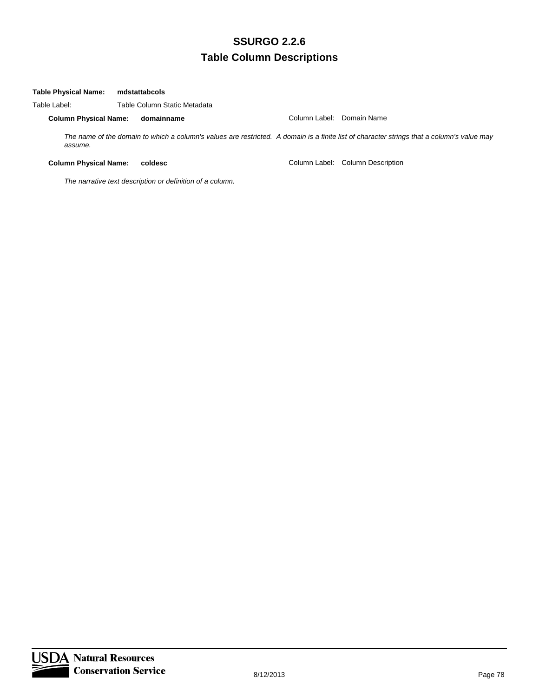#### **Table Physical Name: mdstattabcols**

Table Label: Table Column Static Metadata **Column Physical Name: domainname** Column Label: Domain Name *The name of the domain to which a column's values are restricted. A domain is a finite list of character strings that a column's value may assume.*

**Column Physical Name: coldesc** Column Label: Column Description

*The narrative text description or definition of a column.*

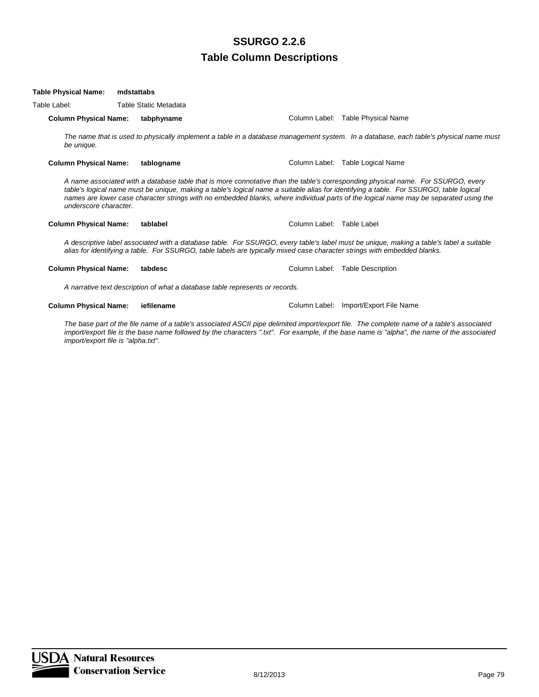#### **Table Physical Name: mdstattabs**

Table Label: Table Static Metadata

**Column Physical Name: tabphyname** Column Label: Table Physical Name

*The name that is used to physically implement a table in a database management system. In a database, each table's physical name must be unique.*

**Column Physical Name: tablogname** Column Label: Table Logical Name

*A name associated with a database table that is more connotative than the table's corresponding physical name. For SSURGO, every table's logical name must be unique, making a table's logical name a suitable alias for identifying a table. For SSURGO, table logical names are lower case character strings with no embedded blanks, where individual parts of the logical name may be separated using the underscore character.*

#### **Column Physical Name: tablabel Column Label:** Table Label: Table Label: Table Label:

*A descriptive label associated with a database table. For SSURGO, every table's label must be unique, making a table's label a suitable alias for identifying a table. For SSURGO, table labels are typically mixed case character strings with embedded blanks.*

#### **Column Physical Name: tabdesc** Column Label: Table Description

*A narrative text description of what a database table represents or records.*

#### **Column Physical Name: iefilename** Column Label: Import/Export File Name

*The base part of the file name of a table's associated ASCII pipe delimited import/export file. The complete name of a table's associated import/export file is the base name followed by the characters ".txt". For example, if the base name is "alpha", the name of the associated import/export file is "alpha.txt".*

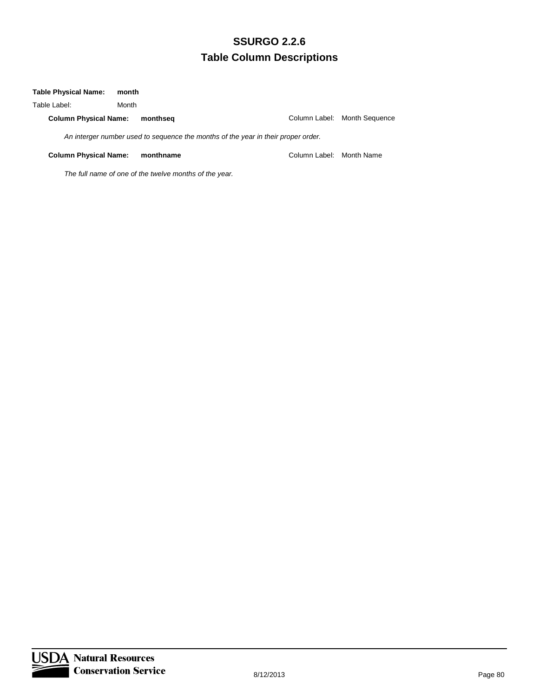#### **Table Physical Name: month**

| Table Label:                 | Month |                                                                                   |                          |                              |
|------------------------------|-------|-----------------------------------------------------------------------------------|--------------------------|------------------------------|
| <b>Column Physical Name:</b> |       | monthsea                                                                          |                          | Column Label: Month Sequence |
|                              |       | An interger number used to sequence the months of the year in their proper order. |                          |                              |
| <b>Column Physical Name:</b> |       | monthname                                                                         | Column Label: Month Name |                              |

*The full name of one of the twelve months of the year.*

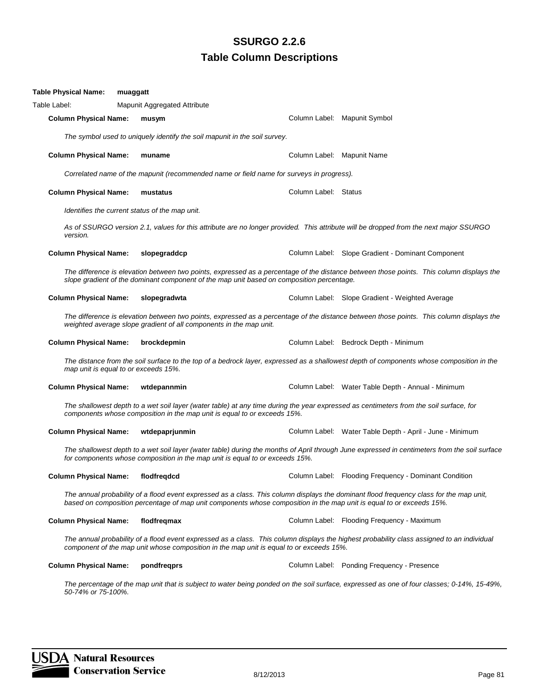| Table Physical Name:<br>muaggatt               |                                                                                                                                                                                                                    |                      |                                                                                                                                               |
|------------------------------------------------|--------------------------------------------------------------------------------------------------------------------------------------------------------------------------------------------------------------------|----------------------|-----------------------------------------------------------------------------------------------------------------------------------------------|
| Table Label:                                   | Mapunit Aggregated Attribute                                                                                                                                                                                       |                      |                                                                                                                                               |
| <b>Column Physical Name:</b>                   | musym                                                                                                                                                                                                              |                      | Column Label: Mapunit Symbol                                                                                                                  |
|                                                | The symbol used to uniquely identify the soil mapunit in the soil survey.                                                                                                                                          |                      |                                                                                                                                               |
| <b>Column Physical Name:</b>                   | muname                                                                                                                                                                                                             |                      | Column Label: Mapunit Name                                                                                                                    |
|                                                | Correlated name of the mapunit (recommended name or field name for surveys in progress).                                                                                                                           |                      |                                                                                                                                               |
| <b>Column Physical Name:</b>                   | mustatus                                                                                                                                                                                                           | Column Label: Status |                                                                                                                                               |
| Identifies the current status of the map unit. |                                                                                                                                                                                                                    |                      |                                                                                                                                               |
| version.                                       |                                                                                                                                                                                                                    |                      | As of SSURGO version 2.1, values for this attribute are no longer provided. This attribute will be dropped from the next major SSURGO         |
| <b>Column Physical Name:</b>                   | slopegraddcp                                                                                                                                                                                                       |                      | Column Label: Slope Gradient - Dominant Component                                                                                             |
|                                                | slope gradient of the dominant component of the map unit based on composition percentage.                                                                                                                          |                      | The difference is elevation between two points, expressed as a percentage of the distance between those points. This column displays the      |
| <b>Column Physical Name:</b>                   | slopegradwta                                                                                                                                                                                                       |                      | Column Label: Slope Gradient - Weighted Average                                                                                               |
|                                                | weighted average slope gradient of all components in the map unit.                                                                                                                                                 |                      | The difference is elevation between two points, expressed as a percentage of the distance between those points. This column displays the      |
| <b>Column Physical Name:</b>                   | brockdepmin                                                                                                                                                                                                        |                      | Column Label: Bedrock Depth - Minimum                                                                                                         |
| map unit is equal to or exceeds 15%.           |                                                                                                                                                                                                                    |                      | The distance from the soil surface to the top of a bedrock layer, expressed as a shallowest depth of components whose composition in the      |
| <b>Column Physical Name:</b>                   | wtdepannmin                                                                                                                                                                                                        |                      | Column Label: Water Table Depth - Annual - Minimum                                                                                            |
|                                                | The shallowest depth to a wet soil layer (water table) at any time during the year expressed as centimeters from the soil surface, for<br>components whose composition in the map unit is equal to or exceeds 15%. |                      |                                                                                                                                               |
| <b>Column Physical Name:</b>                   | wtdepaprjunmin                                                                                                                                                                                                     |                      | Column Label: Water Table Depth - April - June - Minimum                                                                                      |
|                                                | for components whose composition in the map unit is equal to or exceeds 15%.                                                                                                                                       |                      | The shallowest depth to a wet soil layer (water table) during the months of April through June expressed in centimeters from the soil surface |
| Column Physical Name: flodfreqdcd              |                                                                                                                                                                                                                    |                      | Column Label: Flooding Frequency - Dominant Condition                                                                                         |
|                                                | based on composition percentage of map unit components whose composition in the map unit is equal to or exceeds 15%.                                                                                               |                      | The annual probability of a flood event expressed as a class. This column displays the dominant flood frequency class for the map unit,       |
| <b>Column Physical Name:</b>                   | flodfreqmax                                                                                                                                                                                                        |                      | Column Label: Flooding Frequency - Maximum                                                                                                    |
|                                                | component of the map unit whose composition in the map unit is equal to or exceeds 15%.                                                                                                                            |                      | The annual probability of a flood event expressed as a class. This column displays the highest probability class assigned to an individual    |
| <b>Column Physical Name:</b>                   | pondfreqprs                                                                                                                                                                                                        |                      | Column Label: Ponding Frequency - Presence                                                                                                    |
| 50-74% or 75-100%.                             |                                                                                                                                                                                                                    |                      | The percentage of the map unit that is subject to water being ponded on the soil surface, expressed as one of four classes; 0-14%, 15-49%,    |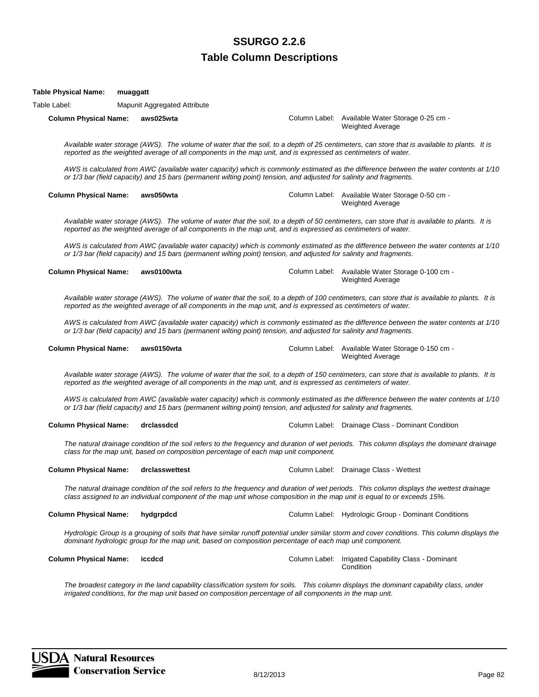## **Table Column Descriptions** Text13: **SSURGO 2.2.6**

Table Label: Mapunit Aggregated Attribute

**Column Physical Name: aws025wta** Column Label: Available Water Storage 0-25 cm - Weighted Average

*Available water storage (AWS). The volume of water that the soil, to a depth of 25 centimeters, can store that is available to plants. It is reported as the weighted average of all components in the map unit, and is expressed as centimeters of water.*

*AWS is calculated from AWC (available water capacity) which is commonly estimated as the difference between the water contents at 1/10 or 1/3 bar (field capacity) and 15 bars (permanent wilting point) tension, and adjusted for salinity and fragments.*

#### **Column Physical Name: aws050wta Column Label: Available Water Storage 0-50 cm -** Column Label: Available Water Storage 0-50 cm -

Weighted Average

*Available water storage (AWS). The volume of water that the soil, to a depth of 50 centimeters, can store that is available to plants. It is reported as the weighted average of all components in the map unit, and is expressed as centimeters of water.*

*AWS is calculated from AWC (available water capacity) which is commonly estimated as the difference between the water contents at 1/10 or 1/3 bar (field capacity) and 15 bars (permanent wilting point) tension, and adjusted for salinity and fragments.*

**Column Physical Name: aws0100wta** Column Label: Available Water Storage 0-100 cm - Weighted Average

*Available water storage (AWS). The volume of water that the soil, to a depth of 100 centimeters, can store that is available to plants. It is reported as the weighted average of all components in the map unit, and is expressed as centimeters of water.*

*AWS is calculated from AWC (available water capacity) which is commonly estimated as the difference between the water contents at 1/10 or 1/3 bar (field capacity) and 15 bars (permanent wilting point) tension, and adjusted for salinity and fragments.*

#### **Column Physical Name: aws0150wta** Column Label: Available Water Storage 0-150 cm -

*Available water storage (AWS). The volume of water that the soil, to a depth of 150 centimeters, can store that is available to plants. It is reported as the weighted average of all components in the map unit, and is expressed as centimeters of water.*

*AWS is calculated from AWC (available water capacity) which is commonly estimated as the difference between the water contents at 1/10 or 1/3 bar (field capacity) and 15 bars (permanent wilting point) tension, and adjusted for salinity and fragments.*

#### **Column Physical Name: drclassdcd** Column Label: Drainage Class - Dominant Condition

*The natural drainage condition of the soil refers to the frequency and duration of wet periods. This column displays the dominant drainage class for the map unit, based on composition percentage of each map unit component.*

#### **Column Physical Name:** drclasswettest Column Label: Drainage Class - Wettest

*The natural drainage condition of the soil refers to the frequency and duration of wet periods. This column displays the wettest drainage class assigned to an individual component of the map unit whose composition in the map unit is equal to or exceeds 15%.*

#### **Column Physical Name: hydgrpdcd** Column Label: Hydrologic Group - Dominant Conditions

Hydrologic Group is a grouping of soils that have similar runoff potential under similar storm and cover conditions. This column displays the *dominant hydrologic group for the map unit, based on composition percentage of each map unit component.*

| Column Physical Name: iccdcd |  | Column Label: Irrigated Capability Class - Dominant<br>Condition |
|------------------------------|--|------------------------------------------------------------------|
|                              |  |                                                                  |

The broadest category in the land capability classification system for soils. This column displays the dominant capability class, under *irrigated conditions, for the map unit based on composition percentage of all components in the map unit.*

Weighted Average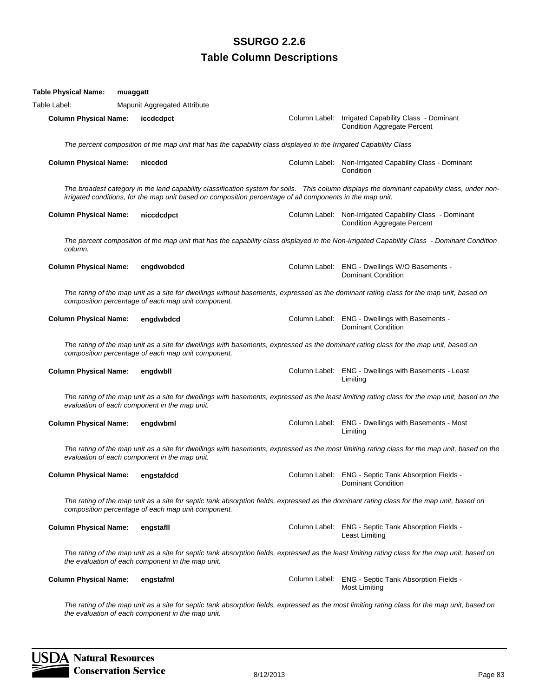| Table Physical Name:         | muaggatt |                                                                                                                   |  |                                                                                                                                                 |
|------------------------------|----------|-------------------------------------------------------------------------------------------------------------------|--|-------------------------------------------------------------------------------------------------------------------------------------------------|
| Table Label:                 |          | Mapunit Aggregated Attribute                                                                                      |  |                                                                                                                                                 |
| <b>Column Physical Name:</b> |          | iccdcdpct                                                                                                         |  | Column Label: Irrigated Capability Class - Dominant<br><b>Condition Aggregate Percent</b>                                                       |
|                              |          | The percent composition of the map unit that has the capability class displayed in the Irrigated Capability Class |  |                                                                                                                                                 |
| <b>Column Physical Name:</b> |          | niccdcd                                                                                                           |  | Column Label: Non-Irrigated Capability Class - Dominant<br>Condition                                                                            |
|                              |          | irrigated conditions, for the map unit based on composition percentage of all components in the map unit.         |  | The broadest category in the land capability classification system for soils. This column displays the dominant capability class, under non-    |
| <b>Column Physical Name:</b> |          | niccdcdpct                                                                                                        |  | Column Label: Non-Irrigated Capability Class - Dominant<br><b>Condition Aggregate Percent</b>                                                   |
| column.                      |          |                                                                                                                   |  | The percent composition of the map unit that has the capability class displayed in the Non-Irrigated Capability Class - Dominant Condition      |
| <b>Column Physical Name:</b> |          | engdwobdcd                                                                                                        |  | Column Label: ENG - Dwellings W/O Basements -<br><b>Dominant Condition</b>                                                                      |
|                              |          | composition percentage of each map unit component.                                                                |  | The rating of the map unit as a site for dwellings without basements, expressed as the dominant rating class for the map unit, based on         |
| <b>Column Physical Name:</b> |          | engdwbdcd                                                                                                         |  | Column Label: ENG - Dwellings with Basements -<br><b>Dominant Condition</b>                                                                     |
|                              |          | composition percentage of each map unit component.                                                                |  | The rating of the map unit as a site for dwellings with basements, expressed as the dominant rating class for the map unit, based on            |
| <b>Column Physical Name:</b> |          | engdwbll                                                                                                          |  | Column Label: ENG - Dwellings with Basements - Least<br>Limiting                                                                                |
|                              |          | evaluation of each component in the map unit.                                                                     |  | The rating of the map unit as a site for dwellings with basements, expressed as the least limiting rating class for the map unit, based on the  |
| <b>Column Physical Name:</b> |          | engdwbml                                                                                                          |  | Column Label: ENG - Dwellings with Basements - Most<br>Limiting                                                                                 |
|                              |          | evaluation of each component in the map unit.                                                                     |  | The rating of the map unit as a site for dwellings with basements, expressed as the most limiting rating class for the map unit, based on the   |
| <b>Column Physical Name:</b> |          | engstafdcd                                                                                                        |  | Column Label: ENG - Septic Tank Absorption Fields -<br><b>Dominant Condition</b>                                                                |
|                              |          | composition percentage of each map unit component.                                                                |  | The rating of the map unit as a site for septic tank absorption fields, expressed as the dominant rating class for the map unit, based on       |
| <b>Column Physical Name:</b> |          | engstafll                                                                                                         |  | Column Label: ENG - Septic Tank Absorption Fields -<br>Least Limiting                                                                           |
|                              |          | the evaluation of each component in the map unit.                                                                 |  | The rating of the map unit as a site for septic tank absorption fields, expressed as the least limiting rating class for the map unit, based on |
| <b>Column Physical Name:</b> |          | engstafml                                                                                                         |  | Column Label: ENG - Septic Tank Absorption Fields -<br><b>Most Limiting</b>                                                                     |
|                              |          |                                                                                                                   |  |                                                                                                                                                 |

*The rating of the map unit as a site for septic tank absorption fields, expressed as the most limiting rating class for the map unit, based on the evaluation of each component in the map unit.*

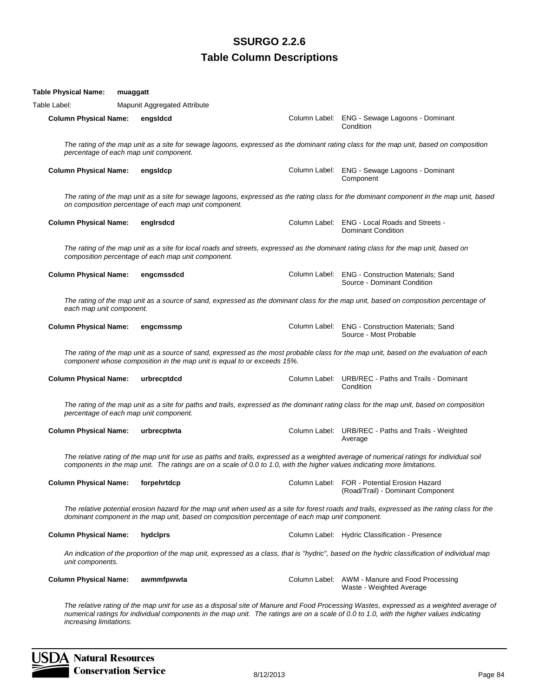| <b>Table Physical Name:</b>  | muaggatt |                                                                         |                                                                                                 |                                                                                                                                                                                                                                                                                     |
|------------------------------|----------|-------------------------------------------------------------------------|-------------------------------------------------------------------------------------------------|-------------------------------------------------------------------------------------------------------------------------------------------------------------------------------------------------------------------------------------------------------------------------------------|
| Table Label:                 |          | Mapunit Aggregated Attribute                                            |                                                                                                 |                                                                                                                                                                                                                                                                                     |
| <b>Column Physical Name:</b> |          | engsldcd                                                                |                                                                                                 | Column Label: ENG - Sewage Lagoons - Dominant<br>Condition                                                                                                                                                                                                                          |
|                              |          | percentage of each map unit component.                                  |                                                                                                 | The rating of the map unit as a site for sewage lagoons, expressed as the dominant rating class for the map unit, based on composition                                                                                                                                              |
| <b>Column Physical Name:</b> |          | engsldcp                                                                |                                                                                                 | Column Label: ENG - Sewage Lagoons - Dominant<br>Component                                                                                                                                                                                                                          |
|                              |          | on composition percentage of each map unit component.                   |                                                                                                 | The rating of the map unit as a site for sewage lagoons, expressed as the rating class for the dominant component in the map unit, based                                                                                                                                            |
| <b>Column Physical Name:</b> |          | engirsdcd                                                               |                                                                                                 | Column Label: ENG - Local Roads and Streets -<br>Dominant Condition                                                                                                                                                                                                                 |
|                              |          | composition percentage of each map unit component.                      |                                                                                                 | The rating of the map unit as a site for local roads and streets, expressed as the dominant rating class for the map unit, based on                                                                                                                                                 |
| <b>Column Physical Name:</b> |          | engcmssdcd                                                              |                                                                                                 | Column Label: ENG - Construction Materials; Sand<br>Source - Dominant Condition                                                                                                                                                                                                     |
| each map unit component.     |          |                                                                         |                                                                                                 | The rating of the map unit as a source of sand, expressed as the dominant class for the map unit, based on composition percentage of                                                                                                                                                |
| <b>Column Physical Name:</b> |          | engcmssmp                                                               |                                                                                                 | Column Label: ENG - Construction Materials; Sand<br>Source - Most Probable                                                                                                                                                                                                          |
|                              |          | component whose composition in the map unit is equal to or exceeds 15%. |                                                                                                 | The rating of the map unit as a source of sand, expressed as the most probable class for the map unit, based on the evaluation of each                                                                                                                                              |
| <b>Column Physical Name:</b> |          | urbrecptdcd                                                             |                                                                                                 | Column Label: URB/REC - Paths and Trails - Dominant<br>Condition                                                                                                                                                                                                                    |
|                              |          | percentage of each map unit component.                                  |                                                                                                 | The rating of the map unit as a site for paths and trails, expressed as the dominant rating class for the map unit, based on composition                                                                                                                                            |
| <b>Column Physical Name:</b> |          | urbrecptwta                                                             |                                                                                                 | Column Label: URB/REC - Paths and Trails - Weighted<br>Average                                                                                                                                                                                                                      |
|                              |          |                                                                         |                                                                                                 | The relative rating of the map unit for use as paths and trails, expressed as a weighted average of numerical ratings for individual soil<br>components in the map unit. The ratings are on a scale of 0.0 to 1.0, with the higher values indicating more limitations.              |
| <b>Column Physical Name:</b> |          | forpehrtdcp                                                             |                                                                                                 | Column Label: FOR - Potential Erosion Hazard<br>(Road/Trail) - Dominant Component                                                                                                                                                                                                   |
|                              |          |                                                                         | dominant component in the map unit, based on composition percentage of each map unit component. | The relative potential erosion hazard for the map unit when used as a site for forest roads and trails, expressed as the rating class for the                                                                                                                                       |
| <b>Column Physical Name:</b> |          | hydclprs                                                                |                                                                                                 | Column Label: Hydric Classification - Presence                                                                                                                                                                                                                                      |
| unit components.             |          |                                                                         |                                                                                                 | An indication of the proportion of the map unit, expressed as a class, that is "hydric", based on the hydric classification of individual map                                                                                                                                       |
| <b>Column Physical Name:</b> |          | awmmfpwwta                                                              |                                                                                                 | Column Label: AWM - Manure and Food Processing<br>Waste - Weighted Average                                                                                                                                                                                                          |
| increasing limitations.      |          |                                                                         |                                                                                                 | The relative rating of the map unit for use as a disposal site of Manure and Food Processing Wastes, expressed as a weighted average of<br>numerical ratings for individual components in the map unit. The ratings are on a scale of 0.0 to 1.0, with the higher values indicating |

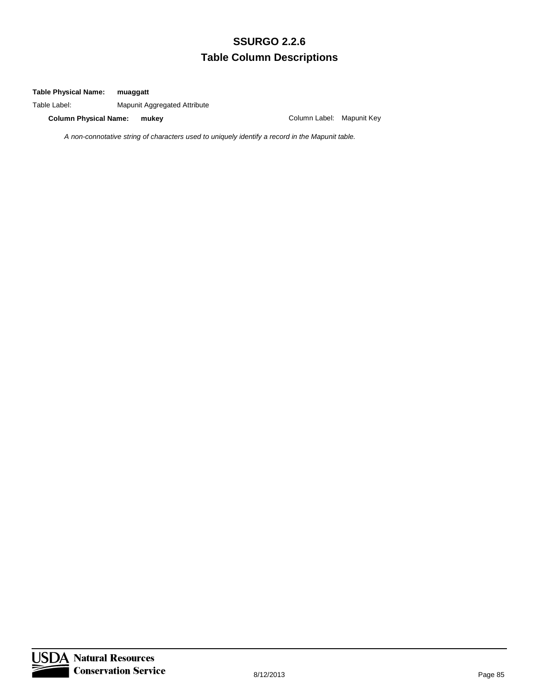#### **Table Physical Name: muaggatt**

Table Label: Mapunit Aggregated Attribute

**Column Physical Name: mukey** Column Label: Mapunit Key

*A non-connotative string of characters used to uniquely identify a record in the Mapunit table.*

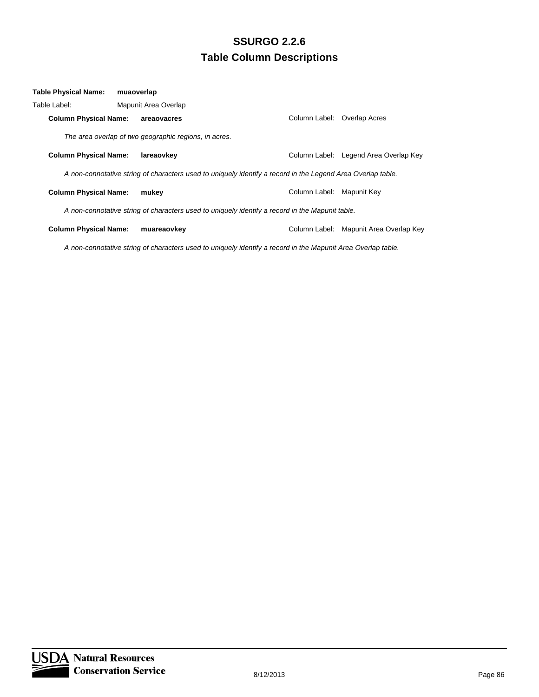| Table Physical Name:         | muaoverlap |                                                                                                             |                           |                                        |
|------------------------------|------------|-------------------------------------------------------------------------------------------------------------|---------------------------|----------------------------------------|
| Table Label:                 |            | Mapunit Area Overlap                                                                                        |                           |                                        |
| <b>Column Physical Name:</b> |            | areaovacres                                                                                                 | Column Label:             | Overlap Acres                          |
|                              |            | The area overlap of two geographic regions, in acres.                                                       |                           |                                        |
| <b>Column Physical Name:</b> |            | lareaovkev                                                                                                  |                           | Column Label: Legend Area Overlap Key  |
|                              |            | A non-connotative string of characters used to uniquely identify a record in the Legend Area Overlap table. |                           |                                        |
| <b>Column Physical Name:</b> |            | mukev                                                                                                       | Column Label: Mapunit Key |                                        |
|                              |            | A non-connotative string of characters used to uniquely identify a record in the Mapunit table.             |                           |                                        |
| <b>Column Physical Name:</b> |            | muareaovkey                                                                                                 |                           | Column Label: Mapunit Area Overlap Key |

*A non-connotative string of characters used to uniquely identify a record in the Mapunit Area Overlap table.*

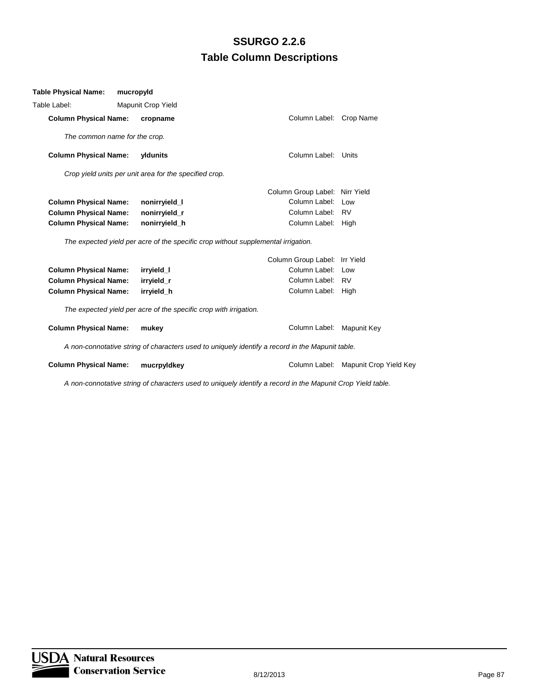| <b>Table Physical Name:</b>   | mucropyld                                                         |                                                                                                 |                                      |
|-------------------------------|-------------------------------------------------------------------|-------------------------------------------------------------------------------------------------|--------------------------------------|
| Table Label:                  | <b>Mapunit Crop Yield</b>                                         |                                                                                                 |                                      |
| <b>Column Physical Name:</b>  | cropname                                                          | Column Label: Crop Name                                                                         |                                      |
| The common name for the crop. |                                                                   |                                                                                                 |                                      |
| <b>Column Physical Name:</b>  | yldunits                                                          | Column Label: Units                                                                             |                                      |
|                               | Crop yield units per unit area for the specified crop.            |                                                                                                 |                                      |
|                               |                                                                   | Column Group Label: Nirr Yield                                                                  |                                      |
| <b>Column Physical Name:</b>  | nonirryield_l                                                     | Column Label: Low                                                                               |                                      |
| <b>Column Physical Name:</b>  | nonirryield_r                                                     | Column Label: RV                                                                                |                                      |
| <b>Column Physical Name:</b>  | nonirryield_h                                                     | Column Label: High                                                                              |                                      |
|                               |                                                                   | The expected yield per acre of the specific crop without supplemental irrigation.               |                                      |
|                               |                                                                   | Column Group Label: Irr Yield                                                                   |                                      |
| <b>Column Physical Name:</b>  | irryield_l                                                        | Column Label: Low                                                                               |                                      |
| <b>Column Physical Name:</b>  | irryield_r                                                        | Column Label: RV                                                                                |                                      |
| <b>Column Physical Name:</b>  | irryield_h                                                        | Column Label: High                                                                              |                                      |
|                               | The expected yield per acre of the specific crop with irrigation. |                                                                                                 |                                      |
| <b>Column Physical Name:</b>  | mukey                                                             | Column Label: Mapunit Key                                                                       |                                      |
|                               |                                                                   | A non-connotative string of characters used to uniquely identify a record in the Mapunit table. |                                      |
| <b>Column Physical Name:</b>  | mucrpyldkey                                                       |                                                                                                 | Column Label: Mapunit Crop Yield Key |
|                               |                                                                   |                                                                                                 |                                      |

*A non-connotative string of characters used to uniquely identify a record in the Mapunit Crop Yield table.*

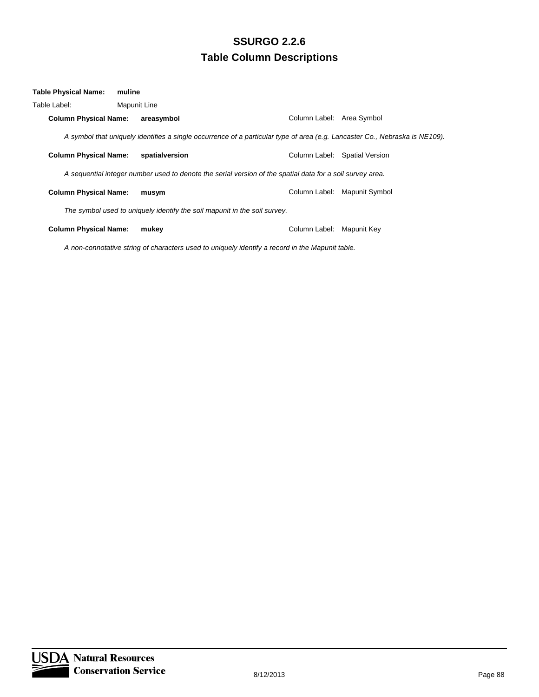| Table Physical Name:         | muline                                                                                                                      |                           |                               |
|------------------------------|-----------------------------------------------------------------------------------------------------------------------------|---------------------------|-------------------------------|
| Table Label:                 | Mapunit Line                                                                                                                |                           |                               |
| <b>Column Physical Name:</b> | areasymbol                                                                                                                  | Column Label: Area Symbol |                               |
|                              | A symbol that uniquely identifies a single occurrence of a particular type of area (e.g. Lancaster Co., Nebraska is NE109). |                           |                               |
| <b>Column Physical Name:</b> | spatialversion                                                                                                              |                           | Column Label: Spatial Version |
|                              | A sequential integer number used to denote the serial version of the spatial data for a soil survey area.                   |                           |                               |
| <b>Column Physical Name:</b> | musym                                                                                                                       | Column Label:             | Mapunit Symbol                |
|                              | The symbol used to uniquely identify the soil mapunit in the soil survey.                                                   |                           |                               |
| <b>Column Physical Name:</b> | mukey                                                                                                                       | Column Label:             | Mapunit Key                   |
|                              | A non-connotative string of characters used to uniquely identify a record in the Mapunit table.                             |                           |                               |

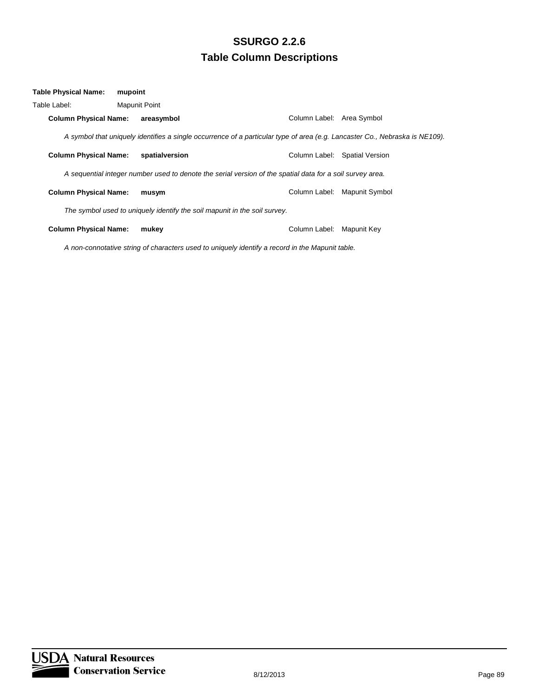| Table Physical Name:         | mupoint              |                                                                                                                             |                               |
|------------------------------|----------------------|-----------------------------------------------------------------------------------------------------------------------------|-------------------------------|
| Table Label:                 | <b>Mapunit Point</b> |                                                                                                                             |                               |
| <b>Column Physical Name:</b> | areasymbol           | Column Label: Area Symbol                                                                                                   |                               |
|                              |                      | A symbol that uniquely identifies a single occurrence of a particular type of area (e.g. Lancaster Co., Nebraska is NE109). |                               |
| <b>Column Physical Name:</b> | spatialversion       |                                                                                                                             | Column Label: Spatial Version |
|                              |                      | A sequential integer number used to denote the serial version of the spatial data for a soil survey area.                   |                               |
| <b>Column Physical Name:</b> | musym                | Column Label:                                                                                                               | Mapunit Symbol                |
|                              |                      | The symbol used to uniquely identify the soil mapunit in the soil survey.                                                   |                               |
| <b>Column Physical Name:</b> | mukey                | Column Label:                                                                                                               | Mapunit Key                   |
|                              |                      | A non-connotative string of characters used to uniquely identify a record in the Mapunit table.                             |                               |

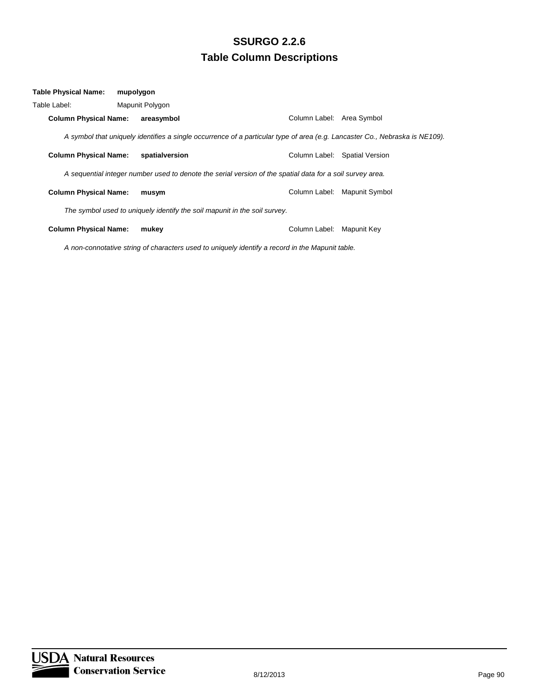| Table Physical Name:         | mupolygon       |                                                                                                                             |                               |
|------------------------------|-----------------|-----------------------------------------------------------------------------------------------------------------------------|-------------------------------|
| Table Label:                 | Mapunit Polygon |                                                                                                                             |                               |
| <b>Column Physical Name:</b> | areasymbol      |                                                                                                                             | Column Label: Area Symbol     |
|                              |                 | A symbol that uniquely identifies a single occurrence of a particular type of area (e.g. Lancaster Co., Nebraska is NE109). |                               |
| <b>Column Physical Name:</b> | spatialversion  |                                                                                                                             | Column Label: Spatial Version |
|                              |                 | A sequential integer number used to denote the serial version of the spatial data for a soil survey area.                   |                               |
| <b>Column Physical Name:</b> | musym           |                                                                                                                             | Column Label: Mapunit Symbol  |
|                              |                 | The symbol used to uniquely identify the soil mapunit in the soil survey.                                                   |                               |
| <b>Column Physical Name:</b> | mukey           | Column Label:                                                                                                               | Mapunit Key                   |
|                              |                 | A non-connotative string of characters used to uniquely identify a record in the Mapunit table.                             |                               |

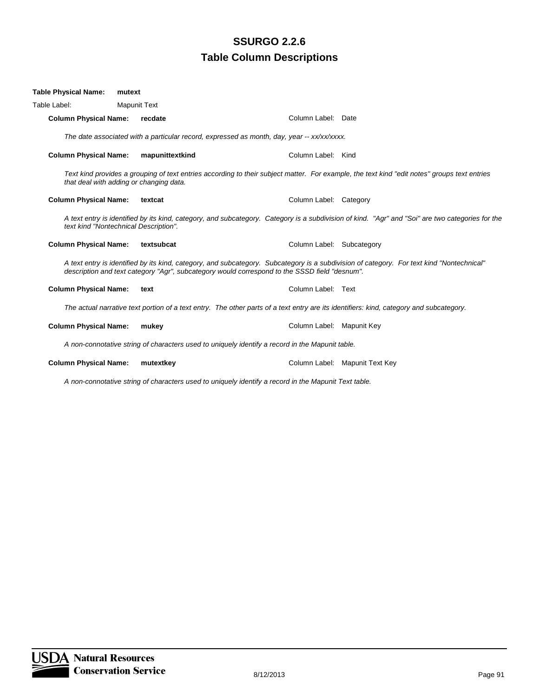| Table Physical Name:                                                                            | mutext                                  |                                                                                                      |                                                                                                                                                  |  |  |
|-------------------------------------------------------------------------------------------------|-----------------------------------------|------------------------------------------------------------------------------------------------------|--------------------------------------------------------------------------------------------------------------------------------------------------|--|--|
| Table Label:                                                                                    | <b>Mapunit Text</b>                     |                                                                                                      |                                                                                                                                                  |  |  |
| <b>Column Physical Name:</b>                                                                    | recdate                                 | Column Label: Date                                                                                   |                                                                                                                                                  |  |  |
| The date associated with a particular record, expressed as month, day, year -- xx/xx/xxxx.      |                                         |                                                                                                      |                                                                                                                                                  |  |  |
| <b>Column Physical Name:</b>                                                                    | mapunittextkind                         | Column Label: Kind                                                                                   |                                                                                                                                                  |  |  |
|                                                                                                 | that deal with adding or changing data. |                                                                                                      | Text kind provides a grouping of text entries according to their subject matter. For example, the text kind "edit notes" groups text entries     |  |  |
| <b>Column Physical Name:</b>                                                                    | textcat                                 | Column Label: Category                                                                               |                                                                                                                                                  |  |  |
|                                                                                                 | text kind "Nontechnical Description".   |                                                                                                      | A text entry is identified by its kind, category, and subcategory. Category is a subdivision of kind. "Agr" and "Soi" are two categories for the |  |  |
| <b>Column Physical Name:</b>                                                                    | textsubcat                              | Column Label: Subcategory                                                                            |                                                                                                                                                  |  |  |
|                                                                                                 |                                         | description and text category "Agr", subcategory would correspond to the SSSD field "desnum".        | A text entry is identified by its kind, category, and subcategory. Subcategory is a subdivision of category. For text kind "Nontechnical"        |  |  |
| <b>Column Physical Name:</b>                                                                    | text                                    | Column Label: Text                                                                                   |                                                                                                                                                  |  |  |
|                                                                                                 |                                         |                                                                                                      | The actual narrative text portion of a text entry. The other parts of a text entry are its identifiers: kind, category and subcategory.          |  |  |
| <b>Column Physical Name:</b>                                                                    | mukey                                   | Column Label: Mapunit Key                                                                            |                                                                                                                                                  |  |  |
| A non-connotative string of characters used to uniquely identify a record in the Mapunit table. |                                         |                                                                                                      |                                                                                                                                                  |  |  |
| <b>Column Physical Name:</b>                                                                    | mutextkey                               |                                                                                                      | Column Label: Mapunit Text Key                                                                                                                   |  |  |
|                                                                                                 |                                         | A non-connotative string of characters used to uniquely identify a record in the Mapunit Text table. |                                                                                                                                                  |  |  |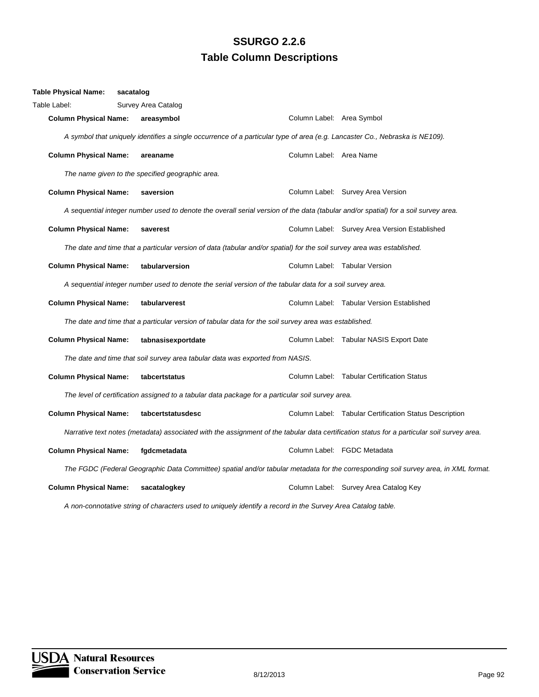| <b>Table Physical Name:</b>  | sacatalog |                                                                                                                                            |                           |                                                                                                                                     |
|------------------------------|-----------|--------------------------------------------------------------------------------------------------------------------------------------------|---------------------------|-------------------------------------------------------------------------------------------------------------------------------------|
| Table Label:                 |           | Survey Area Catalog                                                                                                                        |                           |                                                                                                                                     |
| <b>Column Physical Name:</b> |           | areasymbol                                                                                                                                 | Column Label: Area Symbol |                                                                                                                                     |
|                              |           | A symbol that uniquely identifies a single occurrence of a particular type of area (e.g. Lancaster Co., Nebraska is NE109).                |                           |                                                                                                                                     |
| <b>Column Physical Name:</b> |           | areaname                                                                                                                                   | Column Label: Area Name   |                                                                                                                                     |
|                              |           | The name given to the specified geographic area.                                                                                           |                           |                                                                                                                                     |
| <b>Column Physical Name:</b> |           | saversion                                                                                                                                  |                           | Column Label: Survey Area Version                                                                                                   |
|                              |           | A sequential integer number used to denote the overall serial version of the data (tabular and/or spatial) for a soil survey area.         |                           |                                                                                                                                     |
| <b>Column Physical Name:</b> |           | saverest                                                                                                                                   |                           | Column Label: Survey Area Version Established                                                                                       |
|                              |           | The date and time that a particular version of data (tabular and/or spatial) for the soil survey area was established.                     |                           |                                                                                                                                     |
| <b>Column Physical Name:</b> |           | tabularversion                                                                                                                             |                           | Column Label: Tabular Version                                                                                                       |
|                              |           | A sequential integer number used to denote the serial version of the tabular data for a soil survey area.                                  |                           |                                                                                                                                     |
| <b>Column Physical Name:</b> |           | tabularverest                                                                                                                              |                           | Column Label: Tabular Version Established                                                                                           |
|                              |           | The date and time that a particular version of tabular data for the soil survey area was established.                                      |                           |                                                                                                                                     |
| <b>Column Physical Name:</b> |           | tabnasisexportdate                                                                                                                         |                           | Column Label: Tabular NASIS Export Date                                                                                             |
|                              |           | The date and time that soil survey area tabular data was exported from NASIS.                                                              |                           |                                                                                                                                     |
| <b>Column Physical Name:</b> |           | tabcertstatus                                                                                                                              |                           | Column Label: Tabular Certification Status                                                                                          |
|                              |           | The level of certification assigned to a tabular data package for a particular soil survey area.                                           |                           |                                                                                                                                     |
| <b>Column Physical Name:</b> |           | tabcertstatusdesc                                                                                                                          |                           | Column Label: Tabular Certification Status Description                                                                              |
|                              |           | Narrative text notes (metadata) associated with the assignment of the tabular data certification status for a particular soil survey area. |                           |                                                                                                                                     |
| <b>Column Physical Name:</b> |           | fgdcmetadata                                                                                                                               |                           | Column Label: FGDC Metadata                                                                                                         |
|                              |           |                                                                                                                                            |                           | The FGDC (Federal Geographic Data Committee) spatial and/or tabular metadata for the corresponding soil survey area, in XML format. |
| <b>Column Physical Name:</b> |           | sacatalogkey                                                                                                                               |                           | Column Label: Survey Area Catalog Key                                                                                               |
|                              |           | A non-connotative string of characters used to uniquely identify a record in the Survey Area Catalog table.                                |                           |                                                                                                                                     |

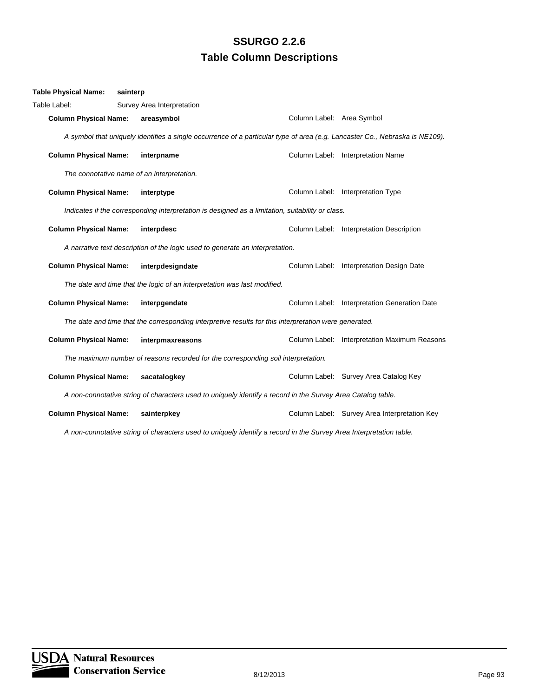| <b>Table Physical Name:</b>                                                                                 | sainterp                                                                                                                    |                           |                                              |  |  |
|-------------------------------------------------------------------------------------------------------------|-----------------------------------------------------------------------------------------------------------------------------|---------------------------|----------------------------------------------|--|--|
| Table Label:                                                                                                | Survey Area Interpretation                                                                                                  |                           |                                              |  |  |
| <b>Column Physical Name:</b>                                                                                | areasymbol                                                                                                                  | Column Label: Area Symbol |                                              |  |  |
|                                                                                                             | A symbol that uniquely identifies a single occurrence of a particular type of area (e.g. Lancaster Co., Nebraska is NE109). |                           |                                              |  |  |
| <b>Column Physical Name:</b>                                                                                | interpname                                                                                                                  |                           | Column Label: Interpretation Name            |  |  |
|                                                                                                             | The connotative name of an interpretation.                                                                                  |                           |                                              |  |  |
| <b>Column Physical Name:</b>                                                                                | interptype                                                                                                                  |                           | Column Label: Interpretation Type            |  |  |
|                                                                                                             | Indicates if the corresponding interpretation is designed as a limitation, suitability or class.                            |                           |                                              |  |  |
| <b>Column Physical Name:</b>                                                                                | interpdesc                                                                                                                  |                           | Column Label: Interpretation Description     |  |  |
|                                                                                                             | A narrative text description of the logic used to generate an interpretation.                                               |                           |                                              |  |  |
| <b>Column Physical Name:</b>                                                                                | interpdesigndate                                                                                                            |                           | Column Label: Interpretation Design Date     |  |  |
|                                                                                                             | The date and time that the logic of an interpretation was last modified.                                                    |                           |                                              |  |  |
| <b>Column Physical Name:</b>                                                                                | interpgendate                                                                                                               | Column Label:             | Interpretation Generation Date               |  |  |
|                                                                                                             | The date and time that the corresponding interpretive results for this interpretation were generated.                       |                           |                                              |  |  |
| <b>Column Physical Name:</b>                                                                                | interpmaxreasons                                                                                                            |                           | Column Label: Interpretation Maximum Reasons |  |  |
|                                                                                                             | The maximum number of reasons recorded for the corresponding soil interpretation.                                           |                           |                                              |  |  |
| <b>Column Physical Name:</b>                                                                                | sacatalogkey                                                                                                                |                           | Column Label: Survey Area Catalog Key        |  |  |
| A non-connotative string of characters used to uniquely identify a record in the Survey Area Catalog table. |                                                                                                                             |                           |                                              |  |  |
| <b>Column Physical Name:</b>                                                                                | sainterpkey                                                                                                                 |                           | Column Label: Survey Area Interpretation Key |  |  |

*A non-connotative string of characters used to uniquely identify a record in the Survey Area Interpretation table.*

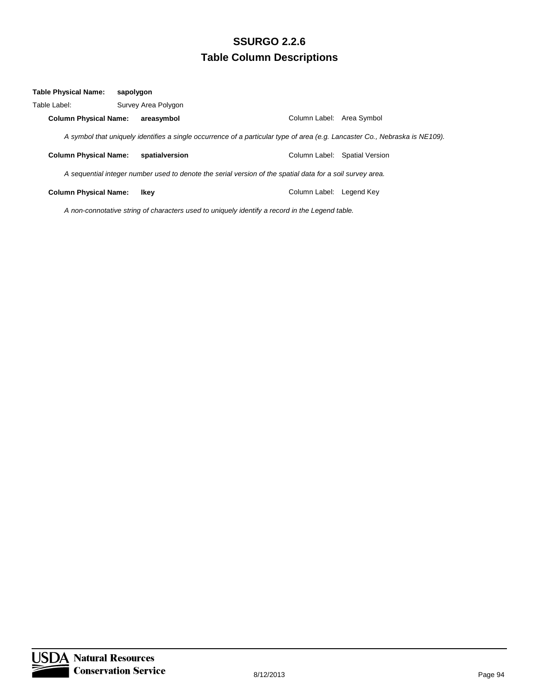| Table Physical Name:         | sapolygon |                     |                                                                                                           |                                                                                                                             |
|------------------------------|-----------|---------------------|-----------------------------------------------------------------------------------------------------------|-----------------------------------------------------------------------------------------------------------------------------|
| Table Label:                 |           | Survey Area Polygon |                                                                                                           |                                                                                                                             |
| <b>Column Physical Name:</b> |           | areasymbol          | Column Label: Area Symbol                                                                                 |                                                                                                                             |
|                              |           |                     |                                                                                                           | A symbol that uniquely identifies a single occurrence of a particular type of area (e.g. Lancaster Co., Nebraska is NE109). |
| <b>Column Physical Name:</b> |           | spatialversion      |                                                                                                           | Column Label: Spatial Version                                                                                               |
|                              |           |                     | A sequential integer number used to denote the serial version of the spatial data for a soil survey area. |                                                                                                                             |
| <b>Column Physical Name:</b> |           | Ikey                | Column Label:                                                                                             | Legend Key                                                                                                                  |
|                              |           |                     |                                                                                                           |                                                                                                                             |

*A non-connotative string of characters used to uniquely identify a record in the Legend table.*

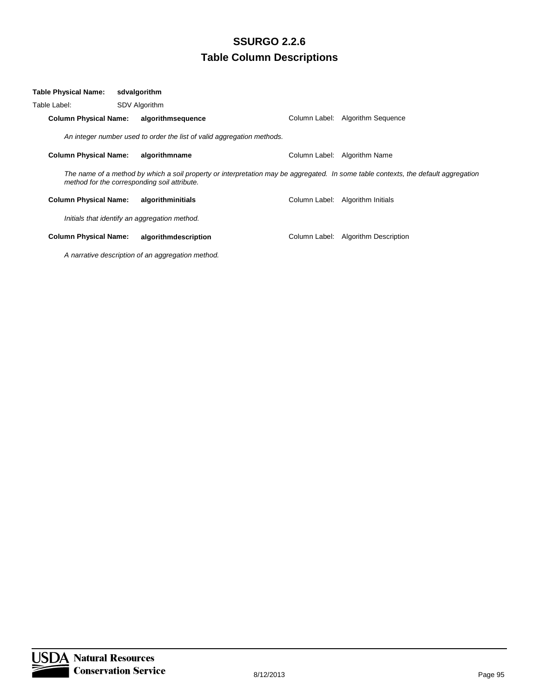| Table Physical Name:         | sdvalgorithm                                                                                                                                                                       |               |                              |
|------------------------------|------------------------------------------------------------------------------------------------------------------------------------------------------------------------------------|---------------|------------------------------|
| Table Label:                 | <b>SDV Algorithm</b>                                                                                                                                                               |               |                              |
| <b>Column Physical Name:</b> | algorithmsequence                                                                                                                                                                  | Column Label: | Algorithm Sequence           |
|                              | An integer number used to order the list of valid aggregation methods.                                                                                                             |               |                              |
| <b>Column Physical Name:</b> | algorithmname                                                                                                                                                                      | Column Label: | Algorithm Name               |
|                              | The name of a method by which a soil property or interpretation may be aggregated. In some table contexts, the default aggregation<br>method for the corresponding soil attribute. |               |                              |
| <b>Column Physical Name:</b> | algorithminitials                                                                                                                                                                  | Column Label: | Algorithm Initials           |
|                              | Initials that identify an aggregation method.                                                                                                                                      |               |                              |
| <b>Column Physical Name:</b> | algorithmdescription                                                                                                                                                               | Column Label: | <b>Algorithm Description</b> |
|                              |                                                                                                                                                                                    |               |                              |

*A narrative description of an aggregation method.*

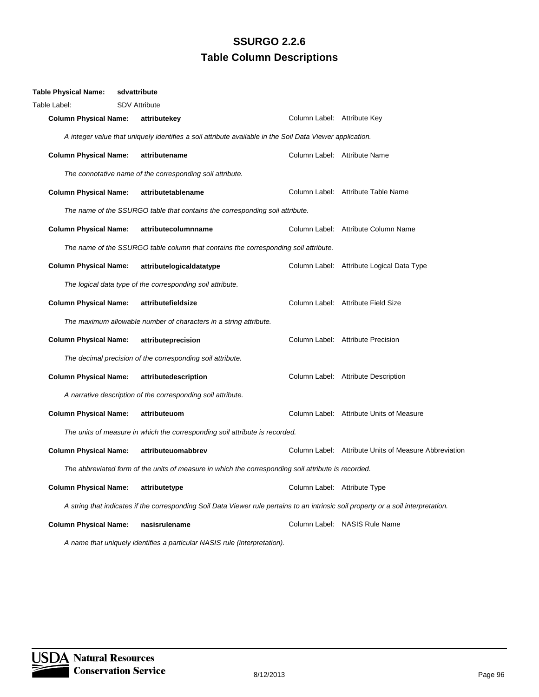| <b>Table Physical Name:</b>                                                                         | sdvattribute                                                                |                                                                                                                                     |                              |                                                       |  |  |
|-----------------------------------------------------------------------------------------------------|-----------------------------------------------------------------------------|-------------------------------------------------------------------------------------------------------------------------------------|------------------------------|-------------------------------------------------------|--|--|
| Table Label:                                                                                        | <b>SDV Attribute</b>                                                        |                                                                                                                                     |                              |                                                       |  |  |
| <b>Column Physical Name:</b>                                                                        |                                                                             | attributekey                                                                                                                        | Column Label: Attribute Key  |                                                       |  |  |
|                                                                                                     |                                                                             | A integer value that uniquely identifies a soil attribute available in the Soil Data Viewer application.                            |                              |                                                       |  |  |
| <b>Column Physical Name:</b>                                                                        |                                                                             | attributename                                                                                                                       |                              | Column Label: Attribute Name                          |  |  |
|                                                                                                     |                                                                             | The connotative name of the corresponding soil attribute.                                                                           |                              |                                                       |  |  |
| <b>Column Physical Name:</b>                                                                        |                                                                             | attributetablename                                                                                                                  |                              | Column Label: Attribute Table Name                    |  |  |
|                                                                                                     |                                                                             | The name of the SSURGO table that contains the corresponding soil attribute.                                                        |                              |                                                       |  |  |
| <b>Column Physical Name:</b>                                                                        |                                                                             | attributecolumnname                                                                                                                 |                              | Column Label: Attribute Column Name                   |  |  |
|                                                                                                     |                                                                             | The name of the SSURGO table column that contains the corresponding soil attribute.                                                 |                              |                                                       |  |  |
| <b>Column Physical Name:</b>                                                                        |                                                                             | attributelogicaldatatype                                                                                                            |                              | Column Label: Attribute Logical Data Type             |  |  |
|                                                                                                     |                                                                             | The logical data type of the corresponding soil attribute.                                                                          |                              |                                                       |  |  |
| <b>Column Physical Name:</b>                                                                        |                                                                             | attributefieldsize                                                                                                                  |                              | Column Label: Attribute Field Size                    |  |  |
|                                                                                                     |                                                                             | The maximum allowable number of characters in a string attribute.                                                                   |                              |                                                       |  |  |
| <b>Column Physical Name:</b>                                                                        |                                                                             | attributeprecision                                                                                                                  |                              | Column Label: Attribute Precision                     |  |  |
|                                                                                                     |                                                                             | The decimal precision of the corresponding soil attribute.                                                                          |                              |                                                       |  |  |
| <b>Column Physical Name:</b>                                                                        |                                                                             | attributedescription                                                                                                                |                              | Column Label: Attribute Description                   |  |  |
|                                                                                                     |                                                                             | A narrative description of the corresponding soil attribute.                                                                        |                              |                                                       |  |  |
| <b>Column Physical Name:</b>                                                                        |                                                                             | attributeuom                                                                                                                        |                              | Column Label: Attribute Units of Measure              |  |  |
|                                                                                                     | The units of measure in which the corresponding soil attribute is recorded. |                                                                                                                                     |                              |                                                       |  |  |
| <b>Column Physical Name:</b>                                                                        |                                                                             | attributeuomabbrev                                                                                                                  |                              | Column Label: Attribute Units of Measure Abbreviation |  |  |
| The abbreviated form of the units of measure in which the corresponding soil attribute is recorded. |                                                                             |                                                                                                                                     |                              |                                                       |  |  |
| <b>Column Physical Name:</b>                                                                        |                                                                             | attributetype                                                                                                                       | Column Label: Attribute Type |                                                       |  |  |
|                                                                                                     |                                                                             | A string that indicates if the corresponding Soil Data Viewer rule pertains to an intrinsic soil property or a soil interpretation. |                              |                                                       |  |  |
| <b>Column Physical Name:</b>                                                                        |                                                                             | nasisrulename                                                                                                                       |                              | Column Label: NASIS Rule Name                         |  |  |
|                                                                                                     |                                                                             | A name that uniquely identifies a particular NASIS rule (interpretation).                                                           |                              |                                                       |  |  |

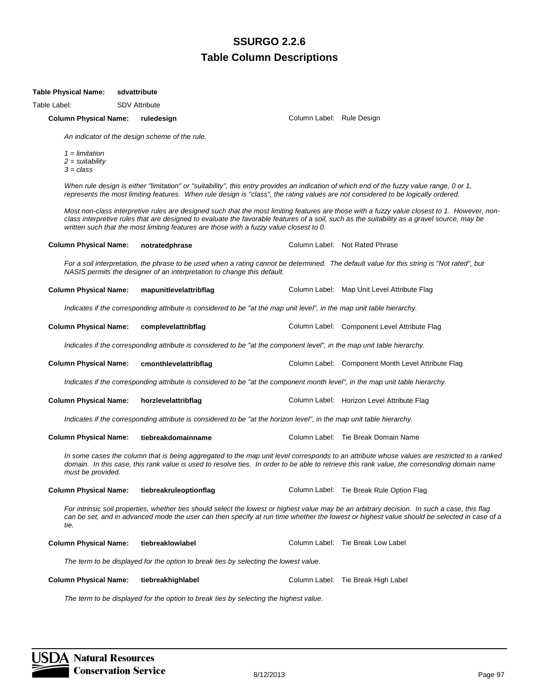#### **Table Physical Name: sdvattribute**

Table Label: SDV Attribute

#### **Column Physical Name: ruledesign Column Label: Rule Design Column Label: Rule Design Column Label: Rule Design Column Label: Rule Design Column Label: Rule Design Column Label: Rule Design Column Label: Rule Design Column**

*An indicator of the design scheme of the rule.*

*1 = limitation 2 = suitability 3 = class*

*When rule design is either "limitation" or "suitability", this entry provides an indication of which end of the fuzzy value range, 0 or 1, represents the most limiting features. When rule design is "class", the rating values are not considered to be logically ordered.*

**Column Physical Name: notratedphrase** Column Label: Not Rated Phrase

*Most non-class interpretive rules are designed such that the most limiting features are those with a fuzzy value closest to 1. However, nonclass interpretive rules that are designed to evaluate the favorable features of a soil, such as the suitability as a gravel source, may be written such that the most limiting features are those with a fuzzy value closest to 0.*

|                              | NASIS permits the designer of an interpretation to change this default.                                                       | For a soil interpretation, the phrase to be used when a rating cannot be determined. The default value for this string is "Not rated", but                                                                                                                                                  |
|------------------------------|-------------------------------------------------------------------------------------------------------------------------------|---------------------------------------------------------------------------------------------------------------------------------------------------------------------------------------------------------------------------------------------------------------------------------------------|
| <b>Column Physical Name:</b> | mapunitlevelattribflag                                                                                                        | Column Label: Map Unit Level Attribute Flag                                                                                                                                                                                                                                                 |
|                              | Indicates if the corresponding attribute is considered to be "at the map unit level", in the map unit table hierarchy.        |                                                                                                                                                                                                                                                                                             |
| <b>Column Physical Name:</b> | complevelattribflag                                                                                                           | Column Label: Component Level Attribute Flag                                                                                                                                                                                                                                                |
|                              | Indicates if the corresponding attribute is considered to be "at the component level", in the map unit table hierarchy.       |                                                                                                                                                                                                                                                                                             |
| <b>Column Physical Name:</b> | cmonthlevelattribflag                                                                                                         | Column Label: Component Month Level Attribute Flag                                                                                                                                                                                                                                          |
|                              | Indicates if the corresponding attribute is considered to be "at the component month level", in the map unit table hierarchy. |                                                                                                                                                                                                                                                                                             |
| <b>Column Physical Name:</b> | horzlevelattribflag                                                                                                           | Column Label: Horizon Level Attribute Flag                                                                                                                                                                                                                                                  |
|                              | Indicates if the corresponding attribute is considered to be "at the horizon level", in the map unit table hierarchy.         |                                                                                                                                                                                                                                                                                             |
| <b>Column Physical Name:</b> | tiebreakdomainname                                                                                                            | Column Label: Tie Break Domain Name                                                                                                                                                                                                                                                         |
| must be provided.            |                                                                                                                               | In some cases the column that is being aggregated to the map unit level corresponds to an attribute whose values are restricted to a ranked<br>domain. In this case, this rank value is used to resolve ties. In order to be able to retrieve this rank value, the corresonding domain name |
| <b>Column Physical Name:</b> | tiebreakruleoptionflag                                                                                                        | Column Label: Tie Break Rule Option Flag                                                                                                                                                                                                                                                    |
| tie.                         |                                                                                                                               | For intrinsic soil properties, whether ties should select the lowest or highest value may be an arbitrary decision. In such a case, this flag<br>can be set, and in advanced mode the user can then specify at run time whether the lowest or highest value should be selected in case of a |
| <b>Column Physical Name:</b> | tiebreaklowlabel                                                                                                              | Column Label: Tie Break Low Label                                                                                                                                                                                                                                                           |
|                              | The term to be displayed for the option to break ties by selecting the lowest value.                                          |                                                                                                                                                                                                                                                                                             |
| <b>Column Physical Name:</b> | tiebreakhighlabel                                                                                                             | Column Label: Tie Break High Label                                                                                                                                                                                                                                                          |
|                              | The term to be displayed for the option to break ties by selecting the highest value.                                         |                                                                                                                                                                                                                                                                                             |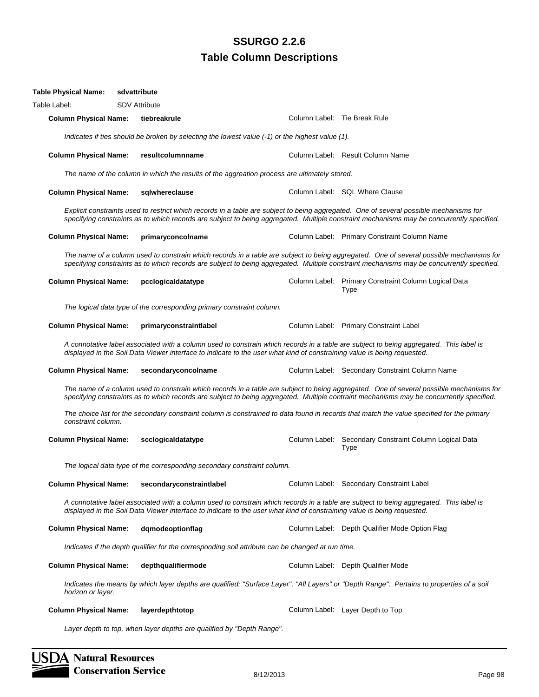| <b>Table Physical Name:</b>  | sdvattribute |                                                                                                                         |                              |                                                                                                                                                                                                                                                                                      |
|------------------------------|--------------|-------------------------------------------------------------------------------------------------------------------------|------------------------------|--------------------------------------------------------------------------------------------------------------------------------------------------------------------------------------------------------------------------------------------------------------------------------------|
| Table Label:                 |              | <b>SDV Attribute</b>                                                                                                    |                              |                                                                                                                                                                                                                                                                                      |
| <b>Column Physical Name:</b> |              | tiebreakrule                                                                                                            | Column Label: Tie Break Rule |                                                                                                                                                                                                                                                                                      |
|                              |              | Indicates if ties should be broken by selecting the lowest value $(-1)$ or the highest value $(1)$ .                    |                              |                                                                                                                                                                                                                                                                                      |
| <b>Column Physical Name:</b> |              | resultcolumnname                                                                                                        |                              | Column Label: Result Column Name                                                                                                                                                                                                                                                     |
|                              |              | The name of the column in which the results of the aggreation process are ultimately stored.                            |                              |                                                                                                                                                                                                                                                                                      |
| <b>Column Physical Name:</b> |              | sqlwhereclause                                                                                                          |                              | Column Label: SQL Where Clause                                                                                                                                                                                                                                                       |
|                              |              |                                                                                                                         |                              | Explicit constraints used to restrict which records in a table are subject to being aggregated. One of several possible mechanisms for<br>specifying constraints as to which records are subject to being aggregated. Multiple constraint mechanisms may be concurrently specified.  |
| <b>Column Physical Name:</b> |              | primaryconcolname                                                                                                       |                              | Column Label: Primary Constraint Column Name                                                                                                                                                                                                                                         |
|                              |              |                                                                                                                         |                              | The name of a column used to constrain which records in a table are subject to being aggregated. One of several possible mechanisms for<br>specifying constraints as to which records are subject to being aggregated. Multiple constraint mechanisms may be concurrently specified. |
| <b>Column Physical Name:</b> |              | pcclogicaldatatype                                                                                                      |                              | Column Label: Primary Constraint Column Logical Data<br>Type                                                                                                                                                                                                                         |
|                              |              | The logical data type of the corresponding primary constraint column.                                                   |                              |                                                                                                                                                                                                                                                                                      |
| <b>Column Physical Name:</b> |              | primaryconstraintlabel                                                                                                  |                              | Column Label: Primary Constraint Label                                                                                                                                                                                                                                               |
|                              |              | displayed in the Soil Data Viewer interface to indicate to the user what kind of constraining value is being requested. |                              | A connotative label associated with a column used to constrain which records in a table are subject to being aggregated. This label is                                                                                                                                               |
| <b>Column Physical Name:</b> |              | secondaryconcolname                                                                                                     |                              | Column Label: Secondary Constraint Column Name                                                                                                                                                                                                                                       |
|                              |              |                                                                                                                         |                              | The name of a column used to constrain which records in a table are subject to being aggregated. One of several possible mechanisms for<br>specifying constraints as to which records are subject to being aggregated. Multiple contraint mechanisms may be concurrently specified.  |
| constraint column.           |              |                                                                                                                         |                              | The choice list for the secondary constraint column is constrained to data found in records that match the value specified for the primary                                                                                                                                           |
| <b>Column Physical Name:</b> |              | scclogicaldatatype                                                                                                      |                              | Column Label: Secondary Constraint Column Logical Data<br><b>Type</b>                                                                                                                                                                                                                |
|                              |              | The logical data type of the corresponding secondary constraint column.                                                 |                              |                                                                                                                                                                                                                                                                                      |
| <b>Column Physical Name:</b> |              | secondaryconstraintlabel                                                                                                |                              | Column Label: Secondary Constraint Label                                                                                                                                                                                                                                             |
|                              |              | displayed in the Soil Data Viewer interface to indicate to the user what kind of constraining value is being requested. |                              | A connotative label associated with a column used to constrain which records in a table are subject to being aggregated. This label is                                                                                                                                               |
| <b>Column Physical Name:</b> |              | dqmodeoptionflaq                                                                                                        |                              | Column Label: Depth Qualifier Mode Option Flag                                                                                                                                                                                                                                       |
|                              |              | Indicates if the depth qualifier for the corresponding soil attribute can be changed at run time.                       |                              |                                                                                                                                                                                                                                                                                      |
| <b>Column Physical Name:</b> |              | depthqualifiermode                                                                                                      |                              | Column Label: Depth Qualifier Mode                                                                                                                                                                                                                                                   |
| horizon or layer.            |              |                                                                                                                         |                              | Indicates the means by which layer depths are qualified: "Surface Layer", "All Layers" or "Depth Range". Pertains to properties of a soil                                                                                                                                            |
| <b>Column Physical Name:</b> |              | layerdepthtotop                                                                                                         |                              | Column Label: Layer Depth to Top                                                                                                                                                                                                                                                     |
|                              |              | Layer depth to top, when layer depths are qualified by "Depth Range".                                                   |                              |                                                                                                                                                                                                                                                                                      |

**SDA Natural Resources Conservation Service**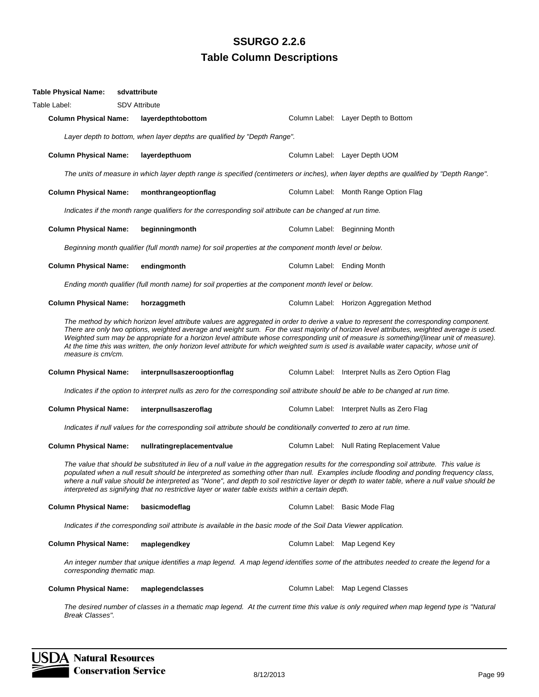| <b>Table Physical Name:</b>                                                                                       | sdvattribute |                                                                                                                      |                            |                                                                                                                                                                                                                                                                                                                                                                                                                                                                                                                                                                             |
|-------------------------------------------------------------------------------------------------------------------|--------------|----------------------------------------------------------------------------------------------------------------------|----------------------------|-----------------------------------------------------------------------------------------------------------------------------------------------------------------------------------------------------------------------------------------------------------------------------------------------------------------------------------------------------------------------------------------------------------------------------------------------------------------------------------------------------------------------------------------------------------------------------|
| Table Label:                                                                                                      |              | <b>SDV Attribute</b>                                                                                                 |                            |                                                                                                                                                                                                                                                                                                                                                                                                                                                                                                                                                                             |
| <b>Column Physical Name:</b>                                                                                      |              | layerdepthtobottom                                                                                                   |                            | Column Label: Layer Depth to Bottom                                                                                                                                                                                                                                                                                                                                                                                                                                                                                                                                         |
|                                                                                                                   |              | Layer depth to bottom, when layer depths are qualified by "Depth Range".                                             |                            |                                                                                                                                                                                                                                                                                                                                                                                                                                                                                                                                                                             |
| <b>Column Physical Name:</b>                                                                                      |              | layerdepthuom                                                                                                        |                            | Column Label: Layer Depth UOM                                                                                                                                                                                                                                                                                                                                                                                                                                                                                                                                               |
|                                                                                                                   |              |                                                                                                                      |                            | The units of measure in which layer depth range is specified (centimeters or inches), when layer depths are qualified by "Depth Range".                                                                                                                                                                                                                                                                                                                                                                                                                                     |
| <b>Column Physical Name:</b>                                                                                      |              | monthrangeoptionflag                                                                                                 |                            | Column Label: Month Range Option Flag                                                                                                                                                                                                                                                                                                                                                                                                                                                                                                                                       |
|                                                                                                                   |              | Indicates if the month range qualifiers for the corresponding soil attribute can be changed at run time.             |                            |                                                                                                                                                                                                                                                                                                                                                                                                                                                                                                                                                                             |
| <b>Column Physical Name:</b>                                                                                      |              | beginningmonth                                                                                                       |                            | Column Label: Beginning Month                                                                                                                                                                                                                                                                                                                                                                                                                                                                                                                                               |
|                                                                                                                   |              | Beginning month qualifier (full month name) for soil properties at the component month level or below.               |                            |                                                                                                                                                                                                                                                                                                                                                                                                                                                                                                                                                                             |
| <b>Column Physical Name:</b>                                                                                      |              | endingmonth                                                                                                          | Column Label: Ending Month |                                                                                                                                                                                                                                                                                                                                                                                                                                                                                                                                                                             |
|                                                                                                                   |              | Ending month qualifier (full month name) for soil properties at the component month level or below.                  |                            |                                                                                                                                                                                                                                                                                                                                                                                                                                                                                                                                                                             |
| <b>Column Physical Name:</b>                                                                                      |              | horzaggmeth                                                                                                          |                            | Column Label: Horizon Aggregation Method                                                                                                                                                                                                                                                                                                                                                                                                                                                                                                                                    |
| measure is cm/cm.                                                                                                 |              |                                                                                                                      |                            | The method by which horizon level attribute values are aggregated in order to derive a value to represent the corresponding component.<br>There are only two options, weighted average and weight sum. For the vast majority of horizon level attributes, weighted average is used.<br>Weighted sum may be appropriate for a horizon level attribute whose corresponding unit of measure is something/(linear unit of measure).<br>At the time this was written, the only horizon level attribute for which weighted sum is used is available water capacity, whose unit of |
| <b>Column Physical Name:</b>                                                                                      |              | interpnullsaszerooptionflag                                                                                          |                            | Column Label: Interpret Nulls as Zero Option Flag                                                                                                                                                                                                                                                                                                                                                                                                                                                                                                                           |
|                                                                                                                   |              |                                                                                                                      |                            | Indicates if the option to interpret nulls as zero for the corresponding soil attribute should be able to be changed at run time.                                                                                                                                                                                                                                                                                                                                                                                                                                           |
| <b>Column Physical Name:</b>                                                                                      |              | interpnullsaszeroflag                                                                                                |                            | Column Label: Interpret Nulls as Zero Flag                                                                                                                                                                                                                                                                                                                                                                                                                                                                                                                                  |
|                                                                                                                   |              | Indicates if null values for the corresponding soil attribute should be conditionally converted to zero at run time. |                            |                                                                                                                                                                                                                                                                                                                                                                                                                                                                                                                                                                             |
| <b>Column Physical Name:</b>                                                                                      |              | nullratingreplacementvalue                                                                                           |                            | Column Label: Null Rating Replacement Value                                                                                                                                                                                                                                                                                                                                                                                                                                                                                                                                 |
|                                                                                                                   |              | interpreted as signifying that no restrictive layer or water table exists within a certain depth.                    |                            | The value that should be substituted in lieu of a null value in the aggregation results for the corresponding soil attribute. This value is<br>populated when a null result should be interpreted as something other than null. Examples include flooding and ponding frequency class,<br>where a null value should be interpreted as "None", and depth to soil restrictive layer or depth to water table, where a null value should be                                                                                                                                     |
| <b>Column Physical Name:</b>                                                                                      |              | basicmodeflag                                                                                                        |                            | Column Label: Basic Mode Flag                                                                                                                                                                                                                                                                                                                                                                                                                                                                                                                                               |
| Indicates if the corresponding soil attribute is available in the basic mode of the Soil Data Viewer application. |              |                                                                                                                      |                            |                                                                                                                                                                                                                                                                                                                                                                                                                                                                                                                                                                             |
| <b>Column Physical Name:</b>                                                                                      |              | maplegendkey                                                                                                         |                            | Column Label: Map Legend Key                                                                                                                                                                                                                                                                                                                                                                                                                                                                                                                                                |
| corresponding thematic map.                                                                                       |              |                                                                                                                      |                            | An integer number that unique identifies a map legend. A map legend identifies some of the attributes needed to create the legend for a                                                                                                                                                                                                                                                                                                                                                                                                                                     |
| <b>Column Physical Name:</b>                                                                                      |              | maplegendclasses                                                                                                     |                            | Column Label: Map Legend Classes                                                                                                                                                                                                                                                                                                                                                                                                                                                                                                                                            |
| Break Classes".                                                                                                   |              |                                                                                                                      |                            | The desired number of classes in a thematic map legend. At the current time this value is only required when map legend type is "Natural                                                                                                                                                                                                                                                                                                                                                                                                                                    |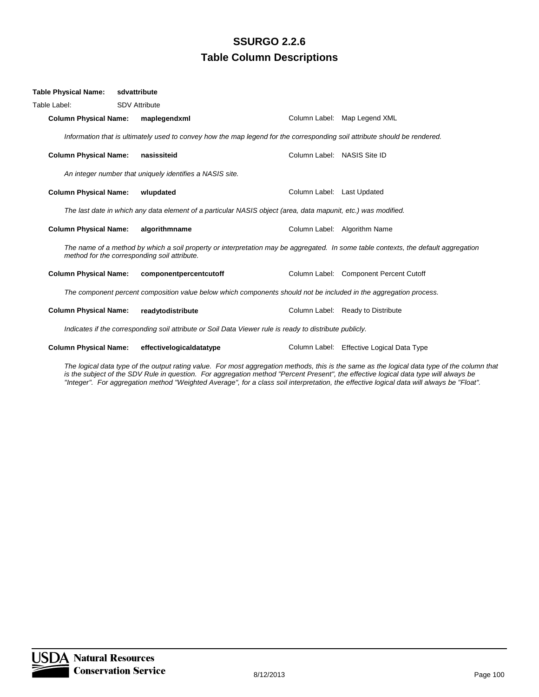| <b>Table Physical Name:</b>                                                                                                                                                        |                                                                                                                   | sdvattribute         |                                                                                                                           |                             |                                           |  |  |  |
|------------------------------------------------------------------------------------------------------------------------------------------------------------------------------------|-------------------------------------------------------------------------------------------------------------------|----------------------|---------------------------------------------------------------------------------------------------------------------------|-----------------------------|-------------------------------------------|--|--|--|
| Table Label:                                                                                                                                                                       |                                                                                                                   | <b>SDV Attribute</b> |                                                                                                                           |                             |                                           |  |  |  |
|                                                                                                                                                                                    | <b>Column Physical Name:</b>                                                                                      |                      | maplegendxml                                                                                                              |                             | Column Label: Map Legend XML              |  |  |  |
|                                                                                                                                                                                    |                                                                                                                   |                      | Information that is ultimately used to convey how the map legend for the corresponding soil attribute should be rendered. |                             |                                           |  |  |  |
|                                                                                                                                                                                    | <b>Column Physical Name:</b>                                                                                      |                      | nasissiteid                                                                                                               | Column Label: NASIS Site ID |                                           |  |  |  |
| An integer number that uniquely identifies a NASIS site.                                                                                                                           |                                                                                                                   |                      |                                                                                                                           |                             |                                           |  |  |  |
|                                                                                                                                                                                    | <b>Column Physical Name:</b>                                                                                      |                      | wlupdated                                                                                                                 | Column Label: Last Updated  |                                           |  |  |  |
| The last date in which any data element of a particular NASIS object (area, data mapunit, etc.) was modified.                                                                      |                                                                                                                   |                      |                                                                                                                           |                             |                                           |  |  |  |
|                                                                                                                                                                                    | <b>Column Physical Name:</b>                                                                                      |                      | algorithmname                                                                                                             |                             | Column Label: Algorithm Name              |  |  |  |
| The name of a method by which a soil property or interpretation may be aggregated. In some table contexts, the default aggregation<br>method for the corresponding soil attribute. |                                                                                                                   |                      |                                                                                                                           |                             |                                           |  |  |  |
|                                                                                                                                                                                    | <b>Column Physical Name:</b>                                                                                      |                      | componentpercentcutoff                                                                                                    |                             | Column Label: Component Percent Cutoff    |  |  |  |
|                                                                                                                                                                                    | The component percent composition value below which components should not be included in the aggregation process. |                      |                                                                                                                           |                             |                                           |  |  |  |
|                                                                                                                                                                                    | <b>Column Physical Name:</b>                                                                                      |                      | readytodistribute                                                                                                         |                             | Column Label: Ready to Distribute         |  |  |  |
| Indicates if the corresponding soil attribute or Soil Data Viewer rule is ready to distribute publicly.                                                                            |                                                                                                                   |                      |                                                                                                                           |                             |                                           |  |  |  |
|                                                                                                                                                                                    | <b>Column Physical Name:</b>                                                                                      |                      | effectivelogicaldatatype                                                                                                  |                             | Column Label: Effective Logical Data Type |  |  |  |
|                                                                                                                                                                                    |                                                                                                                   |                      |                                                                                                                           |                             |                                           |  |  |  |

*The logical data type of the output rating value. For most aggregation methods, this is the same as the logical data type of the column that is the subject of the SDV Rule in question. For aggregation method "Percent Present", the effective logical data type will always be "Integer". For aggregation method "Weighted Average", for a class soil interpretation, the effective logical data will always be "Float".*

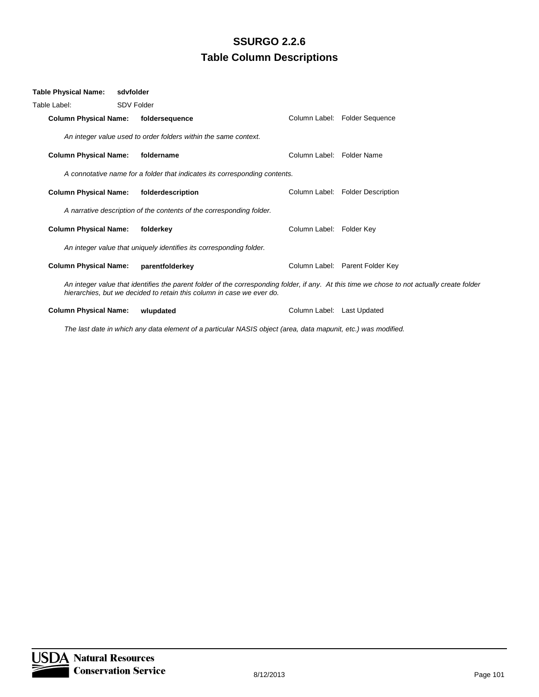| <b>Table Physical Name:</b>                                                                                                                                                                                          | sdyfolder |                                                                 |  |                            |                                  |  |  |
|----------------------------------------------------------------------------------------------------------------------------------------------------------------------------------------------------------------------|-----------|-----------------------------------------------------------------|--|----------------------------|----------------------------------|--|--|
| Table Label:                                                                                                                                                                                                         |           | SDV Folder                                                      |  |                            |                                  |  |  |
| <b>Column Physical Name:</b>                                                                                                                                                                                         |           | foldersequence                                                  |  |                            | Column Label: Folder Sequence    |  |  |
|                                                                                                                                                                                                                      |           | An integer value used to order folders within the same context. |  |                            |                                  |  |  |
| <b>Column Physical Name:</b>                                                                                                                                                                                         |           | foldername                                                      |  | Column Label: Folder Name  |                                  |  |  |
| A connotative name for a folder that indicates its corresponding contents.                                                                                                                                           |           |                                                                 |  |                            |                                  |  |  |
| <b>Column Physical Name:</b>                                                                                                                                                                                         |           | folderdescription                                               |  |                            | Column Label: Folder Description |  |  |
| A narrative description of the contents of the corresponding folder.                                                                                                                                                 |           |                                                                 |  |                            |                                  |  |  |
| <b>Column Physical Name:</b>                                                                                                                                                                                         |           | folderkey                                                       |  | Column Label: Folder Key   |                                  |  |  |
| An integer value that uniquely identifies its corresponding folder.                                                                                                                                                  |           |                                                                 |  |                            |                                  |  |  |
| <b>Column Physical Name:</b>                                                                                                                                                                                         |           | parentfolderkey                                                 |  |                            | Column Label: Parent Folder Key  |  |  |
| An integer value that identifies the parent folder of the corresponding folder, if any. At this time we chose to not actually create folder<br>hierarchies, but we decided to retain this column in case we ever do. |           |                                                                 |  |                            |                                  |  |  |
| <b>Column Physical Name:</b>                                                                                                                                                                                         |           | wlupdated                                                       |  | Column Label: Last Updated |                                  |  |  |

*The last date in which any data element of a particular NASIS object (area, data mapunit, etc.) was modified.*